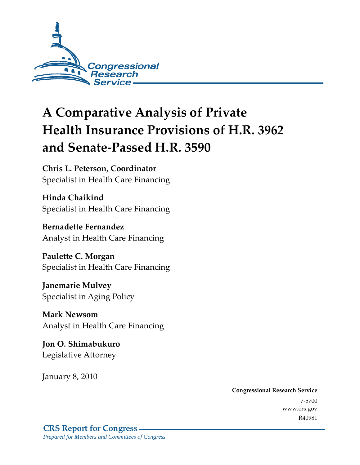

# **A Comparative Analysis of Private Health Insurance Provisions of H.R. 3962 and Senate-Passed H.R. 3590**

**Chris L. Peterson, Coordinator**  Specialist in Health Care Financing

**Hinda Chaikind**  Specialist in Health Care Financing

**Bernadette Fernandez**  Analyst in Health Care Financing

**Paulette C. Morgan**  Specialist in Health Care Financing

**Janemarie Mulvey**  Specialist in Aging Policy

**Mark Newsom**  Analyst in Health Care Financing

**Jon O. Shimabukuro**  Legislative Attorney

January 8, 2010

**Congressional Research Service** 7-5700 www.crs.gov R40981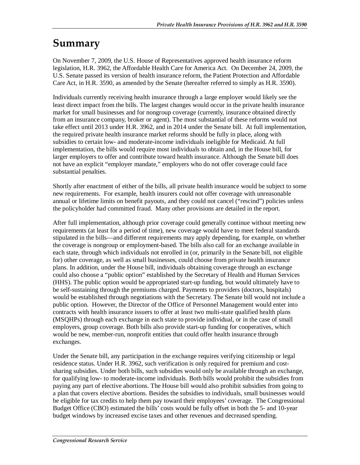### **Summary**

On November 7, 2009, the U.S. House of Representatives approved health insurance reform legislation, H.R. 3962, the Affordable Health Care for America Act. On December 24, 2009, the U.S. Senate passed its version of health insurance reform, the Patient Protection and Affordable Care Act, in H.R. 3590, as amended by the Senate (hereafter referred to simply as H.R. 3590).

Individuals currently receiving health insurance through a large employer would likely see the least direct impact from the bills. The largest changes would occur in the private health insurance market for small businesses and for nongroup coverage (currently, insurance obtained directly from an insurance company, broker or agent). The most substantial of these reforms would not take effect until 2013 under H.R. 3962, and in 2014 under the Senate bill. At full implementation, the required private health insurance market reforms should be fully in place, along with subsidies to certain low- and moderate-income individuals ineligible for Medicaid. At full implementation, the bills would require most individuals to obtain and, in the House bill, for larger employers to offer and contribute toward health insurance. Although the Senate bill does not have an explicit "employer mandate," employers who do not offer coverage could face substantial penalties.

Shortly after enactment of either of the bills, all private health insurance would be subject to some new requirements. For example, health insurers could not offer coverage with unreasonable annual or lifetime limits on benefit payouts, and they could not cancel ("rescind") policies unless the policyholder had committed fraud. Many other provisions are detailed in the report.

After full implementation, although prior coverage could generally continue without meeting new requirements (at least for a period of time), new coverage would have to meet federal standards stipulated in the bills—and different requirements may apply depending, for example, on whether the coverage is nongroup or employment-based. The bills also call for an exchange available in each state, through which individuals not enrolled in (or, primarily in the Senate bill, not eligible for) other coverage, as well as small businesses, could choose from private health insurance plans. In addition, under the House bill, individuals obtaining coverage through an exchange could also choose a "public option" established by the Secretary of Health and Human Services (HHS). The public option would be appropriated start-up funding, but would ultimately have to be self-sustaining through the premiums charged. Payments to providers (doctors, hospitals) would be established through negotiations with the Secretary. The Senate bill would not include a public option. However, the Director of the Office of Personnel Management would enter into contracts with health insurance issuers to offer at least two multi-state qualified health plans (MSQHPs) through each exchange in each state to provide individual, or in the case of small employers, group coverage. Both bills also provide start-up funding for cooperatives, which would be new, member-run, nonprofit entities that could offer health insurance through exchanges.

Under the Senate bill, any participation in the exchange requires verifying citizenship or legal residence status. Under H.R. 3962, such verification is only required for premium and costsharing subsidies. Under both bills, such subsidies would only be available through an exchange, for qualifying low- to moderate-income individuals. Both bills would prohibit the subsidies from paying any part of elective abortions. The House bill would also prohibit subsidies from going to a plan that covers elective abortions. Besides the subsidies to individuals, small businesses would be eligible for tax credits to help them pay toward their employees' coverage. The Congressional Budget Office (CBO) estimated the bills' costs would be fully offset in both the 5- and 10-year budget windows by increased excise taxes and other revenues and decreased spending.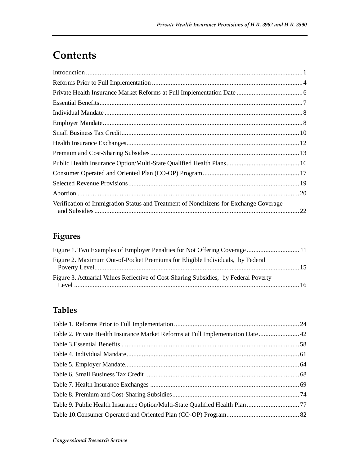### **Contents**

| Verification of Immigration Status and Treatment of Noncitizens for Exchange Coverage |  |
|---------------------------------------------------------------------------------------|--|

### **Figures**

| Figure 1. Two Examples of Employer Penalties for Not Offering Coverage 11           |  |
|-------------------------------------------------------------------------------------|--|
| Figure 2. Maximum Out-of-Pocket Premiums for Eligible Individuals, by Federal       |  |
| Figure 3. Actuarial Values Reflective of Cost-Sharing Subsidies, by Federal Poverty |  |
|                                                                                     |  |

### **Tables**

| Table 2. Private Health Insurance Market Reforms at Full Implementation Date 42 |  |
|---------------------------------------------------------------------------------|--|
|                                                                                 |  |
|                                                                                 |  |
|                                                                                 |  |
|                                                                                 |  |
|                                                                                 |  |
|                                                                                 |  |
|                                                                                 |  |
|                                                                                 |  |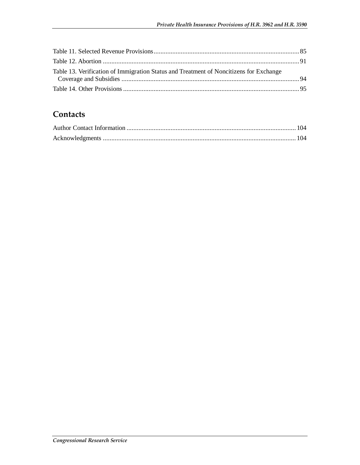| Table 13. Verification of Immigration Status and Treatment of Noncitizens for Exchange |  |
|----------------------------------------------------------------------------------------|--|
|                                                                                        |  |
|                                                                                        |  |

### **Contacts**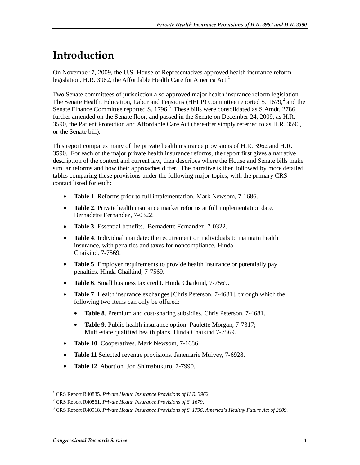### **Introduction**

On November 7, 2009, the U.S. House of Representatives approved health insurance reform legislation, H.R. 3962, the Affordable Health Care for America Act.<sup>1</sup>

Two Senate committees of jurisdiction also approved major health insurance reform legislation. The Senate Health, Education, Labor and Pensions (HELP) Committee reported S.  $1679<sup>2</sup>$  and the Senate Finance Committee reported S. 1796. $3$  These bills were consolidated as S.Amdt. 2786, further amended on the Senate floor, and passed in the Senate on December 24, 2009, as H.R. 3590, the Patient Protection and Affordable Care Act (hereafter simply referred to as H.R. 3590, or the Senate bill).

This report compares many of the private health insurance provisions of H.R. 3962 and H.R. 3590. For each of the major private health insurance reforms, the report first gives a narrative description of the context and current law, then describes where the House and Senate bills make similar reforms and how their approaches differ. The narrative is then followed by more detailed tables comparing these provisions under the following major topics, with the primary CRS contact listed for each:

- **Table 1**. Reforms prior to full implementation. Mark Newsom, 7-1686.
- **Table 2**. Private health insurance market reforms at full implementation date. Bernadette Fernandez, 7-0322.
- **Table 3**. Essential benefits. Bernadette Fernandez, 7-0322.
- **Table 4**. Individual mandate: the requirement on individuals to maintain health insurance, with penalties and taxes for noncompliance. Hinda Chaikind, 7-7569.
- **Table 5**. Employer requirements to provide health insurance or potentially pay penalties. Hinda Chaikind, 7-7569.
- **Table 6**. Small business tax credit. Hinda Chaikind, 7-7569.
- **Table 7**. Health insurance exchanges [Chris Peterson, 7-4681], through which the following two items can only be offered:
	- **Table 8**. Premium and cost-sharing subsidies. Chris Peterson, 7-4681.
	- **Table 9**. Public health insurance option. Paulette Morgan, 7-7317; Multi-state qualified health plans. Hinda Chaikind 7-7569.
- **Table 10**. Cooperatives. Mark Newsom, 7-1686.
- **Table 11** Selected revenue provisions. Janemarie Mulvey, 7-6928.
- **Table 12**. Abortion. Jon Shimabukuro, 7-7990.

<sup>1</sup> CRS Report R40885, *Private Health Insurance Provisions of H.R. 3962*.

<sup>2</sup> CRS Report R40861, *Private Health Insurance Provisions of S. 1679*.

<sup>3</sup> CRS Report R40918, *Private Health Insurance Provisions of S. 1796, America's Healthy Future Act of 2009*.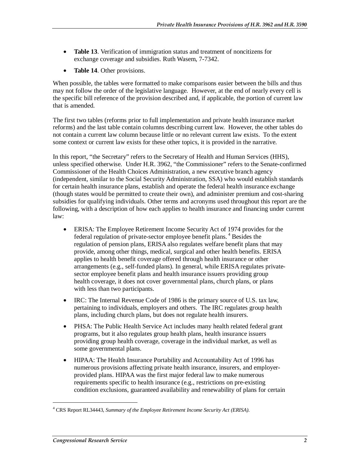- **Table 13**. Verification of immigration status and treatment of noncitizens for exchange coverage and subsidies. Ruth Wasem, 7-7342.
- **Table 14**. Other provisions.

When possible, the tables were formatted to make comparisons easier between the bills and thus may not follow the order of the legislative language. However, at the end of nearly every cell is the specific bill reference of the provision described and, if applicable, the portion of current law that is amended.

The first two tables (reforms prior to full implementation and private health insurance market reforms) and the last table contain columns describing current law. However, the other tables do not contain a current law column because little or no relevant current law exists. To the extent some context or current law exists for these other topics, it is provided in the narrative.

In this report, "the Secretary" refers to the Secretary of Health and Human Services (HHS), unless specified otherwise. Under H.R. 3962, "the Commissioner" refers to the Senate-confirmed Commissioner of the Health Choices Administration, a new executive branch agency (independent, similar to the Social Security Administration, SSA) who would establish standards for certain health insurance plans, establish and operate the federal health insurance exchange (though states would be permitted to create their own), and administer premium and cost-sharing subsidies for qualifying individuals. Other terms and acronyms used throughout this report are the following, with a description of how each applies to health insurance and financing under current law:

- ERISA: The Employee Retirement Income Security Act of 1974 provides for the federal regulation of private-sector employee benefit plans. 4 Besides the regulation of pension plans, ERISA also regulates welfare benefit plans that may provide, among other things, medical, surgical and other health benefits. ERISA applies to health benefit coverage offered through health insurance or other arrangements (e.g., self-funded plans). In general, while ERISA regulates privatesector employee benefit plans and health insurance issuers providing group health coverage, it does not cover governmental plans, church plans, or plans with less than two participants.
- IRC: The Internal Revenue Code of 1986 is the primary source of U.S. tax law, pertaining to individuals, employers and others. The IRC regulates group health plans, including church plans, but does not regulate health insurers.
- PHSA: The Public Health Service Act includes many health related federal grant programs, but it also regulates group health plans, health insurance issuers providing group health coverage, coverage in the individual market, as well as some governmental plans.
- HIPAA: The Health Insurance Portability and Accountability Act of 1996 has numerous provisions affecting private health insurance, insurers, and employerprovided plans. HIPAA was the first major federal law to make numerous requirements specific to health insurance (e.g., restrictions on pre-existing condition exclusions, guaranteed availability and renewability of plans for certain

<sup>4</sup> CRS Report RL34443, *Summary of the Employee Retirement Income Security Act (ERISA)*.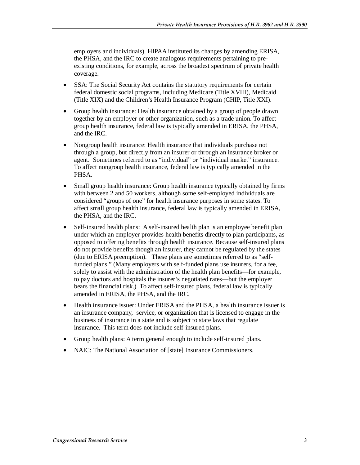employers and individuals). HIPAA instituted its changes by amending ERISA, the PHSA, and the IRC to create analogous requirements pertaining to preexisting conditions, for example, across the broadest spectrum of private health coverage.

- SSA: The Social Security Act contains the statutory requirements for certain federal domestic social programs, including Medicare (Title XVIII), Medicaid (Title XIX) and the Children's Health Insurance Program (CHIP, Title XXI).
- Group health insurance: Health insurance obtained by a group of people drawn together by an employer or other organization, such as a trade union. To affect group health insurance, federal law is typically amended in ERISA, the PHSA, and the IRC.
- Nongroup health insurance: Health insurance that individuals purchase not through a group, but directly from an insurer or through an insurance broker or agent. Sometimes referred to as "individual" or "individual market" insurance. To affect nongroup health insurance, federal law is typically amended in the PHSA.
- Small group health insurance: Group health insurance typically obtained by firms with between 2 and 50 workers, although some self-employed individuals are considered "groups of one" for health insurance purposes in some states. To affect small group health insurance, federal law is typically amended in ERISA, the PHSA, and the IRC.
- Self-insured health plans: A self-insured health plan is an employee benefit plan under which an employer provides health benefits directly to plan participants, as opposed to offering benefits through health insurance. Because self-insured plans do not provide benefits though an insurer, they cannot be regulated by the states (due to ERISA preemption). These plans are sometimes referred to as "selffunded plans." (Many employers with self-funded plans use insurers, for a fee, solely to assist with the administration of the health plan benefits—for example, to pay doctors and hospitals the insurer's negotiated rates—but the employer bears the financial risk.) To affect self-insured plans, federal law is typically amended in ERISA, the PHSA, and the IRC.
- Health insurance issuer: Under ERISA and the PHSA, a health insurance issuer is an insurance company, service, or organization that is licensed to engage in the business of insurance in a state and is subject to state laws that regulate insurance. This term does not include self-insured plans.
- Group health plans: A term general enough to include self-insured plans.
- NAIC: The National Association of [state] Insurance Commissioners.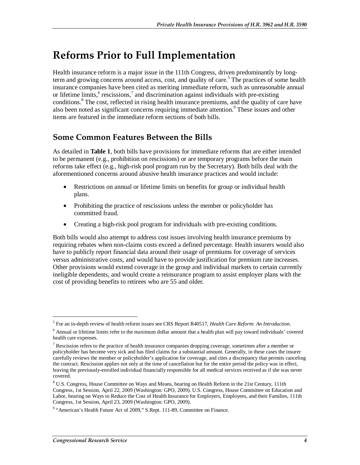### **Reforms Prior to Full Implementation**

Health insurance reform is a major issue in the 111th Congress, driven predominantly by longterm and growing concerns around access, cost, and quality of care.<sup>5</sup> The practices of some health insurance companies have been cited as meriting immediate reform, such as unreasonable annual or lifetime limits, $6$  rescissions, $7$  and discrimination against individuals with pre-existing conditions.<sup>8</sup> The cost, reflected in rising health insurance premiums, and the quality of care have also been noted as significant concerns requiring immediate attention.<sup>9</sup> These issues and other items are featured in the immediate reform sections of both bills.

### **Some Common Features Between the Bills**

As detailed in **Table 1**, both bills have provisions for immediate reforms that are either intended to be permanent (e.g., prohibition on rescissions) or are temporary programs before the main reforms take effect (e.g., high-risk pool program run by the Secretary). Both bills deal with the aforementioned concerns around abusive health insurance practices and would include:

- Restrictions on annual or lifetime limits on benefits for group or individual health plans.
- Prohibiting the practice of rescissions unless the member or policyholder has committed fraud.
- Creating a high-risk pool program for individuals with pre-existing conditions.

Both bills would also attempt to address cost issues involving health insurance premiums by requiring rebates when non-claims costs exceed a defined percentage. Health insurers would also have to publicly report financial data around their usage of premiums for coverage of services versus administrative costs, and would have to provide justification for premium rate increases. Other provisions would extend coverage in the group and individual markets to certain currently ineligible dependents, and would create a reinsurance program to assist employer plans with the cost of providing benefits to retirees who are 55 and older.

<sup>5</sup> For an in-depth review of health reform issues see CRS Report R40517, *Health Care Reform: An Introduction*.

<sup>&</sup>lt;sup>6</sup> Annual or lifetime limits refer to the maximum dollar amount that a health plan will pay toward individuals' covered health care expenses.

<sup>&</sup>lt;sup>7</sup> Rescission refers to the practice of health insurance companies dropping coverage, sometimes after a member or policyholder has become very sick and has filed claims for a substantial amount. Generally, in these cases the insurer carefully reviews the member or policyholder's application for coverage, and cites a discrepancy that permits canceling the contract. Rescission applies not only at the time of cancellation but for the entire period the policy was in effect, leaving the previously-enrolled individual financially responsible for all medical services received as if she was never covered.

<sup>&</sup>lt;sup>8</sup> U.S. Congress, House Committee on Ways and Means, hearing on Health Reform in the 21st Century, 111th Congress, 1st Session, April 22, 2009 (Washington: GPO, 2009). U.S. Congress, House Committee on Education and Labor, hearing on Ways to Reduce the Cost of Health Insurance for Employers, Employees, and their Families, 111th Congress, 1st Session, April 23, 2009 (Washington: GPO, 2009).

<sup>&</sup>lt;sup>9</sup> "American's Health Future Act of 2009," S.Rept. 111-89, Committee on Finance.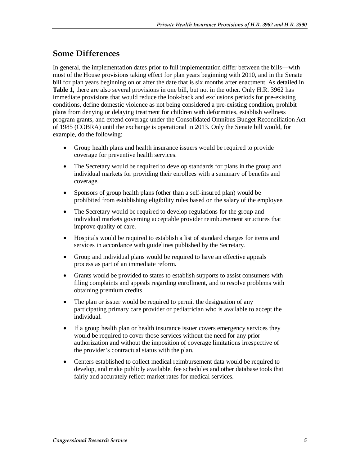### **Some Differences**

In general, the implementation dates prior to full implementation differ between the bills—with most of the House provisions taking effect for plan years beginning with 2010, and in the Senate bill for plan years beginning on or after the date that is six months after enactment. As detailed in **Table 1**, there are also several provisions in one bill, but not in the other. Only H.R. 3962 has immediate provisions that would reduce the look-back and exclusions periods for pre-existing conditions, define domestic violence as not being considered a pre-existing condition, prohibit plans from denying or delaying treatment for children with deformities, establish wellness program grants, and extend coverage under the Consolidated Omnibus Budget Reconciliation Act of 1985 (COBRA) until the exchange is operational in 2013. Only the Senate bill would, for example, do the following:

- Group health plans and health insurance issuers would be required to provide coverage for preventive health services.
- The Secretary would be required to develop standards for plans in the group and individual markets for providing their enrollees with a summary of benefits and coverage.
- Sponsors of group health plans (other than a self-insured plan) would be prohibited from establishing eligibility rules based on the salary of the employee.
- The Secretary would be required to develop regulations for the group and individual markets governing acceptable provider reimbursement structures that improve quality of care.
- Hospitals would be required to establish a list of standard charges for items and services in accordance with guidelines published by the Secretary.
- Group and individual plans would be required to have an effective appeals process as part of an immediate reform.
- Grants would be provided to states to establish supports to assist consumers with filing complaints and appeals regarding enrollment, and to resolve problems with obtaining premium credits.
- The plan or issuer would be required to permit the designation of any participating primary care provider or pediatrician who is available to accept the individual.
- If a group health plan or health insurance issuer covers emergency services they would be required to cover those services without the need for any prior authorization and without the imposition of coverage limitations irrespective of the provider's contractual status with the plan.
- Centers established to collect medical reimbursement data would be required to develop, and make publicly available, fee schedules and other database tools that fairly and accurately reflect market rates for medical services.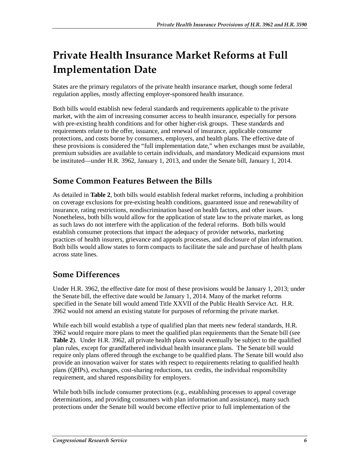# **Private Health Insurance Market Reforms at Full Implementation Date**

States are the primary regulators of the private health insurance market, though some federal regulation applies, mostly affecting employer-sponsored health insurance.

Both bills would establish new federal standards and requirements applicable to the private market, with the aim of increasing consumer access to health insurance, especially for persons with pre-existing health conditions and for other higher-risk groups. These standards and requirements relate to the offer, issuance, and renewal of insurance, applicable consumer protections, and costs borne by consumers, employers, and health plans. The effective date of these provisions is considered the "full implementation date," when exchanges must be available, premium subsidies are available to certain individuals, and mandatory Medicaid expansions must be instituted—under H.R. 3962, January 1, 2013, and under the Senate bill, January 1, 2014.

### **Some Common Features Between the Bills**

As detailed in **Table 2**, both bills would establish federal market reforms, including a prohibition on coverage exclusions for pre-existing health conditions, guaranteed issue and renewability of insurance, rating restrictions, nondiscrimination based on health factors, and other issues. Nonetheless, both bills would allow for the application of state law to the private market, as long as such laws do not interfere with the application of the federal reforms. Both bills would establish consumer protections that impact the adequacy of provider networks, marketing practices of health insurers, grievance and appeals processes, and disclosure of plan information. Both bills would allow states to form compacts to facilitate the sale and purchase of health plans across state lines.

### **Some Differences**

Under H.R. 3962, the effective date for most of these provisions would be January 1, 2013; under the Senate bill, the effective date would be January 1, 2014. Many of the market reforms specified in the Senate bill would amend Title XXVII of the Public Health Service Act. H.R. 3962 would not amend an existing statute for purposes of reforming the private market.

While each bill would establish a type of qualified plan that meets new federal standards, H.R. 3962 would require more plans to meet the qualified plan requirements than the Senate bill (see **Table 2**). Under H.R. 3962, all private health plans would eventually be subject to the qualified plan rules, except for grandfathered individual health insurance plans. The Senate bill would require only plans offered through the exchange to be qualified plans. The Senate bill would also provide an innovation waiver for states with respect to requirements relating to qualified health plans (QHPs), exchanges, cost-sharing reductions, tax credits, the individual responsibility requirement, and shared responsibility for employers.

While both bills include consumer protections (e.g., establishing processes to appeal coverage determinations, and providing consumers with plan information and assistance), many such protections under the Senate bill would become effective prior to full implementation of the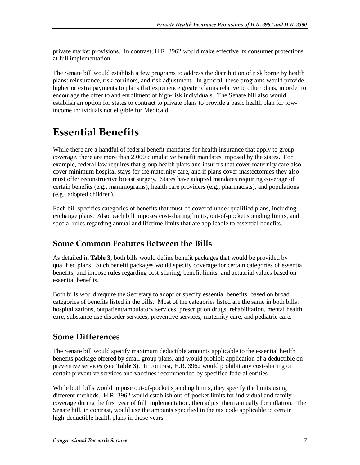private market provisions. In contrast, H.R. 3962 would make effective its consumer protections at full implementation.

The Senate bill would establish a few programs to address the distribution of risk borne by health plans: reinsurance, risk corridors, and risk adjustment. In general, these programs would provide higher or extra payments to plans that experience greater claims relative to other plans, in order to encourage the offer to and enrollment of high-risk individuals. The Senate bill also would establish an option for states to contract to private plans to provide a basic health plan for lowincome individuals not eligible for Medicaid.

### **Essential Benefits**

While there are a handful of federal benefit mandates for health insurance that apply to group coverage, there are more than 2,000 cumulative benefit mandates imposed by the states. For example, federal law requires that group health plans and insurers that cover maternity care also cover minimum hospital stays for the maternity care, and if plans cover mastectomies they also must offer reconstructive breast surgery. States have adopted mandates requiring coverage of certain benefits (e.g., mammograms), health care providers (e.g., pharmacists), and populations (e.g., adopted children).

Each bill specifies categories of benefits that must be covered under qualified plans, including exchange plans. Also, each bill imposes cost-sharing limits, out-of-pocket spending limits, and special rules regarding annual and lifetime limits that are applicable to essential benefits.

### **Some Common Features Between the Bills**

As detailed in **Table 3**, both bills would define benefit packages that would be provided by qualified plans. Such benefit packages would specify coverage for certain categories of essential benefits, and impose rules regarding cost-sharing, benefit limits, and actuarial values based on essential benefits.

Both bills would require the Secretary to adopt or specify essential benefits, based on broad categories of benefits listed in the bills. Most of the categories listed are the same in both bills: hospitalizations, outpatient/ambulatory services, prescription drugs, rehabilitation, mental health care, substance use disorder services, preventive services, maternity care, and pediatric care.

### **Some Differences**

The Senate bill would specify maximum deductible amounts applicable to the essential health benefits package offered by small group plans, and would prohibit application of a deductible on preventive services (see **Table 3**). In contrast, H.R. 3962 would prohibit any cost-sharing on certain preventive services and vaccines recommended by specified federal entities.

While both bills would impose out-of-pocket spending limits, they specify the limits using different methods. H.R. 3962 would establish out-of-pocket limits for individual and family coverage during the first year of full implementation, then adjust them annually for inflation. The Senate bill, in contrast, would use the amounts specified in the tax code applicable to certain high-deductible health plans in those years.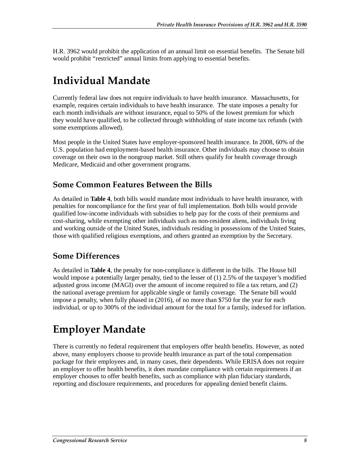H.R. 3962 would prohibit the application of an annual limit on essential benefits. The Senate bill would prohibit "restricted" annual limits from applying to essential benefits.

# **Individual Mandate**

Currently federal law does not require individuals to have health insurance. Massachusetts, for example, requires certain individuals to have health insurance. The state imposes a penalty for each month individuals are without insurance, equal to 50% of the lowest premium for which they would have qualified, to be collected through withholding of state income tax refunds (with some exemptions allowed).

Most people in the United States have employer-sponsored health insurance. In 2008, 60% of the U.S. population had employment-based health insurance. Other individuals may choose to obtain coverage on their own in the nongroup market. Still others qualify for health coverage through Medicare, Medicaid and other government programs.

#### **Some Common Features Between the Bills**

As detailed in **Table 4**, both bills would mandate most individuals to have health insurance, with penalties for noncompliance for the first year of full implementation. Both bills would provide qualified low-income individuals with subsidies to help pay for the costs of their premiums and cost-sharing, while exempting other individuals such as non-resident aliens, individuals living and working outside of the United States, individuals residing in possessions of the United States, those with qualified religious exemptions, and others granted an exemption by the Secretary.

### **Some Differences**

As detailed in **Table 4**, the penalty for non-compliance is different in the bills. The House bill would impose a potentially larger penalty, tied to the lesser of (1) 2.5% of the taxpayer's modified adjusted gross income (MAGI) over the amount of income required to file a tax return, and (2) the national average premium for applicable single or family coverage. The Senate bill would impose a penalty, when fully phased in (2016), of no more than \$750 for the year for each individual, or up to 300% of the individual amount for the total for a family, indexed for inflation.

# **Employer Mandate**

There is currently no federal requirement that employers offer health benefits. However, as noted above, many employers choose to provide health insurance as part of the total compensation package for their employees and, in many cases, their dependents. While ERISA does not require an employer to offer health benefits, it does mandate compliance with certain requirements if an employer chooses to offer health benefits, such as compliance with plan fiduciary standards, reporting and disclosure requirements, and procedures for appealing denied benefit claims.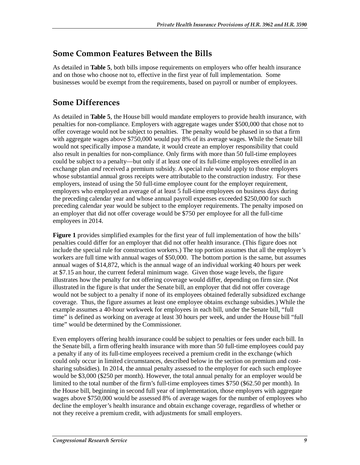#### **Some Common Features Between the Bills**

As detailed in **Table 5**, both bills impose requirements on employers who offer health insurance and on those who choose not to, effective in the first year of full implementation. Some businesses would be exempt from the requirements, based on payroll or number of employees.

### **Some Differences**

As detailed in **Table 5**, the House bill would mandate employers to provide health insurance, with penalties for non-compliance. Employers with aggregate wages under \$500,000 that chose not to offer coverage would not be subject to penalties. The penalty would be phased in so that a firm with aggregate wages above \$750,000 would pay 8% of its average wages. While the Senate bill would not specifically impose a mandate, it would create an employer responsibility that could also result in penalties for non-compliance. Only firms with more than 50 full-time employees could be subject to a penalty—but only if at least one of its full-time employees enrolled in an exchange plan *and* received a premium subsidy. A special rule would apply to those employers whose substantial annual gross receipts were attributable to the construction industry. For these employers, instead of using the 50 full-time employee count for the employer requirement, employers who employed an average of at least 5 full-time employees on business days during the preceding calendar year and whose annual payroll expenses exceeded \$250,000 for such preceding calendar year would be subject to the employer requirements. The penalty imposed on an employer that did not offer coverage would be \$750 per employee for all the full-time employees in 2014.

**Figure 1** provides simplified examples for the first year of full implementation of how the bills' penalties could differ for an employer that did not offer health insurance. (This figure does not include the special rule for construction workers.) The top portion assumes that all the employer's workers are full time with annual wages of \$50,000. The bottom portion is the same, but assumes annual wages of \$14,872, which is the annual wage of an individual working 40 hours per week at \$7.15 an hour, the current federal minimum wage. Given those wage levels, the figure illustrates how the penalty for not offering coverage would differ, depending on firm size. (Not illustrated in the figure is that under the Senate bill, an employer that did not offer coverage would not be subject to a penalty if none of its employees obtained federally subsidized exchange coverage. Thus, the figure assumes at least one employee obtains exchange subsidies.) While the example assumes a 40-hour workweek for employees in each bill, under the Senate bill, "full time" is defined as working on average at least 30 hours per week, and under the House bill "full time" would be determined by the Commissioner.

Even employers offering health insurance could be subject to penalties or fees under each bill. In the Senate bill, a firm offering health insurance with more than 50 full-time employees could pay a penalty if any of its full-time employees received a premium credit in the exchange (which could only occur in limited circumstances, described below in the section on premium and costsharing subsidies). In 2014, the annual penalty assessed to the employer for each such employee would be \$3,000 (\$250 per month). However, the total annual penalty for an employer would be limited to the total number of the firm's full-time employees times \$750 (\$62.50 per month). In the House bill, beginning in second full year of implementation, those employers with aggregate wages above \$750,000 would be assessed 8% of average wages for the number of employees who decline the employer's health insurance and obtain exchange coverage, regardless of whether or not they receive a premium credit, with adjustments for small employers.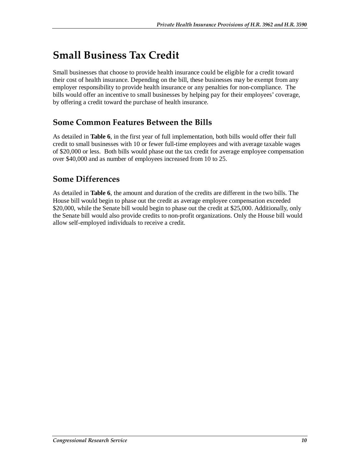## **Small Business Tax Credit**

Small businesses that choose to provide health insurance could be eligible for a credit toward their cost of health insurance. Depending on the bill, these businesses may be exempt from any employer responsibility to provide health insurance or any penalties for non-compliance. The bills would offer an incentive to small businesses by helping pay for their employees' coverage, by offering a credit toward the purchase of health insurance.

#### **Some Common Features Between the Bills**

As detailed in **Table 6**, in the first year of full implementation, both bills would offer their full credit to small businesses with 10 or fewer full-time employees and with average taxable wages of \$20,000 or less. Both bills would phase out the tax credit for average employee compensation over \$40,000 and as number of employees increased from 10 to 25.

#### **Some Differences**

As detailed in **Table 6**, the amount and duration of the credits are different in the two bills. The House bill would begin to phase out the credit as average employee compensation exceeded \$20,000, while the Senate bill would begin to phase out the credit at \$25,000. Additionally, only the Senate bill would also provide credits to non-profit organizations. Only the House bill would allow self-employed individuals to receive a credit.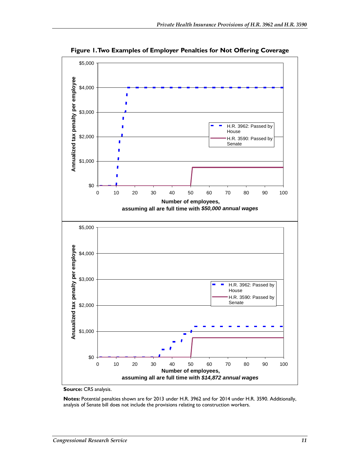

**Figure 1. Two Examples of Employer Penalties for Not Offering Coverage** 

**Source:** CRS analysis.

**Notes:** Potential penalties shown are for 2013 under H.R. 3962 and for 2014 under H.R. 3590. Additionally, analysis of Senate bill does not include the provisions relating to construction workers.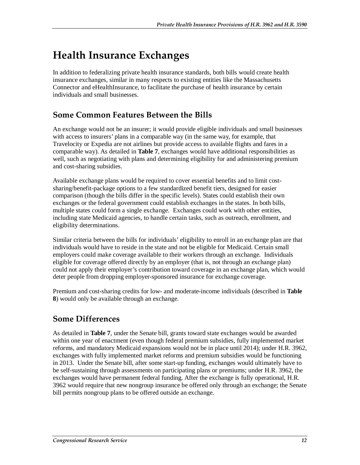# **Health Insurance Exchanges**

In addition to federalizing private health insurance standards, both bills would create health insurance exchanges, similar in many respects to existing entities like the Massachusetts Connector and eHealthInsurance, to facilitate the purchase of health insurance by certain individuals and small businesses.

### **Some Common Features Between the Bills**

An exchange would not be an insurer; it would provide eligible individuals and small businesses with access to insurers' plans in a comparable way (in the same way, for example, that Travelocity or Expedia are not airlines but provide access to available flights and fares in a comparable way). As detailed in **Table 7**, exchanges would have additional responsibilities as well, such as negotiating with plans and determining eligibility for and administering premium and cost-sharing subsidies.

Available exchange plans would be required to cover essential benefits and to limit costsharing/benefit-package options to a few standardized benefit tiers, designed for easier comparison (though the bills differ in the specific levels). States could establish their own exchanges or the federal government could establish exchanges in the states. In both bills, multiple states could form a single exchange. Exchanges could work with other entities, including state Medicaid agencies, to handle certain tasks, such as outreach, enrollment, and eligibility determinations.

Similar criteria between the bills for individuals' eligibility to enroll in an exchange plan are that individuals would have to reside in the state and not be eligible for Medicaid. Certain small employers could make coverage available to their workers through an exchange. Individuals eligible for coverage offered directly by an employer (that is, not through an exchange plan) could not apply their employer's contribution toward coverage in an exchange plan, which would deter people from dropping employer-sponsored insurance for exchange coverage.

Premium and cost-sharing credits for low- and moderate-income individuals (described in **Table 8**) would only be available through an exchange.

### **Some Differences**

As detailed in **Table 7**, under the Senate bill, grants toward state exchanges would be awarded within one year of enactment (even though federal premium subsidies, fully implemented market reforms, and mandatory Medicaid expansions would not be in place until 2014); under H.R. 3962, exchanges with fully implemented market reforms and premium subsidies would be functioning in 2013. Under the Senate bill, after some start-up funding, exchanges would ultimately have to be self-sustaining through assessments on participating plans or premiums; under H.R. 3962, the exchanges would have permanent federal funding. After the exchange is fully operational, H.R. 3962 would require that new nongroup insurance be offered only through an exchange; the Senate bill permits nongroup plans to be offered outside an exchange.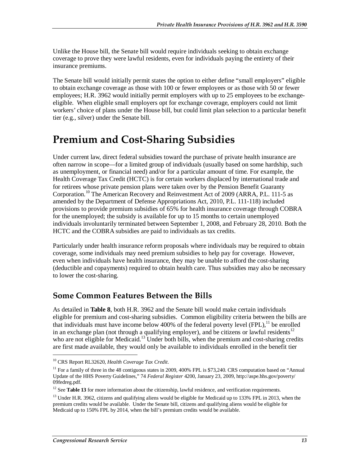Unlike the House bill, the Senate bill would require individuals seeking to obtain exchange coverage to prove they were lawful residents, even for individuals paying the entirety of their insurance premiums.

The Senate bill would initially permit states the option to either define "small employers" eligible to obtain exchange coverage as those with 100 or fewer employees or as those with 50 or fewer employees; H.R. 3962 would initially permit employers with up to 25 employees to be exchangeeligible. When eligible small employers opt for exchange coverage, employers could not limit workers' choice of plans under the House bill, but could limit plan selection to a particular benefit tier (e.g., silver) under the Senate bill.

### **Premium and Cost-Sharing Subsidies**

Under current law, direct federal subsidies toward the purchase of private health insurance are often narrow in scope—for a limited group of individuals (usually based on some hardship, such as unemployment, or financial need) and/or for a particular amount of time. For example, the Health Coverage Tax Credit (HCTC) is for certain workers displaced by international trade and for retirees whose private pension plans were taken over by the Pension Benefit Guaranty Corporation.10 The American Recovery and Reinvestment Act of 2009 (ARRA, P.L. 111-5 as amended by the Department of Defense Appropriations Act, 2010, P.L. 111-118) included provisions to provide premium subsidies of 65% for health insurance coverage through COBRA for the unemployed; the subsidy is available for up to 15 months to certain unemployed individuals involuntarily terminated between September 1, 2008, and February 28, 2010. Both the HCTC and the COBRA subsidies are paid to individuals as tax credits.

Particularly under health insurance reform proposals where individuals may be required to obtain coverage, some individuals may need premium subsidies to help pay for coverage. However, even when individuals have health insurance, they may be unable to afford the cost-sharing (deductible and copayments) required to obtain health care. Thus subsidies may also be necessary to lower the cost-sharing.

### **Some Common Features Between the Bills**

As detailed in **Table 8**, both H.R. 3962 and the Senate bill would make certain individuals eligible for premium and cost-sharing subsidies. Common eligibility criteria between the bills are that individuals must have income below 400% of the federal poverty level  $(FPL)$ ,<sup>11</sup> be enrolled in an exchange plan (not through a qualifying employer), and be citizens or lawful residents<sup>12</sup> who are not eligible for Medicaid.<sup>13</sup> Under both bills, when the premium and cost-sharing credits are first made available, they would only be available to individuals enrolled in the benefit tier

<u>.</u>

<sup>10</sup> CRS Report RL32620, *Health Coverage Tax Credit*.

<sup>&</sup>lt;sup>11</sup> For a family of three in the 48 contiguous states in 2009, 400% FPL is \$73,240. CRS computation based on "Annual" Update of the HHS Poverty Guidelines," 74 *Federal Register* 4200, January 23, 2009, http://aspe.hhs.gov/poverty/ 09fedreg.pdf.

<sup>&</sup>lt;sup>12</sup> See **Table 13** for more information about the citizenship, lawful residence, and verification requirements.

<sup>&</sup>lt;sup>13</sup> Under H.R. 3962, citizens and qualifying aliens would be eligible for Medicaid up to 133% FPL in 2013, when the premium credits would be available. Under the Senate bill, citizens and qualifying aliens would be eligible for Medicaid up to 150% FPL by 2014, when the bill's premium credits would be available.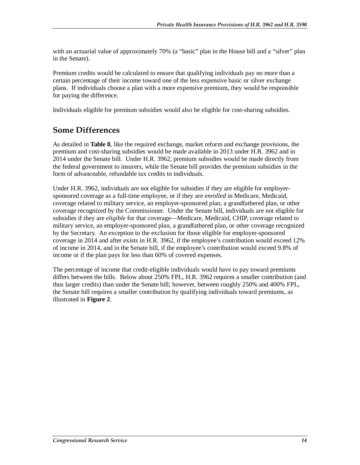with an actuarial value of approximately 70% (a "basic" plan in the House bill and a "silver" plan in the Senate).

Premium credits would be calculated to ensure that qualifying individuals pay no more than a certain percentage of their income toward one of the less expensive basic or silver exchange plans. If individuals choose a plan with a more expensive premium, they would be responsible for paying the difference.

Individuals eligible for premium subsidies would also be eligible for cost-sharing subsidies.

#### **Some Differences**

As detailed in **Table 8**, like the required exchange, market reform and exchange provisions, the premium and cost-sharing subsidies would be made available in 2013 under H.R. 3962 and in 2014 under the Senate bill. Under H.R. 3962, premium subsidies would be made directly from the federal government to insurers, while the Senate bill provides the premium subsidies in the form of advanceable, refundable tax credits to individuals.

Under H.R. 3962, individuals are not eligible for subsidies if they are eligible for employersponsored coverage as a full-time employee, or if they are *enrolled* in Medicare, Medicaid, coverage related to military service, an employer-sponsored plan, a grandfathered plan, or other coverage recognized by the Commissioner. Under the Senate bill, individuals are not eligible for subsidies if they are *eligible* for that coverage—Medicare, Medicaid, CHIP, coverage related to military service, an employer-sponsored plan, a grandfathered plan, or other coverage recognized by the Secretary. An exception to the exclusion for those eligible for employer-sponsored coverage in 2014 and after exists in H.R. 3962, if the employee's contribution would exceed 12% of income in 2014, and in the Senate bill, if the employee's contribution would exceed 9.8% of income or if the plan pays for less than 60% of covered expenses.

The percentage of income that credit-eligible individuals would have to pay toward premiums differs between the bills. Below about 250% FPL, H.R. 3962 requires a smaller contribution (and thus larger credits) than under the Senate bill; however, between roughly 250% and 400% FPL, the Senate bill requires a smaller contribution by qualifying individuals toward premiums, as illustrated in **Figure 2**.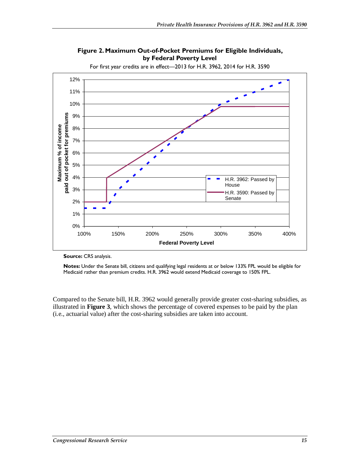

**Figure 2. Maximum Out-of-Pocket Premiums for Eligible Individuals, by Federal Poverty Level** 

For first year credits are in effect—2013 for H.R. 3962, 2014 for H.R. 3590

**Source:** CRS analysis.

**Notes:** Under the Senate bill, citizens and qualifying legal residents at or below 133% FPL would be eligible for Medicaid rather than premium credits. H.R. 3962 would extend Medicaid coverage to 150% FPL.

Compared to the Senate bill, H.R. 3962 would generally provide greater cost-sharing subsidies, as illustrated in **Figure 3**, which shows the percentage of covered expenses to be paid by the plan (i.e., actuarial value) after the cost-sharing subsidies are taken into account.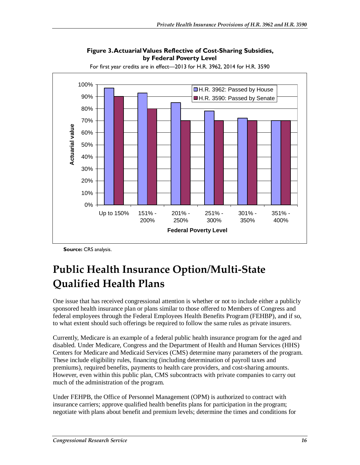

**Figure 3. Actuarial Values Reflective of Cost-Sharing Subsidies, by Federal Poverty Level** 

For first year credits are in effect—2013 for H.R. 3962, 2014 for H.R. 3590

**Source:** CRS analysis.

# **Public Health Insurance Option/Multi-State Qualified Health Plans**

One issue that has received congressional attention is whether or not to include either a publicly sponsored health insurance plan or plans similar to those offered to Members of Congress and federal employees through the Federal Employees Health Benefits Program (FEHBP), and if so, to what extent should such offerings be required to follow the same rules as private insurers.

Currently, Medicare is an example of a federal public health insurance program for the aged and disabled. Under Medicare, Congress and the Department of Health and Human Services (HHS) Centers for Medicare and Medicaid Services (CMS) determine many parameters of the program. These include eligibility rules, financing (including determination of payroll taxes and premiums), required benefits, payments to health care providers, and cost-sharing amounts. However, even within this public plan, CMS subcontracts with private companies to carry out much of the administration of the program.

Under FEHPB, the Office of Personnel Management (OPM) is authorized to contract with insurance carriers; approve qualified health benefits plans for participation in the program; negotiate with plans about benefit and premium levels; determine the times and conditions for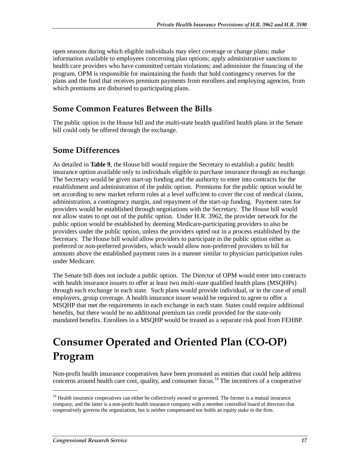open seasons during which eligible individuals may elect coverage or change plans; make information available to employees concerning plan options; apply administrative sanctions to health care providers who have committed certain violations; and administer the financing of the program. OPM is responsible for maintaining the funds that hold contingency reserves for the plans and the fund that receives premium payments from enrollees and employing agencies, from which premiums are disbursed to participating plans.

#### **Some Common Features Between the Bills**

The public option in the House bill and the multi-state health qualified health plans in the Senate bill could only be offered through the exchange.

#### **Some Differences**

As detailed in **Table 9**, the House bill would require the Secretary to establish a public health insurance option available only to individuals eligible to purchase insurance through an exchange. The Secretary would be given start-up funding and the authority to enter into contracts for the establishment and administration of the public option. Premiums for the public option would be set according to new market reform rules at a level sufficient to cover the cost of medical claims, administration, a contingency margin, and repayment of the start-up funding. Payment rates for providers would be established through negotiations with the Secretary. The House bill would not allow states to opt out of the public option. Under H.R. 3962, the provider network for the public option would be established by deeming Medicare-participating providers to also be providers under the public option, unless the providers opted out in a process established by the Secretary. The House bill would allow providers to participate in the public option either as preferred or non-preferred providers, which would allow non-preferred providers to bill for amounts above the established payment rates in a manner similar to physician participation rules under Medicare.

The Senate bill does not include a public option. The Director of OPM would enter into contracts with health insurance issuers to offer at least two multi-state qualified health plans (MSQHPs) through each exchange in each state. Such plans would provide individual, or in the case of small employers, group coverage. A health insurance issuer would be required to agree to offer a MSQHP that met the requirements in each exchange in each state. States could require additional benefits, but there would be no additional premium tax credit provided for the state-only mandated benefits. Enrollees in a MSQHP would be treated as a separate risk pool from FEHBP.

# **Consumer Operated and Oriented Plan (CO-OP) Program**

Non-profit health insurance cooperatives have been promoted as entities that could help address concerns around health care cost, quality, and consumer focus.<sup>14</sup> The incentives of a cooperative

<sup>&</sup>lt;sup>14</sup> Health insurance cooperatives can either be collectively owned or governed. The former is a mutual insurance company, and the latter is a non-profit health insurance company with a member controlled board of directors that cooperatively governs the organization, but is neither compensated nor holds an equity stake in the firm.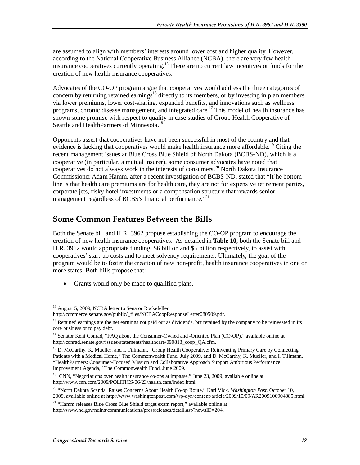are assumed to align with members' interests around lower cost and higher quality. However, according to the National Cooperative Business Alliance (NCBA), there are very few health insurance cooperatives currently operating.<sup>15</sup> There are no current law incentives or funds for the creation of new health insurance cooperatives.

Advocates of the CO-OP program argue that cooperatives would address the three categories of concern by returning retained earnings<sup>16</sup> directly to its members, or by investing in plan members via lower premiums, lower cost-sharing, expanded benefits, and innovations such as wellness programs, chronic disease management, and integrated care.<sup>17</sup> This model of health insurance has shown some promise with respect to quality in case studies of Group Health Cooperative of Seattle and HealthPartners of Minnesota.<sup>18</sup>

Opponents assert that cooperatives have not been successful in most of the country and that evidence is lacking that cooperatives would make health insurance more affordable.<sup>19</sup> Citing the recent management issues at Blue Cross Blue Shield of North Dakota (BCBS-ND), which is a cooperative (in particular, a mutual insurer), some consumer advocates have noted that cooperatives do not always work in the interests of consumers.<sup>20</sup> North Dakota Insurance Commissioner Adam Hamm, after a recent investigation of BCBS-ND, stated that "[t]he bottom line is that health care premiums are for health care, they are not for expensive retirement parties, corporate jets, risky hotel investments or a compensation structure that rewards senior management regardless of BCBS's financial performance."<sup>21</sup>

#### **Some Common Features Between the Bills**

Both the Senate bill and H.R. 3962 propose establishing the CO-OP program to encourage the creation of new health insurance cooperatives. As detailed in **Table 10**, both the Senate bill and H.R. 3962 would appropriate funding, \$6 billion and \$5 billion respectively, to assist with cooperatives' start-up costs and to meet solvency requirements. Ultimately, the goal of the program would be to foster the creation of new non-profit, health insurance cooperatives in one or more states. Both bills propose that:

• Grants would only be made to qualified plans.

<sup>&</sup>lt;sup>15</sup> August 5, 2009, NCBA letter to Senator Rockefeller

http://commerce.senate.gov/public/\_files/NCBACoopResponseLetter080509.pdf.

<sup>&</sup>lt;sup>16</sup> Retained earnings are the net earnings not paid out as dividends, but retained by the company to be reinvested in its core business or to pay debt.

<sup>&</sup>lt;sup>17</sup> Senator Kent Conrad, "FAQ about the Consumer-Owned and -Oriented Plan (CO-OP)," available online at http://conrad.senate.gov/issues/statements/healthcare/090813\_coop\_QA.cfm.

<sup>&</sup>lt;sup>18</sup> D. McCarthy, K. Mueller, and I. Tillmann, "Group Health Cooperative: Reinventing Primary Care by Connecting Patients with a Medical Home," The Commonwealth Fund, July 2009, and D. McCarthy, K. Mueller, and I. Tillmann, "HealthPartners: Consumer-Focused Mission and Collaborative Approach Support Ambitious Performance Improvement Agenda," The Commonwealth Fund, June 2009.

<sup>&</sup>lt;sup>19</sup> CNN, "Negotiations over health insurance co-ops at impasse," June 23, 2009, available online at http://www.cnn.com/2009/POLITICS/06/23/health.care/index.html.

<sup>20 &</sup>quot;North Dakota Scandal Raises Concerns About Health Co-op Route," Karl Vick, *Washington Post*, October 10, 2009, available online at http://www.washingtonpost.com/wp-dyn/content/article/2009/10/09/AR2009100904085.html.

<sup>&</sup>lt;sup>21</sup> "Hamm releases Blue Cross Blue Shield target exam report," available online at http://www.nd.gov/ndins/communications/pressreleases/detail.asp?newsID=204.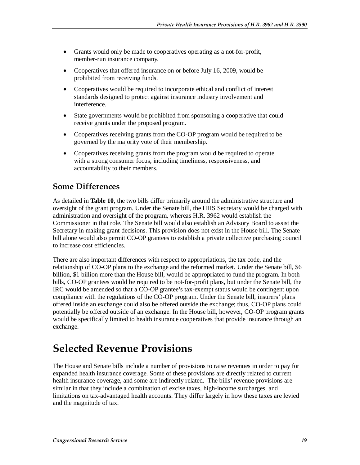- Grants would only be made to cooperatives operating as a not-for-profit, member-run insurance company.
- Cooperatives that offered insurance on or before July 16, 2009, would be prohibited from receiving funds.
- Cooperatives would be required to incorporate ethical and conflict of interest standards designed to protect against insurance industry involvement and interference.
- State governments would be prohibited from sponsoring a cooperative that could receive grants under the proposed program.
- Cooperatives receiving grants from the CO-OP program would be required to be governed by the majority vote of their membership.
- Cooperatives receiving grants from the program would be required to operate with a strong consumer focus, including timeliness, responsiveness, and accountability to their members.

### **Some Differences**

As detailed in **Table 10**, the two bills differ primarily around the administrative structure and oversight of the grant program. Under the Senate bill, the HHS Secretary would be charged with administration and oversight of the program, whereas H.R. 3962 would establish the Commissioner in that role. The Senate bill would also establish an Advisory Board to assist the Secretary in making grant decisions. This provision does not exist in the House bill. The Senate bill alone would also permit CO-OP grantees to establish a private collective purchasing council to increase cost efficiencies.

There are also important differences with respect to appropriations, the tax code, and the relationship of CO-OP plans to the exchange and the reformed market. Under the Senate bill, \$6 billion, \$1 billion more than the House bill, would be appropriated to fund the program. In both bills, CO-OP grantees would be required to be not-for-profit plans, but under the Senate bill, the IRC would be amended so that a CO-OP grantee's tax-exempt status would be contingent upon compliance with the regulations of the CO-OP program. Under the Senate bill, insurers' plans offered inside an exchange could also be offered outside the exchange; thus, CO-OP plans could potentially be offered outside of an exchange. In the House bill, however, CO-OP program grants would be specifically limited to health insurance cooperatives that provide insurance through an exchange.

### **Selected Revenue Provisions**

The House and Senate bills include a number of provisions to raise revenues in order to pay for expanded health insurance coverage. Some of these provisions are directly related to current health insurance coverage, and some are indirectly related. The bills' revenue provisions are similar in that they include a combination of excise taxes, high-income surcharges, and limitations on tax-advantaged health accounts. They differ largely in how these taxes are levied and the magnitude of tax.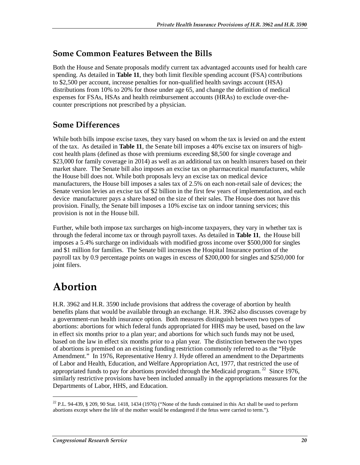#### **Some Common Features Between the Bills**

Both the House and Senate proposals modify current tax advantaged accounts used for health care spending. As detailed in **Table 11**, they both limit flexible spending account (FSA) contributions to \$2,500 per account, increase penalties for non-qualified health savings account (HSA) distributions from 10% to 20% for those under age 65, and change the definition of medical expenses for FSAs, HSAs and health reimbursement accounts (HRAs) to exclude over-thecounter prescriptions not prescribed by a physician.

### **Some Differences**

While both bills impose excise taxes, they vary based on whom the tax is levied on and the extent of the tax. As detailed in **Table 11**, the Senate bill imposes a 40% excise tax on insurers of highcost health plans (defined as those with premiums exceeding \$8,500 for single coverage and \$23,000 for family coverage in 2014) as well as an additional tax on health insurers based on their market share. The Senate bill also imposes an excise tax on pharmaceutical manufacturers, while the House bill does not. While both proposals levy an excise tax on medical device manufacturers, the House bill imposes a sales tax of 2.5% on each non-retail sale of devices; the Senate version levies an excise tax of \$2 billion in the first few years of implementation, and each device manufacturer pays a share based on the size of their sales. The House does not have this provision. Finally, the Senate bill imposes a 10% excise tax on indoor tanning services; this provision is not in the House bill.

Further, while both impose tax surcharges on high-income taxpayers, they vary in whether tax is through the federal income tax or through payroll taxes. As detailed in **Table 11**, the House bill imposes a 5.4% surcharge on individuals with modified gross income over \$500,000 for singles and \$1 million for families. The Senate bill increases the Hospital Insurance portion of the payroll tax by 0.9 percentage points on wages in excess of \$200,000 for singles and \$250,000 for joint filers.

### **Abortion**

<u>.</u>

H.R. 3962 and H.R. 3590 include provisions that address the coverage of abortion by health benefits plans that would be available through an exchange. H.R. 3962 also discusses coverage by a government-run health insurance option. Both measures distinguish between two types of abortions: abortions for which federal funds appropriated for HHS may be used, based on the law in effect six months prior to a plan year; and abortions for which such funds may not be used, based on the law in effect six months prior to a plan year. The distinction between the two types of abortions is premised on an existing funding restriction commonly referred to as the "Hyde Amendment." In 1976, Representative Henry J. Hyde offered an amendment to the Departments of Labor and Health, Education, and Welfare Appropriation Act, 1977, that restricted the use of appropriated funds to pay for abortions provided through the Medicaid program.<sup>22</sup> Since 1976, similarly restrictive provisions have been included annually in the appropriations measures for the Departments of Labor, HHS, and Education.

 $22$  P.L. 94-439, § 209, 90 Stat. 1418, 1434 (1976) ("None of the funds contained in this Act shall be used to perform abortions except where the life of the mother would be endangered if the fetus were carried to term.").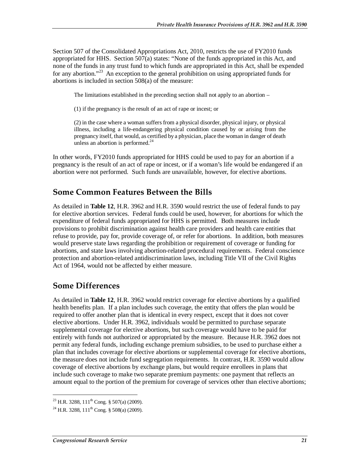Section 507 of the Consolidated Appropriations Act, 2010, restricts the use of FY2010 funds appropriated for HHS. Section 507(a) states: "None of the funds appropriated in this Act, and none of the funds in any trust fund to which funds are appropriated in this Act, shall be expended for any abortion."<sup>23</sup> An exception to the general prohibition on using appropriated funds for abortions is included in section 508(a) of the measure:

The limitations established in the preceding section shall not apply to an abortion –

(1) if the pregnancy is the result of an act of rape or incest; or

(2) in the case where a woman suffers from a physical disorder, physical injury, or physical illness, including a life-endangering physical condition caused by or arising from the pregnancy itself, that would, as certified by a physician, place the woman in danger of death unless an abortion is performed.<sup>24</sup>

In other words, FY2010 funds appropriated for HHS could be used to pay for an abortion if a pregnancy is the result of an act of rape or incest, or if a woman's life would be endangered if an abortion were not performed. Such funds are unavailable, however, for elective abortions.

#### **Some Common Features Between the Bills**

As detailed in **Table 12**, H.R. 3962 and H.R. 3590 would restrict the use of federal funds to pay for elective abortion services. Federal funds could be used, however, for abortions for which the expenditure of federal funds appropriated for HHS is permitted. Both measures include provisions to prohibit discrimination against health care providers and health care entities that refuse to provide, pay for, provide coverage of, or refer for abortions. In addition, both measures would preserve state laws regarding the prohibition or requirement of coverage or funding for abortions, and state laws involving abortion-related procedural requirements. Federal conscience protection and abortion-related antidiscrimination laws, including Title VII of the Civil Rights Act of 1964, would not be affected by either measure.

#### **Some Differences**

As detailed in **Table 12**, H.R. 3962 would restrict coverage for elective abortions by a qualified health benefits plan. If a plan includes such coverage, the entity that offers the plan would be required to offer another plan that is identical in every respect, except that it does not cover elective abortions. Under H.R. 3962, individuals would be permitted to purchase separate supplemental coverage for elective abortions, but such coverage would have to be paid for entirely with funds not authorized or appropriated by the measure. Because H.R. 3962 does not permit any federal funds, including exchange premium subsidies, to be used to purchase either a plan that includes coverage for elective abortions or supplemental coverage for elective abortions, the measure does not include fund segregation requirements. In contrast, H.R. 3590 would allow coverage of elective abortions by exchange plans, but would require enrollees in plans that include such coverage to make two separate premium payments: one payment that reflects an amount equal to the portion of the premium for coverage of services other than elective abortions;

<sup>&</sup>lt;sup>23</sup> H.R. 3288, 111<sup>th</sup> Cong. § 507(a) (2009).

<sup>&</sup>lt;sup>24</sup> H.R. 3288, 111<sup>th</sup> Cong. § 508(a) (2009).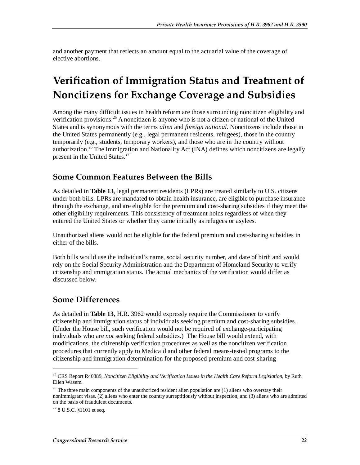and another payment that reflects an amount equal to the actuarial value of the coverage of elective abortions.

# **Verification of Immigration Status and Treatment of Noncitizens for Exchange Coverage and Subsidies**

Among the many difficult issues in health reform are those surrounding noncitizen eligibility and verification provisions.<sup>25</sup> A noncitizen is anyone who is not a citizen or national of the United States and is synonymous with the terms *alien* and *foreign national*. Noncitizens include those in the United States permanently (e.g., legal permanent residents, refugees), those in the country temporarily (e.g., students, temporary workers), and those who are in the country without authorization.<sup>26</sup> The Immigration and Nationality Act (INA) defines which noncitizens are legally present in the United States.<sup>27</sup>

#### **Some Common Features Between the Bills**

As detailed in **Table 13**, legal permanent residents (LPRs) are treated similarly to U.S. citizens under both bills. LPRs are mandated to obtain health insurance, are eligible to purchase insurance through the exchange, and are eligible for the premium and cost-sharing subsidies if they meet the other eligibility requirements. This consistency of treatment holds regardless of when they entered the United States or whether they came initially as refugees or asylees.

Unauthorized aliens would not be eligible for the federal premium and cost-sharing subsidies in either of the bills.

Both bills would use the individual's name, social security number, and date of birth and would rely on the Social Security Administration and the Department of Homeland Security to verify citizenship and immigration status. The actual mechanics of the verification would differ as discussed below.

#### **Some Differences**

As detailed in **Table 13**, H.R. 3962 would expressly require the Commissioner to verify citizenship and immigration status of individuals seeking premium and cost-sharing subsidies. (Under the House bill, such verification would not be required of exchange-participating individuals who are *not* seeking federal subsidies.) The House bill would extend, with modifications, the citizenship verification procedures as well as the noncitizen verification procedures that currently apply to Medicaid and other federal means-tested programs to the citizenship and immigration determination for the proposed premium and cost-sharing

<sup>&</sup>lt;sup>25</sup> CRS Report R40889, *Noncitizen Eligibility and Verification Issues in the Health Care Reform Legislation*, by Ruth Ellen Wasem.

 $26$  The three main components of the unauthorized resident alien population are (1) aliens who overstay their nonimmigrant visas, (2) aliens who enter the country surreptitiously without inspection, and (3) aliens who are admitted on the basis of fraudulent documents.

 $278$  U.S.C. §1101 et seq.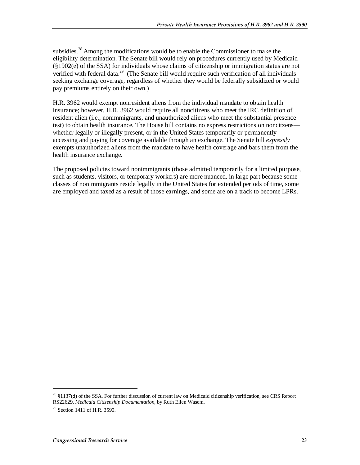subsidies.<sup>28</sup> Among the modifications would be to enable the Commissioner to make the eligibility determination. The Senate bill would rely on procedures currently used by Medicaid (§1902(e) of the SSA) for individuals whose claims of citizenship or immigration status are not verified with federal data.<sup>29</sup> (The Senate bill would require such verification of all individuals seeking exchange coverage, regardless of whether they would be federally subsidized or would pay premiums entirely on their own.)

H.R. 3962 would exempt nonresident aliens from the individual mandate to obtain health insurance; however, H.R. 3962 would require all noncitizens who meet the IRC definition of resident alien (i.e., nonimmigrants, and unauthorized aliens who meet the substantial presence test) to obtain health insurance. The House bill contains no express restrictions on noncitzens whether legally or illegally present, or in the United States temporarily or permanently accessing and paying for coverage available through an exchange. The Senate bill *expressly*  exempts unauthorized aliens from the mandate to have health coverage and bars them from the health insurance exchange.

The proposed policies toward nonimmigrants (those admitted temporarily for a limited purpose, such as students, visitors, or temporary workers) are more nuanced, in large part because some classes of nonimmigrants reside legally in the United States for extended periods of time, some are employed and taxed as a result of those earnings, and some are on a track to become LPRs.

<sup>&</sup>lt;sup>28</sup> §1137(d) of the SSA. For further discussion of current law on Medicaid citizenship verification, see CRS Report RS22629, *Medicaid Citizenship Documentation*, by Ruth Ellen Wasem.

 $29$  Section 1411 of H.R. 3590.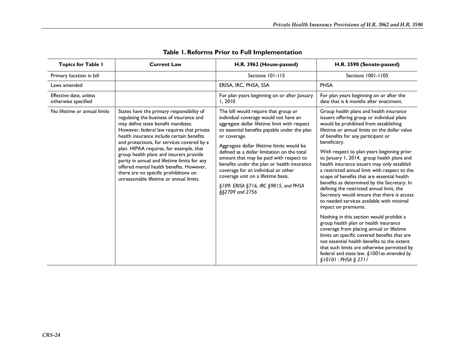| <b>Topics for Table I</b>                     | <b>Current Law</b>                                                                                                                                                                                                                                                                                                                                                                                                                                                                                                                         | H.R. 3962 (House-passed)                                                                                                                                                                                                                                                                                                                                                                                                                                                                                                     | H.R. 3590 (Senate-passed)                                                                                                                                                                                                                                                                                                                                                                                                                                                                                                                                                                                                                                                                                                                                                                                                                                                                                                                                                                                                                               |
|-----------------------------------------------|--------------------------------------------------------------------------------------------------------------------------------------------------------------------------------------------------------------------------------------------------------------------------------------------------------------------------------------------------------------------------------------------------------------------------------------------------------------------------------------------------------------------------------------------|------------------------------------------------------------------------------------------------------------------------------------------------------------------------------------------------------------------------------------------------------------------------------------------------------------------------------------------------------------------------------------------------------------------------------------------------------------------------------------------------------------------------------|---------------------------------------------------------------------------------------------------------------------------------------------------------------------------------------------------------------------------------------------------------------------------------------------------------------------------------------------------------------------------------------------------------------------------------------------------------------------------------------------------------------------------------------------------------------------------------------------------------------------------------------------------------------------------------------------------------------------------------------------------------------------------------------------------------------------------------------------------------------------------------------------------------------------------------------------------------------------------------------------------------------------------------------------------------|
| Primary location in bill                      |                                                                                                                                                                                                                                                                                                                                                                                                                                                                                                                                            | Sections 101-115                                                                                                                                                                                                                                                                                                                                                                                                                                                                                                             | Sections 1001-1105                                                                                                                                                                                                                                                                                                                                                                                                                                                                                                                                                                                                                                                                                                                                                                                                                                                                                                                                                                                                                                      |
| Laws amended                                  |                                                                                                                                                                                                                                                                                                                                                                                                                                                                                                                                            | ERISA, IRC, PHSA, SSA                                                                                                                                                                                                                                                                                                                                                                                                                                                                                                        | <b>PHSA</b>                                                                                                                                                                                                                                                                                                                                                                                                                                                                                                                                                                                                                                                                                                                                                                                                                                                                                                                                                                                                                                             |
| Effective date, unless<br>otherwise specified |                                                                                                                                                                                                                                                                                                                                                                                                                                                                                                                                            | For plan years beginning on or after January<br>1,2010                                                                                                                                                                                                                                                                                                                                                                                                                                                                       | For plan years beginning on or after the<br>date that is 6 months after enactment.                                                                                                                                                                                                                                                                                                                                                                                                                                                                                                                                                                                                                                                                                                                                                                                                                                                                                                                                                                      |
| No lifetime or annual limits                  | States have the primary responsibility of<br>regulating the business of insurance and<br>may define state benefit mandates.<br>However, federal law requires that private<br>health insurance include certain benefits<br>and protections, for services covered by a<br>plan. HIPAA requires, for example, that<br>group health plans and insurers provide<br>parity in annual and lifetime limits for any<br>offered mental health benefits. However,<br>there are no specific prohibitions on<br>unreasonable lifetime or annual limits. | The bill would require that group or<br>individual coverage would not have an<br>aggregate dollar lifetime limit with respect<br>to essential benefits payable under the plan<br>or coverage.<br>Aggregate dollar lifetime limits would be<br>defined as a dollar limitation on the total<br>amount that may be paid with respect to<br>benefits under the plan or health insurance<br>coverage for an individual or other<br>coverage unit on a lifetime basis.<br>§109: ERISA §716, IRC §9815, and PHSA<br>§§2709 and 2756 | Group health plans and health insurance<br>issuers offering group or individual plans<br>would be prohibited from establishing<br>lifetime or annual limits on the dollar value<br>of benefits for any participant or<br>beneficiary.<br>With respect to plan years beginning prior<br>to January 1, 2014, group health plans and<br>health insurance issuers may only establish<br>a restricted annual limit with respect to the<br>scope of benefits that are essential health<br>benefits as determined by the Secretary. In<br>defining the restricted annual limit, the<br>Secretary would ensure that there is access<br>to needed services available with minimal<br>impact on premiums.<br>Nothing in this section would prohibit a<br>group health plan or health insurance<br>coverage from placing annual or lifetime<br>limits on specific covered benefits that are<br>not essential health benefits to the extent<br>that such limits are otherwise permitted by<br>federal and state law. $$1001$ as amended by<br>\$10101 : PHSA \$2711 |

#### **Table 1. Reforms Prior to Full Implementation**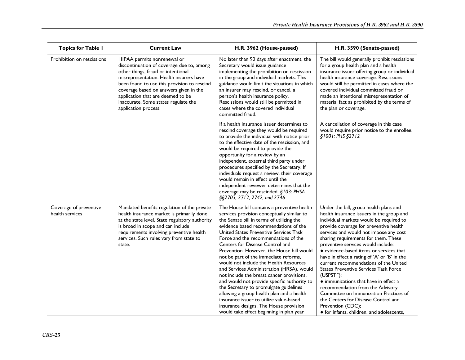| <b>Topics for Table I</b>                 | <b>Current Law</b>                                                                                                                                                                                                                                                                                                                                      | H.R. 3962 (House-passed)                                                                                                                                                                                                                                                                                                                                                                                                                                                                                                                                                                                                                                                                                                                                                                              | H.R. 3590 (Senate-passed)                                                                                                                                                                                                                                                                                                                                                                                                                                                                                                                                                                                                                                                                                                         |
|-------------------------------------------|---------------------------------------------------------------------------------------------------------------------------------------------------------------------------------------------------------------------------------------------------------------------------------------------------------------------------------------------------------|-------------------------------------------------------------------------------------------------------------------------------------------------------------------------------------------------------------------------------------------------------------------------------------------------------------------------------------------------------------------------------------------------------------------------------------------------------------------------------------------------------------------------------------------------------------------------------------------------------------------------------------------------------------------------------------------------------------------------------------------------------------------------------------------------------|-----------------------------------------------------------------------------------------------------------------------------------------------------------------------------------------------------------------------------------------------------------------------------------------------------------------------------------------------------------------------------------------------------------------------------------------------------------------------------------------------------------------------------------------------------------------------------------------------------------------------------------------------------------------------------------------------------------------------------------|
| Prohibition on rescissions                | HIPAA permits nonrenewal or<br>discontinuation of coverage due to, among<br>other things, fraud or intentional<br>misrepresentation. Health insurers have<br>been found to use this provision to rescind<br>coverage based on answers given in the<br>application that are deemed to be<br>inaccurate. Some states regulate the<br>application process. | No later than 90 days after enactment, the<br>Secretary would issue guidance<br>implementing the prohibition on rescission<br>in the group and individual markets. This<br>guidance would limit the situations in which<br>an insurer may rescind, or cancel, a<br>person's health insurance policy.<br>Rescissions would still be permitted in<br>cases where the covered individual<br>committed fraud.                                                                                                                                                                                                                                                                                                                                                                                             | The bill would generally prohibit rescissions<br>for a group health plan and a health<br>insurance issuer offering group or individual<br>health insurance coverage. Rescissions<br>would still be permitted in cases where the<br>covered individual committed fraud or<br>made an intentional misrepresentation of<br>material fact as prohibited by the terms of<br>the plan or coverage.                                                                                                                                                                                                                                                                                                                                      |
|                                           |                                                                                                                                                                                                                                                                                                                                                         | If a health insurance issuer determines to<br>rescind coverage they would be required<br>to provide the individual with notice prior<br>to the effective date of the rescission, and<br>would be required to provide the<br>opportunity for a review by an<br>independent, external third party under<br>procedures specified by the Secretary. If<br>individuals request a review, their coverage<br>would remain in effect until the<br>independent reviewer determines that the<br>coverage may be rescinded. §103: PHSA<br>§§2703, 2712, 2742, and 2746                                                                                                                                                                                                                                           | A cancellation of coverage in this case<br>would require prior notice to the enrollee.<br>\$1001: PHS \$2712                                                                                                                                                                                                                                                                                                                                                                                                                                                                                                                                                                                                                      |
| Coverage of preventive<br>health services | Mandated benefits regulation of the private<br>health insurance market is primarily done<br>at the state level. State regulatory authority<br>is broad in scope and can include<br>requirements involving preventive health<br>services. Such rules vary from state to<br>state.                                                                        | The House bill contains a preventive health<br>services provision conceptually similar to<br>the Senate bill in terms of utilizing the<br>evidence based recommendations of the<br>United States Preventive Services Task<br>Force and the recommendations of the<br>Centers for Disease Control and<br>Prevention. However, the House bill would<br>not be part of the immediate reforms,<br>would not include the Health Resources<br>and Services Administration (HRSA), would<br>not include the breast cancer provisions,<br>and would not provide specific authority to<br>the Secretary to promulgate guidelines<br>allowing a group health plan and a health<br>insurance issuer to utilize value-based<br>insurance designs. The House provision<br>would take effect beginning in plan year | Under the bill, group health plans and<br>health insurance issuers in the group and<br>individual markets would be required to<br>provide coverage for preventive health<br>services and would not impose any cost<br>sharing requirements for them. These<br>preventive services would include:<br>· evidence-based items or services that<br>have in effect a rating of 'A' or 'B' in the<br>current recommendations of the United<br><b>States Preventive Services Task Force</b><br>(USPSTF);<br>• immunizations that have in effect a<br>recommendation from the Advisory<br>Committee on Immunization Practices of<br>the Centers for Disease Control and<br>Prevention (CDC);<br>• for infants, children, and adolescents, |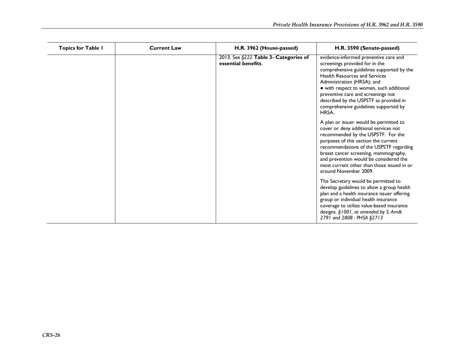| <b>Topics for Table I</b> | <b>Current Law</b> | H.R. 3962 (House-passed)                                     | H.R. 3590 (Senate-passed)                                                                                                                                                                                                                                                                                                                                                |
|---------------------------|--------------------|--------------------------------------------------------------|--------------------------------------------------------------------------------------------------------------------------------------------------------------------------------------------------------------------------------------------------------------------------------------------------------------------------------------------------------------------------|
|                           |                    | 2013. See §222 Table 3- Categories of<br>essential benefits. | evidence-informed preventive care and<br>screenings provided for in the<br>comprehensive guidelines supported by the<br><b>Health Resources and Services</b><br>Administration (HRSA); and<br>• with respect to women, such additional<br>preventive care and screenings not<br>described by the USPSTF as provided in<br>comprehensive guidelines supported by<br>HRSA. |
|                           |                    |                                                              | A plan or issuer would be permitted to<br>cover or deny additional services not<br>recommended by the USPSTF. For the<br>purposes of this section the current<br>recommendations of the USPSTF regarding<br>breast cancer screening, mammography,<br>and prevention would be considered the<br>most current other than those issued in or<br>around November 2009.       |
|                           |                    |                                                              | The Secretary would be permitted to<br>develop guidelines to allow a group health<br>plan and a health insurance issuer offering<br>group or individual health insurance<br>coverage to utilize value-based insurance<br>designs. §1001, as amended by S. Amdt.<br>2791 and 2808 : PHSA §2713                                                                            |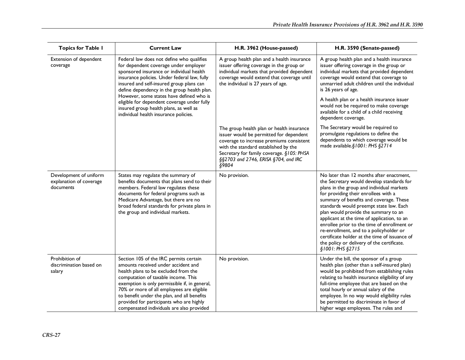| <b>Topics for Table I</b>                                      | <b>Current Law</b>                                                                                                                                                                                                                                                                                                                                                                                 | H.R. 3962 (House-passed)                                                                                                                                                                                                                                               | H.R. 3590 (Senate-passed)                                                                                                                                                                                                                                                                                                                                                                                                                                                                                                                                              |
|----------------------------------------------------------------|----------------------------------------------------------------------------------------------------------------------------------------------------------------------------------------------------------------------------------------------------------------------------------------------------------------------------------------------------------------------------------------------------|------------------------------------------------------------------------------------------------------------------------------------------------------------------------------------------------------------------------------------------------------------------------|------------------------------------------------------------------------------------------------------------------------------------------------------------------------------------------------------------------------------------------------------------------------------------------------------------------------------------------------------------------------------------------------------------------------------------------------------------------------------------------------------------------------------------------------------------------------|
| Extension of dependent<br>coverage                             | Federal law does not define who qualifies<br>for dependent coverage under employer<br>sponsored insurance or individual health<br>insurance policies. Under federal law, fully<br>insured and self-insured group plans can<br>define dependency in the group health plan.                                                                                                                          | A group health plan and a health insurance<br>issuer offering coverage in the group or<br>individual markets that provided dependent<br>coverage would extend that coverage until<br>the individual is 27 years of age.                                                | A group health plan and a health insurance<br>issuer offering coverage in the group or<br>individual markets that provided dependent<br>coverage would extend that coverage to<br>unmarried adult children until the individual<br>is 26 years of age.                                                                                                                                                                                                                                                                                                                 |
|                                                                | However, some states have defined who is<br>eligible for dependent coverage under fully<br>insured group health plans, as well as<br>individual health insurance policies.                                                                                                                                                                                                                         |                                                                                                                                                                                                                                                                        | A health plan or a health insurance issuer<br>would not be required to make coverage<br>available for a child of a child receiving<br>dependent coverage.                                                                                                                                                                                                                                                                                                                                                                                                              |
|                                                                |                                                                                                                                                                                                                                                                                                                                                                                                    | The group health plan or health insurance<br>issuer would be permitted for dependent<br>coverage to increase premiums consistent<br>with the standard established by the<br>Secretary for family coverage. §105: PHSA<br>§§2703 and 2746, ERISA §704, and IRC<br>§9804 | The Secretary would be required to<br>promulgate regulations to define the<br>dependents to which coverage would be<br>made available.§1001: PHS §2714                                                                                                                                                                                                                                                                                                                                                                                                                 |
| Development of uniform<br>explanation of coverage<br>documents | States may regulate the summary of<br>benefits documents that plans send to their<br>members. Federal law regulates these<br>documents for federal programs such as<br>Medicare Advantage, but there are no<br>broad federal standards for private plans in<br>the group and individual markets.                                                                                                   | No provision.                                                                                                                                                                                                                                                          | No later than 12 months after enactment,<br>the Secretary would develop standards for<br>plans in the group and individual markets<br>for providing their enrollees with a<br>summary of benefits and coverage. These<br>standards would preempt state law. Each<br>plan would provide the summary to an<br>applicant at the time of application, to an<br>enrollee prior to the time of enrollment or<br>re-enrollment, and to a policyholder or<br>certificate holder at the time of issuance of<br>the policy or delivery of the certificate.<br>\$1001: PHS \$2715 |
| Prohibition of<br>discrimination based on<br>salary            | Section 105 of the IRC permits certain<br>amounts received under accident and<br>health plans to be excluded from the<br>computation of taxable income. This<br>exemption is only permissible if, in general,<br>70% or more of all employees are eligible<br>to benefit under the plan, and all benefits<br>provided for participants who are highly<br>compensated individuals are also provided | No provision.                                                                                                                                                                                                                                                          | Under the bill, the sponsor of a group<br>health plan (other than a self-insured plan)<br>would be prohibited from establishing rules<br>relating to health insurance eligibility of any<br>full-time employee that are based on the<br>total hourly or annual salary of the<br>employee. In no way would eligibility rules<br>be permitted to discriminate in favor of<br>higher wage employees. The rules and                                                                                                                                                        |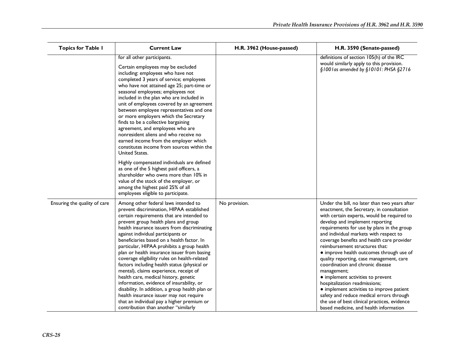| <b>Topics for Table I</b>    | <b>Current Law</b>                                                                                                                                                                                                                                                                                                                                                                                                                                                                                                                                                                                                                                                                                                                                                                                                                                                                                     | H.R. 3962 (House-passed) | H.R. 3590 (Senate-passed)                                                                                                                                                                                                                                                                                                                                                                                                                                                                                                                                                                                                                                                                                                                               |
|------------------------------|--------------------------------------------------------------------------------------------------------------------------------------------------------------------------------------------------------------------------------------------------------------------------------------------------------------------------------------------------------------------------------------------------------------------------------------------------------------------------------------------------------------------------------------------------------------------------------------------------------------------------------------------------------------------------------------------------------------------------------------------------------------------------------------------------------------------------------------------------------------------------------------------------------|--------------------------|---------------------------------------------------------------------------------------------------------------------------------------------------------------------------------------------------------------------------------------------------------------------------------------------------------------------------------------------------------------------------------------------------------------------------------------------------------------------------------------------------------------------------------------------------------------------------------------------------------------------------------------------------------------------------------------------------------------------------------------------------------|
|                              | for all other participants.<br>Certain employees may be excluded<br>including: employees who have not<br>completed 3 years of service; employees<br>who have not attained age 25; part-time or<br>seasonal employees; employees not<br>included in the plan who are included in<br>unit of employees covered by an agreement<br>between employee representatives and one<br>or more employers which the Secretary<br>finds to be a collective bargaining<br>agreement, and employees who are<br>nonresident aliens and who receive no<br>earned income from the employer which<br>constitutes income from sources within the<br>United States.<br>Highly compensated individuals are defined<br>as one of the 5 highest paid officers, a<br>shareholder who owns more than 10% in<br>value of the stock of the employer, or<br>among the highest paid 25% of all<br>employees eligible to participate. |                          | definitions of section 105(h) of the IRC<br>would similarly apply to this provision.<br>§1001as amended by §10101: PHSA §2716                                                                                                                                                                                                                                                                                                                                                                                                                                                                                                                                                                                                                           |
| Ensuring the quality of care | Among other federal laws intended to<br>prevent discrimination, HIPAA established<br>certain requirements that are intended to<br>prevent group health plans and group<br>health insurance issuers from discriminating<br>against individual participants or<br>beneficiaries based on a health factor. In<br>particular, HIPAA prohibits a group health<br>plan or health insurance issuer from basing<br>coverage eligibility rules on health-related<br>factors including health status (physical or<br>mental), claims experience, receipt of<br>health care, medical history, genetic<br>information, evidence of insurability, or<br>disability. In addition, a group health plan or<br>health insurance issuer may not require<br>that an individual pay a higher premium or<br>contribution than another "similarly                                                                            | No provision.            | Under the bill, no later than two years after<br>enactment, the Secretary, in consultation<br>with certain experts, would be required to<br>develop and implement reporting<br>requirements for use by plans in the group<br>and individual markets with respect to<br>coverage benefits and health care provider<br>reimbursement structures that:<br>· improve health outcomes through use of<br>quality reporting, case management, care<br>coordination and chronic disease<br>management;<br>• implement activities to prevent<br>hospitalization readmissions;<br>• implement activities to improve patient<br>safety and reduce medical errors through<br>the use of best clinical practices, evidence<br>based medicine, and health information |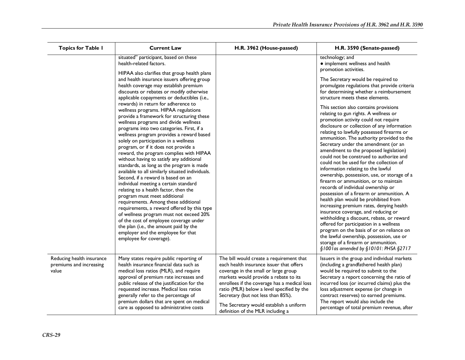| <b>Topics for Table I</b>                                     | <b>Current Law</b>                                                                                                                                                                                                                                                                                                                                                                                                                                                                                                                                                                                                                                                                                                                                                                                                                                                                                                                                                                                                                                                                                                                                                                         | H.R. 3962 (House-passed)                                                                                                                                                                                                                                                                                                                                                                  | H.R. 3590 (Senate-passed)                                                                                                                                                                                                                                                                                                                                                                                                                                                                                                                                                                                                                                                                                                                                                                                                                                                                                                                                                                                                                                                                                                                                         |
|---------------------------------------------------------------|--------------------------------------------------------------------------------------------------------------------------------------------------------------------------------------------------------------------------------------------------------------------------------------------------------------------------------------------------------------------------------------------------------------------------------------------------------------------------------------------------------------------------------------------------------------------------------------------------------------------------------------------------------------------------------------------------------------------------------------------------------------------------------------------------------------------------------------------------------------------------------------------------------------------------------------------------------------------------------------------------------------------------------------------------------------------------------------------------------------------------------------------------------------------------------------------|-------------------------------------------------------------------------------------------------------------------------------------------------------------------------------------------------------------------------------------------------------------------------------------------------------------------------------------------------------------------------------------------|-------------------------------------------------------------------------------------------------------------------------------------------------------------------------------------------------------------------------------------------------------------------------------------------------------------------------------------------------------------------------------------------------------------------------------------------------------------------------------------------------------------------------------------------------------------------------------------------------------------------------------------------------------------------------------------------------------------------------------------------------------------------------------------------------------------------------------------------------------------------------------------------------------------------------------------------------------------------------------------------------------------------------------------------------------------------------------------------------------------------------------------------------------------------|
|                                                               | situated" participant, based on these<br>health-related factors.                                                                                                                                                                                                                                                                                                                                                                                                                                                                                                                                                                                                                                                                                                                                                                                                                                                                                                                                                                                                                                                                                                                           |                                                                                                                                                                                                                                                                                                                                                                                           | technology; and<br>• implement wellness and health                                                                                                                                                                                                                                                                                                                                                                                                                                                                                                                                                                                                                                                                                                                                                                                                                                                                                                                                                                                                                                                                                                                |
|                                                               | HIPAA also clarifies that group health plans<br>and health insurance issuers offering group<br>health coverage may establish premium<br>discounts or rebates or modify otherwise<br>applicable copayments or deductibles (i.e.,<br>rewards) in return for adherence to<br>wellness programs. HIPAA regulations<br>provide a framework for structuring these<br>wellness programs and divide wellness<br>programs into two categories. First, if a<br>wellness program provides a reward based<br>solely on participation in a wellness<br>program, or if it does not provide a<br>reward, the program complies with HIPAA<br>without having to satisfy any additional<br>standards, as long as the program is made<br>available to all similarly situated individuals.<br>Second, if a reward is based on an<br>individual meeting a certain standard<br>relating to a health factor, then the<br>program must meet additional<br>requirements. Among these additional<br>requirements, a reward offered by this type<br>of wellness program must not exceed 20%<br>of the cost of employee coverage under<br>the plan (i.e., the amount paid by the<br>employer and the employee for that |                                                                                                                                                                                                                                                                                                                                                                                           | promotion activities.<br>The Secretary would be required to<br>promulgate regulations that provide criteria<br>for determining whether a reimbursement<br>structure meets these elements.<br>This section also contains provisions<br>relating to gun rights. A wellness or<br>promotion activity could not require<br>disclosure or collection of any information<br>relating to lawfully possessed firearms or<br>ammunition. The authority provided to the<br>Secretary under the amendment (or an<br>amendment to the proposed legislation)<br>could not be construed to authorize and<br>could not be used for the collection of<br>information relating to the lawful<br>ownership, possession, use, or storage of a<br>firearm or ammunition, or to maintain<br>records of individual ownership or<br>possession of a firearm or ammunition. A<br>health plan would be prohibited from<br>increasing premium rates, denying health<br>insurance coverage, and reducing or<br>withholding a discount, rebate, or reward<br>offered for participation in a wellness<br>program on the basis of or on reliance on<br>the lawful ownership, possession, use or |
|                                                               | employee for coverage).                                                                                                                                                                                                                                                                                                                                                                                                                                                                                                                                                                                                                                                                                                                                                                                                                                                                                                                                                                                                                                                                                                                                                                    |                                                                                                                                                                                                                                                                                                                                                                                           | storage of a firearm or ammunition.<br>§1001as amended by §10101: PHSA §2717                                                                                                                                                                                                                                                                                                                                                                                                                                                                                                                                                                                                                                                                                                                                                                                                                                                                                                                                                                                                                                                                                      |
| Reducing health insurance<br>premiums and increasing<br>value | Many states require public reporting of<br>health insurance financial data such as<br>medical loss ratios (MLR), and require<br>approval of premium rate increases and<br>public release of the justification for the<br>requested increase. Medical loss ratios<br>generally refer to the percentage of<br>premium dollars that are spent on medical<br>care as opposed to administrative costs                                                                                                                                                                                                                                                                                                                                                                                                                                                                                                                                                                                                                                                                                                                                                                                           | The bill would create a requirement that<br>each health insurance issuer that offers<br>coverage in the small or large group<br>markets would provide a rebate to its<br>enrollees if the coverage has a medical loss<br>ratio (MLR) below a level specified by the<br>Secretary (but not less than 85%).<br>The Secretary would establish a uniform<br>definition of the MLR including a | Issuers in the group and individual markets<br>(including a grandfathered health plan)<br>would be required to submit to the<br>Secretary a report concerning the ratio of<br>incurred loss (or incurred claims) plus the<br>loss adjustment expense (or change in<br>contract reserves) to earned premiums.<br>The report would also include the<br>percentage of total premium revenue, after                                                                                                                                                                                                                                                                                                                                                                                                                                                                                                                                                                                                                                                                                                                                                                   |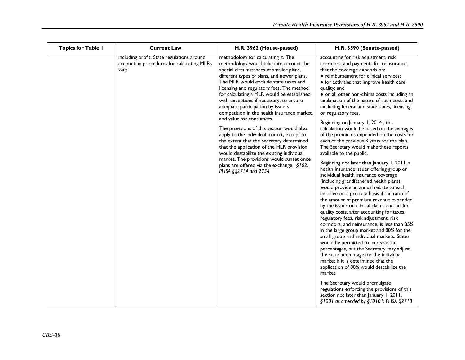| <b>Topics for Table I</b> | <b>Current Law</b>                                                                                | H.R. 3962 (House-passed)                                                                                                                                                                                                                                                                                                                                                                                                                                                                                                                                                                                                                                                                                                                                                                                                  | H.R. 3590 (Senate-passed)                                                                                                                                                                                                                                                                                                                                                                                                                                                                                                                                                                                                                                                                                                                                                                                                                                                                                                                                                                                                                                                                                                                                                                                                                                                                                                                                                                                                                                                                                                                                                                                                                                   |
|---------------------------|---------------------------------------------------------------------------------------------------|---------------------------------------------------------------------------------------------------------------------------------------------------------------------------------------------------------------------------------------------------------------------------------------------------------------------------------------------------------------------------------------------------------------------------------------------------------------------------------------------------------------------------------------------------------------------------------------------------------------------------------------------------------------------------------------------------------------------------------------------------------------------------------------------------------------------------|-------------------------------------------------------------------------------------------------------------------------------------------------------------------------------------------------------------------------------------------------------------------------------------------------------------------------------------------------------------------------------------------------------------------------------------------------------------------------------------------------------------------------------------------------------------------------------------------------------------------------------------------------------------------------------------------------------------------------------------------------------------------------------------------------------------------------------------------------------------------------------------------------------------------------------------------------------------------------------------------------------------------------------------------------------------------------------------------------------------------------------------------------------------------------------------------------------------------------------------------------------------------------------------------------------------------------------------------------------------------------------------------------------------------------------------------------------------------------------------------------------------------------------------------------------------------------------------------------------------------------------------------------------------|
|                           | including profit. State regulations around<br>accounting procedures for calculating MLRs<br>vary. | methodology for calculating it. The<br>methodology would take into account the<br>special circumstances of smaller plans,<br>different types of plans, and newer plans.<br>The MLR would exclude state taxes and<br>licensing and regulatory fees. The method<br>for calculating a MLR would be established,<br>with exceptions if necessary, to ensure<br>adequate participation by issuers,<br>competition in the health insurance market,<br>and value for consumers.<br>The provisions of this section would also<br>apply to the individual market, except to<br>the extent that the Secretary determined<br>that the application of the MLR provision<br>would destabilize the existing individual<br>market. The provisions would sunset once<br>plans are offered via the exchange. §102:<br>PHSA §§2714 and 2754 | accounting for risk adjustment, risk<br>corridors, and payments for reinsurance,<br>that the coverage expends on:<br>• reimbursement for clinical services;<br>• for activities that improve health care<br>quality; and<br>• on all other non-claims costs including an<br>explanation of the nature of such costs and<br>excluding federal and state taxes, licensing,<br>or regulatory fees.<br>Beginning on January 1, 2014, this<br>calculation would be based on the averages<br>of the premiums expended on the costs for<br>each of the previous 3 years for the plan.<br>The Secretary would make these reports<br>available to the public.<br>Beginning not later than January 1, 2011, a<br>health insurance issuer offering group or<br>individual health insurance coverage<br>(including grandfathered health plans)<br>would provide an annual rebate to each<br>enrollee on a pro rata basis if the ratio of<br>the amount of premium revenue expended<br>by the issuer on clinical claims and health<br>quality costs, after accounting for taxes,<br>regulatory fees, risk adjustment, risk<br>corridors, and reinsurance, is less than 85%<br>in the large group market and 80% for the<br>small group and individual markets. States<br>would be permitted to increase the<br>percentages, but the Secretary may adjust<br>the state percentage for the individual<br>market if it is determined that the<br>application of 80% would destabilize the<br>market.<br>The Secretary would promulgate<br>regulations enforcing the provisions of this<br>section not later than January 1, 2011.<br>§1001 as amended by §10101: PHSA §2718 |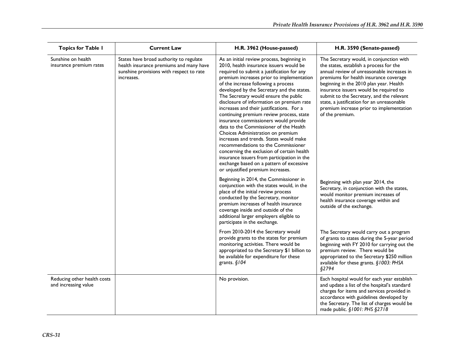| <b>Topics for Table I</b>                           | <b>Current Law</b>                                                                                                                           | H.R. 3962 (House-passed)                                                                                                                                                                                                                                                                                                                                                                                                                                                                                                                                                                                                                                                                                                                                                                                                                     | H.R. 3590 (Senate-passed)                                                                                                                                                                                                                                                                                                                                                                                                  |
|-----------------------------------------------------|----------------------------------------------------------------------------------------------------------------------------------------------|----------------------------------------------------------------------------------------------------------------------------------------------------------------------------------------------------------------------------------------------------------------------------------------------------------------------------------------------------------------------------------------------------------------------------------------------------------------------------------------------------------------------------------------------------------------------------------------------------------------------------------------------------------------------------------------------------------------------------------------------------------------------------------------------------------------------------------------------|----------------------------------------------------------------------------------------------------------------------------------------------------------------------------------------------------------------------------------------------------------------------------------------------------------------------------------------------------------------------------------------------------------------------------|
| Sunshine on health<br>insurance premium rates       | States have broad authority to regulate<br>health insurance premiums and many have<br>sunshine provisions with respect to rate<br>increases. | As an initial review process, beginning in<br>2010, health insurance issuers would be<br>required to submit a justification for any<br>premium increases prior to implementation<br>of the increase following a process<br>developed by the Secretary and the states.<br>The Secretary would ensure the public<br>disclosure of information on premium rate<br>increases and their justifications. For a<br>continuing premium review process, state<br>insurance commissioners would provide<br>data to the Commissioner of the Health<br>Choices Administration on premium<br>increases and trends. States would make<br>recommendations to the Commissioner<br>concerning the exclusion of certain health<br>insurance issuers from participation in the<br>exchange based on a pattern of excessive<br>or unjustified premium increases. | The Secretary would, in conjunction with<br>the states, establish a process for the<br>annual review of unreasonable increases in<br>premiums for health insurance coverage<br>beginning in the 2010 plan year. Health<br>insurance issuers would be required to<br>submit to the Secretary, and the relevant<br>state, a justification for an unreasonable<br>premium increase prior to implementation<br>of the premium. |
|                                                     |                                                                                                                                              | Beginning in 2014, the Commissioner in<br>conjunction with the states would, in the<br>place of the initial review process<br>conducted by the Secretary, monitor<br>premium increases of health insurance<br>coverage inside and outside of the<br>additional larger employers eligible to<br>participate in the exchange.                                                                                                                                                                                                                                                                                                                                                                                                                                                                                                                  | Beginning with plan year 2014, the<br>Secretary, in conjunction with the states,<br>would monitor premium increases of<br>health insurance coverage within and<br>outside of the exchange.                                                                                                                                                                                                                                 |
|                                                     |                                                                                                                                              | From 2010-2014 the Secretary would<br>provide grants to the states for premium<br>monitoring activities. There would be<br>appropriated to the Secretary \$1 billion to<br>be available for expenditure for these<br>grants. $§$ 104                                                                                                                                                                                                                                                                                                                                                                                                                                                                                                                                                                                                         | The Secretary would carry out a program<br>of grants to states during the 5-year period<br>beginning with FY 2010 for carrying out the<br>premium review. There would be<br>appropriated to the Secretary \$250 million<br>available for these grants. §1003: PHSA<br>§2794                                                                                                                                                |
| Reducing other health costs<br>and increasing value |                                                                                                                                              | No provision.                                                                                                                                                                                                                                                                                                                                                                                                                                                                                                                                                                                                                                                                                                                                                                                                                                | Each hospital would for each year establish<br>and update a list of the hospital's standard<br>charges for items and services provided in<br>accordance with guidelines developed by<br>the Secretary. The list of charges would be<br>made public. §1001: PHS §2718                                                                                                                                                       |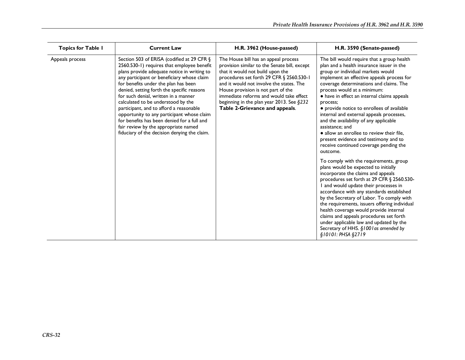| <b>Topics for Table I</b> | <b>Current Law</b>                                                                                                                                                                                                                                                                                                                                                                                                                                                                                                                                                                        | H.R. 3962 (House-passed)                                                                                                                                                                                                                                                                                                                                                         | H.R. 3590 (Senate-passed)                                                                                                                                                                                                                                                                                                                                                                                                                                                                                                                                                                                          |
|---------------------------|-------------------------------------------------------------------------------------------------------------------------------------------------------------------------------------------------------------------------------------------------------------------------------------------------------------------------------------------------------------------------------------------------------------------------------------------------------------------------------------------------------------------------------------------------------------------------------------------|----------------------------------------------------------------------------------------------------------------------------------------------------------------------------------------------------------------------------------------------------------------------------------------------------------------------------------------------------------------------------------|--------------------------------------------------------------------------------------------------------------------------------------------------------------------------------------------------------------------------------------------------------------------------------------------------------------------------------------------------------------------------------------------------------------------------------------------------------------------------------------------------------------------------------------------------------------------------------------------------------------------|
| Appeals process           | Section 503 of ERISA (codified at 29 CFR §<br>2560.530-1) requires that employee benefit<br>plans provide adequate notice in writing to<br>any participant or beneficiary whose claim<br>for benefits under the plan has been<br>denied, setting forth the specific reasons<br>for such denial, written in a manner<br>calculated to be understood by the<br>participant, and to afford a reasonable<br>opportunity to any participant whose claim<br>for benefits has been denied for a full and<br>fair review by the appropriate named<br>fiduciary of the decision denying the claim. | The House bill has an appeal process<br>provision similar to the Senate bill, except<br>that it would not build upon the<br>procedures set forth 29 CFR § 2560.530-1<br>and it would not involve the states. The<br>House provision is not part of the<br>immediate reforms and would take effect<br>beginning in the plan year 2013. See §232<br>Table 2-Grievance and appeals. | The bill would require that a group health<br>plan and a health insurance issuer in the<br>group or individual markets would<br>implement an effective appeals process for<br>coverage determinations and claims. The<br>process would at a minimum:<br>• have in effect an internal claims appeals<br>process;<br>• provide notice to enrollees of available<br>internal and external appeals processes,<br>and the availability of any applicable<br>assistance: and<br>· allow an enrollee to review their file,<br>present evidence and testimony and to<br>receive continued coverage pending the<br>outcome. |
|                           |                                                                                                                                                                                                                                                                                                                                                                                                                                                                                                                                                                                           |                                                                                                                                                                                                                                                                                                                                                                                  | To comply with the requirements, group<br>plans would be expected to initially<br>incorporate the claims and appeals<br>procedures set forth at 29 CFR § 2560.530-<br>and would update their processes in<br>accordance with any standards established<br>by the Secretary of Labor. To comply with<br>the requirements, issuers offering individual<br>health coverage would provide internal<br>claims and appeals procedures set forth<br>under applicable law and updated by the<br>Secretary of HHS. §1001 as amended by<br>\$10101: PHSA \$2719                                                              |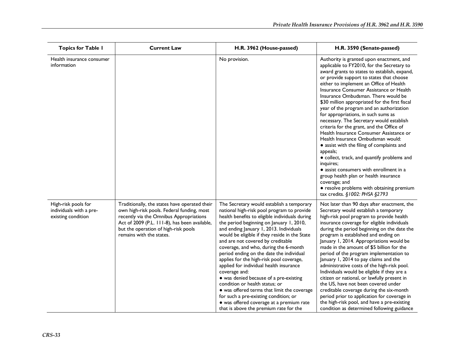| <b>Topics for Table I</b>                                            | <b>Current Law</b>                                                                                                                                                                                                                                          | H.R. 3962 (House-passed)                                                                                                                                                                                                                                                                                                                                                                                                                                                                                                                                                                                                                                                                                                                                                      | H.R. 3590 (Senate-passed)                                                                                                                                                                                                                                                                                                                                                                                                                                                                                                                                                                                                                                                                                                                                                                                                                                                                                                               |
|----------------------------------------------------------------------|-------------------------------------------------------------------------------------------------------------------------------------------------------------------------------------------------------------------------------------------------------------|-------------------------------------------------------------------------------------------------------------------------------------------------------------------------------------------------------------------------------------------------------------------------------------------------------------------------------------------------------------------------------------------------------------------------------------------------------------------------------------------------------------------------------------------------------------------------------------------------------------------------------------------------------------------------------------------------------------------------------------------------------------------------------|-----------------------------------------------------------------------------------------------------------------------------------------------------------------------------------------------------------------------------------------------------------------------------------------------------------------------------------------------------------------------------------------------------------------------------------------------------------------------------------------------------------------------------------------------------------------------------------------------------------------------------------------------------------------------------------------------------------------------------------------------------------------------------------------------------------------------------------------------------------------------------------------------------------------------------------------|
| Health insurance consumer<br>information                             |                                                                                                                                                                                                                                                             | No provision.                                                                                                                                                                                                                                                                                                                                                                                                                                                                                                                                                                                                                                                                                                                                                                 | Authority is granted upon enactment, and<br>applicable to FY2010, for the Secretary to<br>award grants to states to establish, expand,<br>or provide support to states that choose<br>either to implement an Office of Health<br>Insurance Consumer Assistance or Health<br>Insurance Ombudsman. There would be<br>\$30 million appropriated for the first fiscal<br>year of the program and an authorization<br>for appropriations, in such sums as<br>necessary. The Secretary would establish<br>criteria for the grant, and the Office of<br>Health Insurance Consumer Assistance or<br>Health Insurance Ombudsman would:<br>• assist with the filing of complaints and<br>appeals;<br>• collect, track, and quantify problems and<br>inquires;<br>• assist consumers with enrollment in a<br>group health plan or health insurance<br>coverage; and<br>• resolve problems with obtaining premium<br>tax credits. §1002: PHSA §2793 |
| High-risk pools for<br>individuals with a pre-<br>existing condition | Traditionally, the states have operated their<br>own high-risk pools. Federal funding, most<br>recently via the Omnibus Appropriations<br>Act of 2009 (P.L. 111-8), has been available,<br>but the operation of high-risk pools<br>remains with the states. | The Secretary would establish a temporary<br>national high-risk pool program to provide<br>health benefits to eligible individuals during<br>the period beginning on January 1, 2010,<br>and ending January 1, 2013. Individuals<br>would be eligible if they reside in the State<br>and are not covered by creditable<br>coverage, and who, during the 6-month<br>period ending on the date the individual<br>applies for the high-risk pool coverage,<br>applied for individual health insurance<br>coverage and:<br>• was denied because of a pre-existing<br>condition or health status; or<br>• was offered terms that limit the coverage<br>for such a pre-existing condition; or<br>· was offered coverage at a premium rate<br>that is above the premium rate for the | Not later than 90 days after enactment, the<br>Secretary would establish a temporary<br>high-risk pool program to provide health<br>insurance coverage for eligible individuals<br>during the period beginning on the date the<br>program is established and ending on<br>January 1, 2014. Appropriations would be<br>made in the amount of \$5 billion for the<br>period of the program implementation to<br>January 1, 2014 to pay claims and the<br>administrative costs of the high-risk pool.<br>Individuals would be eligible if they are a<br>citizen or national, or lawfully present in<br>the US, have not been covered under<br>creditable coverage during the six-month<br>period prior to application for coverage in<br>the high-risk pool, and have a pre-existing<br>condition as determined following guidance                                                                                                         |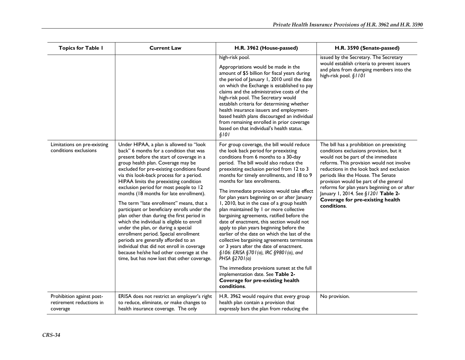| <b>Topics for Table I</b>                                         | <b>Current Law</b>                                                                                                                                                                                                                                                                                                                                                                                                                                                                                                                                                                                                                                                                                                                                                                                                                                      | H.R. 3962 (House-passed)                                                                                                                                                                                                                                                                                                                                                                                                                                                                                                                                                                                                                                                                                                                                                                                                                                                                                                                                                   | H.R. 3590 (Senate-passed)                                                                                                                                                                                                                                                                                                                                                                                                                      |
|-------------------------------------------------------------------|---------------------------------------------------------------------------------------------------------------------------------------------------------------------------------------------------------------------------------------------------------------------------------------------------------------------------------------------------------------------------------------------------------------------------------------------------------------------------------------------------------------------------------------------------------------------------------------------------------------------------------------------------------------------------------------------------------------------------------------------------------------------------------------------------------------------------------------------------------|----------------------------------------------------------------------------------------------------------------------------------------------------------------------------------------------------------------------------------------------------------------------------------------------------------------------------------------------------------------------------------------------------------------------------------------------------------------------------------------------------------------------------------------------------------------------------------------------------------------------------------------------------------------------------------------------------------------------------------------------------------------------------------------------------------------------------------------------------------------------------------------------------------------------------------------------------------------------------|------------------------------------------------------------------------------------------------------------------------------------------------------------------------------------------------------------------------------------------------------------------------------------------------------------------------------------------------------------------------------------------------------------------------------------------------|
|                                                                   |                                                                                                                                                                                                                                                                                                                                                                                                                                                                                                                                                                                                                                                                                                                                                                                                                                                         | high-risk pool.<br>Appropriations would be made in the<br>amount of \$5 billion for fiscal years during<br>the period of January 1, 2010 until the date<br>on which the Exchange is established to pay<br>claims and the administrative costs of the<br>high-risk pool. The Secretary would<br>establish criteria for determining whether<br>health insurance issuers and employment-<br>based health plans discouraged an individual<br>from remaining enrolled in prior coverage<br>based on that individual's health status.<br>\$101                                                                                                                                                                                                                                                                                                                                                                                                                                   | issued by the Secretary. The Secretary<br>would establish criteria to prevent issuers<br>and plans from dumping members into the<br>high-risk pool. §1101                                                                                                                                                                                                                                                                                      |
| Limitations on pre-existing<br>conditions exclusions              | Under HIPAA, a plan is allowed to "look<br>back" 6 months for a condition that was<br>present before the start of coverage in a<br>group health plan. Coverage may be<br>excluded for pre-existing conditions found<br>via this look-back process for a period.<br>HIPAA limits the preexisting condition<br>exclusion period for most people to 12<br>months (18 months for late enrollment).<br>The term "late enrollment" means, that a<br>participant or beneficiary enrolls under the<br>plan other than during the first period in<br>which the individual is eligible to enroll<br>under the plan, or during a special<br>enrollment period. Special enrollment<br>periods are generally afforded to an<br>individual that did not enroll in coverage<br>because he/she had other coverage at the<br>time, but has now lost that other coverage. | For group coverage, the bill would reduce<br>the look back period for preexisting<br>conditions from 6 months to a 30-day<br>period. The bill would also reduce the<br>preexisting exclusion period from 12 to 3<br>months for timely enrollments, and 18 to 9<br>months for late enrollments.<br>The immediate provisions would take effect<br>for plan years beginning on or after January<br>1, 2010, but in the case of a group health<br>plan maintained by 1 or more collective<br>bargaining agreements, ratified before the<br>date of enactment, this section would not<br>apply to plan years beginning before the<br>earlier of the date on which the last of the<br>collective bargaining agreements terminates<br>or 3 years after the date of enactment.<br>§106: ERISA §701(a), IRC §9801(a), and<br>PHSA $§2701(a)$<br>The immediate provisions sunset at the full<br>implementation date. See Table 2-<br>Coverage for pre-existing health<br>conditions. | The bill has a prohibition on preexisting<br>conditions exclusions provision, but it<br>would not be part of the immediate<br>reforms. This provision would not involve<br>reductions in the look back and exclusion<br>periods like the House. The Senate<br>provision would be part of the general<br>reforms for plan years beginning on or after<br>January 1, 2014. See §1201 Table 2-<br>Coverage for pre-existing health<br>conditions. |
| Prohibition against post-<br>retirement reductions in<br>coverage | ERISA does not restrict an employer's right<br>to reduce, eliminate, or make changes to<br>health insurance coverage. The only                                                                                                                                                                                                                                                                                                                                                                                                                                                                                                                                                                                                                                                                                                                          | H.R. 3962 would require that every group<br>health plan contain a provision that<br>expressly bars the plan from reducing the                                                                                                                                                                                                                                                                                                                                                                                                                                                                                                                                                                                                                                                                                                                                                                                                                                              | No provision.                                                                                                                                                                                                                                                                                                                                                                                                                                  |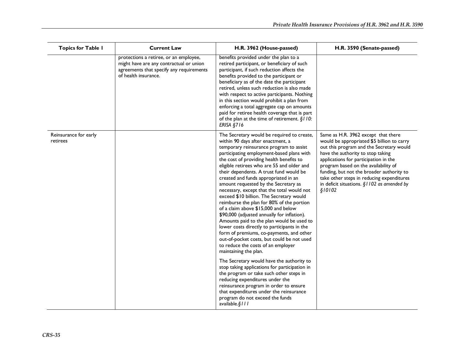| <b>Topics for Table I</b>         | <b>Current Law</b>                                                                                                                                    | H.R. 3962 (House-passed)                                                                                                                                                                                                                                                                                                                                                                                                                                                                                                                                                                                                                                                                                                                                                                                                                                                                                                                                                                                                                                                                                                                                                           | H.R. 3590 (Senate-passed)                                                                                                                                                                                                                                                                                                                                                                                 |
|-----------------------------------|-------------------------------------------------------------------------------------------------------------------------------------------------------|------------------------------------------------------------------------------------------------------------------------------------------------------------------------------------------------------------------------------------------------------------------------------------------------------------------------------------------------------------------------------------------------------------------------------------------------------------------------------------------------------------------------------------------------------------------------------------------------------------------------------------------------------------------------------------------------------------------------------------------------------------------------------------------------------------------------------------------------------------------------------------------------------------------------------------------------------------------------------------------------------------------------------------------------------------------------------------------------------------------------------------------------------------------------------------|-----------------------------------------------------------------------------------------------------------------------------------------------------------------------------------------------------------------------------------------------------------------------------------------------------------------------------------------------------------------------------------------------------------|
|                                   | protections a retiree, or an employee,<br>might have are any contractual or union<br>agreements that specify any requirements<br>of health insurance. | benefits provided under the plan to a<br>retired participant, or beneficiary of such<br>participant, if such reduction affects the<br>benefits provided to the participant or<br>beneficiary as of the date the participant<br>retired, unless such reduction is also made<br>with respect to active participants. Nothing<br>in this section would prohibit a plan from<br>enforcing a total aggregate cap on amounts<br>paid for retiree health coverage that is part<br>of the plan at the time of retirement. $\S110$ :<br><b>ERISA §716</b>                                                                                                                                                                                                                                                                                                                                                                                                                                                                                                                                                                                                                                   |                                                                                                                                                                                                                                                                                                                                                                                                           |
| Reinsurance for early<br>retirees |                                                                                                                                                       | The Secretary would be required to create,<br>within 90 days after enactment, a<br>temporary reinsurance program to assist<br>participating employment-based plans with<br>the cost of providing health benefits to<br>eligible retirees who are 55 and older and<br>their dependents. A trust fund would be<br>created and funds appropriated in an<br>amount requested by the Secretary as<br>necessary, except that the total would not<br>exceed \$10 billion. The Secretary would<br>reimburse the plan for 80% of the portion<br>of a claim above \$15,000 and below<br>\$90,000 (adjusted annually for inflation).<br>Amounts paid to the plan would be used to<br>lower costs directly to participants in the<br>form of premiums, co-payments, and other<br>out-of-pocket costs, but could be not used<br>to reduce the costs of an employer<br>maintaining the plan.<br>The Secretary would have the authority to<br>stop taking applications for participation in<br>the program or take such other steps in<br>reducing expenditures under the<br>reinsurance program in order to ensure<br>that expenditures under the reinsurance<br>program do not exceed the funds | Same as H.R. 3962 except that there<br>would be appropriated \$5 billion to carry<br>out this program and the Secretary would<br>have the authority to stop taking<br>applications for participation in the<br>program based on the availability of<br>funding, but not the broader authority to<br>take other steps in reducing expenditures<br>in deficit situations. $\S1102$ as amended by<br>\$10102 |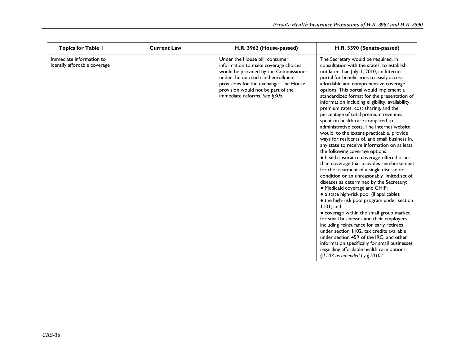| <b>Topics for Table I</b>                                | <b>Current Law</b> | H.R. 3962 (House-passed)                                                                                                                                                                                                                                             | H.R. 3590 (Senate-passed)                                                                                                                                                                                                                                                                                                                                                                                                                                                                                                                                                                                                                                                                                                                                                                                                                                                                                                                                                                                                                                                                                                                                                                                                                                                                                                                                                                                                                                   |
|----------------------------------------------------------|--------------------|----------------------------------------------------------------------------------------------------------------------------------------------------------------------------------------------------------------------------------------------------------------------|-------------------------------------------------------------------------------------------------------------------------------------------------------------------------------------------------------------------------------------------------------------------------------------------------------------------------------------------------------------------------------------------------------------------------------------------------------------------------------------------------------------------------------------------------------------------------------------------------------------------------------------------------------------------------------------------------------------------------------------------------------------------------------------------------------------------------------------------------------------------------------------------------------------------------------------------------------------------------------------------------------------------------------------------------------------------------------------------------------------------------------------------------------------------------------------------------------------------------------------------------------------------------------------------------------------------------------------------------------------------------------------------------------------------------------------------------------------|
| Immediate information to<br>identify affordable coverage |                    | Under the House bill, consumer<br>information to make coverage choices<br>would be provided by the Commissioner<br>under the outreach and enrollment<br>provisions for the exchange. The House<br>provision would not be part of the<br>immediate reforms. See §305. | The Secretary would be required, in<br>consultation with the states, to establish,<br>not later than July 1, 2010, an Internet<br>portal for beneficiaries to easily access<br>affordable and comprehensive coverage<br>options. This portal would implement a<br>standardized format for the presentation of<br>information including eligibility, availability,<br>premium rates, cost sharing, and the<br>percentage of total premium revenues<br>spent on health care compared to<br>administrative costs. The Internet website<br>would, to the extent practicable, provide<br>ways for residents of, and small business in,<br>any state to receive information on at least<br>the following coverage options:<br>• health insurance coverage offered other<br>than coverage that provides reimbursement<br>for the treatment of a single disease or<br>condition or an unreasonably limited set of<br>diseases as determined by the Secretary;<br>• Medicaid coverage and CHIP;<br>• a state high-risk pool (if applicable);<br>• the high-risk pool program under section<br>1101; and<br>• coverage within the small group market<br>for small businesses and their employees,<br>including reinsurance for early retirees<br>under section 1102, tax credits available<br>under section 45R of the IRC, and other<br>information specifically for small businesses<br>regarding affordable health care options.<br>$$1103$ as amended by $$10101$ |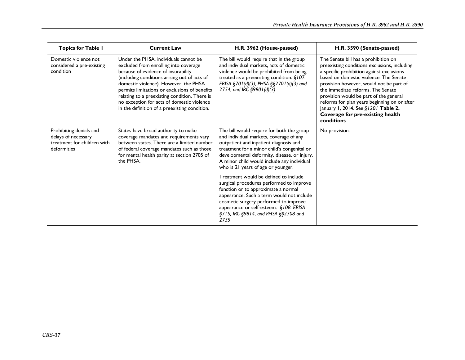| <b>Topics for Table I</b>                                                                    | <b>Current Law</b>                                                                                                                                                                                                                                                                                                                                                                                              | H.R. 3962 (House-passed)                                                                                                                                                                                                                                                                                                                                                                                                                                                                                                            | H.R. 3590 (Senate-passed)                                                                                                                                                                                                                                                                                                                                                                                                                      |
|----------------------------------------------------------------------------------------------|-----------------------------------------------------------------------------------------------------------------------------------------------------------------------------------------------------------------------------------------------------------------------------------------------------------------------------------------------------------------------------------------------------------------|-------------------------------------------------------------------------------------------------------------------------------------------------------------------------------------------------------------------------------------------------------------------------------------------------------------------------------------------------------------------------------------------------------------------------------------------------------------------------------------------------------------------------------------|------------------------------------------------------------------------------------------------------------------------------------------------------------------------------------------------------------------------------------------------------------------------------------------------------------------------------------------------------------------------------------------------------------------------------------------------|
| Domestic violence not<br>considered a pre-existing<br>condition                              | Under the PHSA, individuals cannot be<br>excluded from enrolling into coverage<br>because of evidence of insurability<br>(including conditions arising out of acts of<br>domestic violence). However, the PHSA<br>permits limitations or exclusions of benefits<br>relating to a preexisting condition. There is<br>no exception for acts of domestic violence<br>in the definition of a preexisting condition. | The bill would require that in the group<br>and individual markets, acts of domestic<br>violence would be prohibited from being<br>treated as a preexisting condition. $§107$ :<br>ERISA §701(d)(3), PHSA §§2701(d)(3) and<br>2754, and IRC $\S$ 980 I (d)(3)                                                                                                                                                                                                                                                                       | The Senate bill has a prohibition on<br>preexisting conditions exclusions, including<br>a specific prohibition against exclusions<br>based on domestic violence. The Senate<br>provision however, would not be part of<br>the immediate reforms. The Senate<br>provision would be part of the general<br>reforms for plan years beginning on or after<br>January 1, 2014. See §1201 Table 2.<br>Coverage for pre-existing health<br>conditions |
| Prohibiting denials and<br>delays of necessary<br>treatment for children with<br>deformities | States have broad authority to make<br>coverage mandates and requirements vary<br>between states. There are a limited number<br>of federal coverage mandates such as those<br>for mental health parity at section 2705 of<br>the PHSA.                                                                                                                                                                          | The bill would require for both the group<br>and individual markets, coverage of any<br>outpatient and inpatient diagnosis and<br>treatment for a minor child's congenital or<br>developmental deformity, disease, or injury.<br>A minor child would include any individual<br>who is 21 years of age or younger.<br>Treatment would be defined to include<br>surgical procedures performed to improve<br>function or to approximate a normal<br>appearance. Such a term would not include<br>cosmetic surgery performed to improve | No provision.                                                                                                                                                                                                                                                                                                                                                                                                                                  |
|                                                                                              |                                                                                                                                                                                                                                                                                                                                                                                                                 | appearance or self-esteem. §108: ERISA<br>§715, IRC §9814, and PHSA §§2708 and<br>2755                                                                                                                                                                                                                                                                                                                                                                                                                                              |                                                                                                                                                                                                                                                                                                                                                                                                                                                |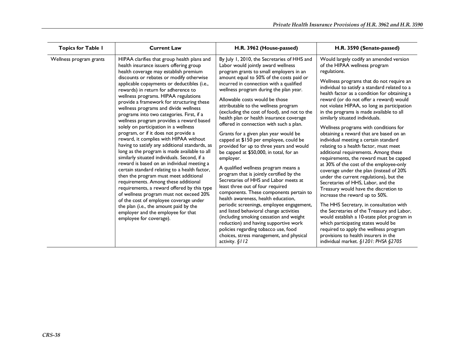| <b>Topics for Table I</b> | <b>Current Law</b>                                                                                                                                                                                                                                                                                                                                                                                                                                                                                                                                                                                                                                                                                                                                                                                                                                                                                                                                                                                                                                                                                                                                                                                   | H.R. 3962 (House-passed)                                                                                                                                                                                                                                                                                                                                                                                                                                                                                                                                                                                                                                                                                                                                                                                                                                                                                                                                                                                                                                                                                                                                                                                    | H.R. 3590 (Senate-passed)                                                                                                                                                                                                                                                                                                                                                                                                                                                                                                                                                                                                                                                                                                                                                                                                                                                                                                                                                                                                                                                                                                                                                                                                           |
|---------------------------|------------------------------------------------------------------------------------------------------------------------------------------------------------------------------------------------------------------------------------------------------------------------------------------------------------------------------------------------------------------------------------------------------------------------------------------------------------------------------------------------------------------------------------------------------------------------------------------------------------------------------------------------------------------------------------------------------------------------------------------------------------------------------------------------------------------------------------------------------------------------------------------------------------------------------------------------------------------------------------------------------------------------------------------------------------------------------------------------------------------------------------------------------------------------------------------------------|-------------------------------------------------------------------------------------------------------------------------------------------------------------------------------------------------------------------------------------------------------------------------------------------------------------------------------------------------------------------------------------------------------------------------------------------------------------------------------------------------------------------------------------------------------------------------------------------------------------------------------------------------------------------------------------------------------------------------------------------------------------------------------------------------------------------------------------------------------------------------------------------------------------------------------------------------------------------------------------------------------------------------------------------------------------------------------------------------------------------------------------------------------------------------------------------------------------|-------------------------------------------------------------------------------------------------------------------------------------------------------------------------------------------------------------------------------------------------------------------------------------------------------------------------------------------------------------------------------------------------------------------------------------------------------------------------------------------------------------------------------------------------------------------------------------------------------------------------------------------------------------------------------------------------------------------------------------------------------------------------------------------------------------------------------------------------------------------------------------------------------------------------------------------------------------------------------------------------------------------------------------------------------------------------------------------------------------------------------------------------------------------------------------------------------------------------------------|
| Wellness program grants   | HIPAA clarifies that group health plans and<br>health insurance issuers offering group<br>health coverage may establish premium<br>discounts or rebates or modify otherwise<br>applicable copayments or deductibles (i.e.,<br>rewards) in return for adherence to<br>wellness programs. HIPAA regulations<br>provide a framework for structuring these<br>wellness programs and divide wellness<br>programs into two categories. First, if a<br>wellness program provides a reward based<br>solely on participation in a wellness<br>program, or if it does not provide a<br>reward, it complies with HIPAA without<br>having to satisfy any additional standards, as<br>long as the program is made available to all<br>similarly situated individuals. Second, if a<br>reward is based on an individual meeting a<br>certain standard relating to a health factor,<br>then the program must meet additional<br>requirements. Among these additional<br>requirements, a reward offered by this type<br>of wellness program must not exceed 20%<br>of the cost of employee coverage under<br>the plan (i.e., the amount paid by the<br>employer and the employee for that<br>employee for coverage). | By July 1, 2010, the Secretaries of HHS and<br>Labor would jointly award wellness<br>program grants to small employers in an<br>amount equal to 50% of the costs paid or<br>incurred in connection with a qualified<br>wellness program during the plan year.<br>Allowable costs would be those<br>attributable to the wellness program<br>(excluding the cost of food), and not to the<br>health plan or health insurance coverage<br>offered in connection with such a plan.<br>Grants for a given plan year would be<br>capped at \$150 per employee, could be<br>provided for up to three years and would<br>be capped at \$50,000, in total, for an<br>employer.<br>A qualified wellness program means a<br>program that is jointly certified by the<br>Secretaries of HHS and Labor meets at<br>least three out of four required<br>components. These components pertain to<br>health awareness, health education,<br>periodic screenings, employee engagement,<br>and listed behavioral change activities<br>(including smoking cessation and weight<br>reduction) and having supportive work<br>policies regarding tobacco use, food<br>choices, stress management, and physical<br>activity. § 112 | Would largely codify an amended version<br>of the HIPAA wellness program<br>regulations.<br>Wellness programs that do not require an<br>individual to satisfy a standard related to a<br>health factor as a condition for obtaining a<br>reward (or do not offer a reward) would<br>not violate HIPAA, so long as participation<br>in the programs is made available to all<br>similarly situated individuals.<br>Wellness programs with conditions for<br>obtaining a reward that are based on an<br>individual meeting a certain standard<br>relating to a health factor, must meet<br>additional requirements. Among these<br>requirements, the reward must be capped<br>at 30% of the cost of the employee-only<br>coverage under the plan (instead of 20%<br>under the current regulations), but the<br>Secretaries of HHS, Labor, and the<br>Treasury would have the discretion to<br>increase the reward up to 50%.<br>The HHS Secretary, in consultation with<br>the Secretaries of the Treasury and Labor,<br>would establish a 10-state pilot program in<br>which participating states would be<br>required to apply the wellness program<br>provisions to health insurers in the<br>individual market. §1201: PHSA §2705 |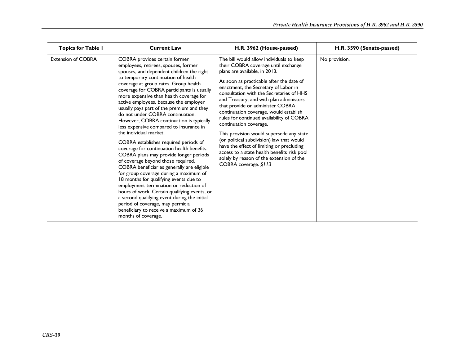| <b>Topics for Table I</b> | <b>Current Law</b>                                                                                                                                                                                                                                                                                                                                                                                                                                                                                                                                                                                                                                                                                                                                                                                                                                                                                                                                                                                                                                                                              | H.R. 3962 (House-passed)                                                                                                                                                                                                                                                                                                                                                                                                                                                                                                                                                                                                                                                                                  | H.R. 3590 (Senate-passed) |
|---------------------------|-------------------------------------------------------------------------------------------------------------------------------------------------------------------------------------------------------------------------------------------------------------------------------------------------------------------------------------------------------------------------------------------------------------------------------------------------------------------------------------------------------------------------------------------------------------------------------------------------------------------------------------------------------------------------------------------------------------------------------------------------------------------------------------------------------------------------------------------------------------------------------------------------------------------------------------------------------------------------------------------------------------------------------------------------------------------------------------------------|-----------------------------------------------------------------------------------------------------------------------------------------------------------------------------------------------------------------------------------------------------------------------------------------------------------------------------------------------------------------------------------------------------------------------------------------------------------------------------------------------------------------------------------------------------------------------------------------------------------------------------------------------------------------------------------------------------------|---------------------------|
| <b>Extension of COBRA</b> | COBRA provides certain former<br>employees, retirees, spouses, former<br>spouses, and dependent children the right<br>to temporary continuation of health<br>coverage at group rates. Group health<br>coverage for COBRA participants is usually<br>more expensive than health coverage for<br>active employees, because the employer<br>usually pays part of the premium and they<br>do not under COBRA continuation.<br>However, COBRA continuation is typically<br>less expensive compared to insurance in<br>the individual market.<br>COBRA establishes required periods of<br>coverage for continuation health benefits.<br>COBRA plans may provide longer periods<br>of coverage beyond those required.<br>COBRA beneficiaries generally are eligible<br>for group coverage during a maximum of<br>18 months for qualifying events due to<br>employment termination or reduction of<br>hours of work. Certain qualifying events, or<br>a second qualifying event during the initial<br>period of coverage, may permit a<br>beneficiary to receive a maximum of 36<br>months of coverage. | The bill would allow individuals to keep<br>their COBRA coverage until exchange<br>plans are available, in 2013.<br>As soon as practicable after the date of<br>enactment, the Secretary of Labor in<br>consultation with the Secretaries of HHS<br>and Treasury, and with plan administers<br>that provide or administer COBRA<br>continuation coverage, would establish<br>rules for continued availability of COBRA<br>continuation coverage.<br>This provision would supersede any state<br>(or political subdivision) law that would<br>have the effect of limiting or precluding<br>access to a state health benefits risk pool<br>solely by reason of the extension of the<br>COBRA coverage. §113 | No provision.             |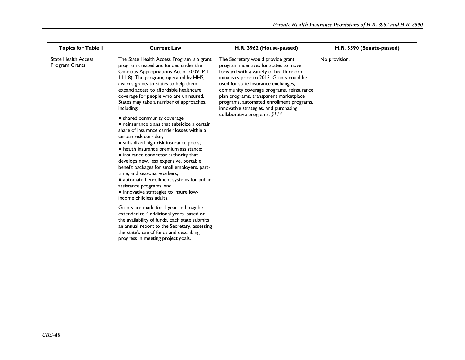| <b>Topics for Table I</b>                    | <b>Current Law</b>                                                                                                                                                                                                                                                                                                                                                                                                                                                                                                                                                                                                                                                                                                                                                                                                                                                                                                                                                                                                                                                                                                                                                                               | H.R. 3962 (House-passed)                                                                                                                                                                                                                                                                                                                                                                                              | H.R. 3590 (Senate-passed) |
|----------------------------------------------|--------------------------------------------------------------------------------------------------------------------------------------------------------------------------------------------------------------------------------------------------------------------------------------------------------------------------------------------------------------------------------------------------------------------------------------------------------------------------------------------------------------------------------------------------------------------------------------------------------------------------------------------------------------------------------------------------------------------------------------------------------------------------------------------------------------------------------------------------------------------------------------------------------------------------------------------------------------------------------------------------------------------------------------------------------------------------------------------------------------------------------------------------------------------------------------------------|-----------------------------------------------------------------------------------------------------------------------------------------------------------------------------------------------------------------------------------------------------------------------------------------------------------------------------------------------------------------------------------------------------------------------|---------------------------|
| <b>State Health Access</b><br>Program Grants | The State Health Access Program is a grant<br>program created and funded under the<br>Omnibus Appropriations Act of 2009 (P. L.<br>111-8). The program, operated by HHS,<br>awards grants to states to help them<br>expand access to affordable healthcare<br>coverage for people who are uninsured.<br>States may take a number of approaches,<br>including:<br>• shared community coverage;<br>• reinsurance plans that subsidize a certain<br>share of insurance carrier losses within a<br>certain risk corridor:<br>• subsidized high-risk insurance pools;<br>• health insurance premium assistance;<br>• insurance connector authority that<br>develops new, less expensive, portable<br>benefit packages for small employers, part-<br>time, and seasonal workers;<br>• automated enrollment systems for public<br>assistance programs; and<br>• innovative strategies to insure low-<br>income childless adults.<br>Grants are made for I year and may be<br>extended to 4 additional years, based on<br>the availability of funds. Each state submits<br>an annual report to the Secretary, assessing<br>the state's use of funds and describing<br>progress in meeting project goals. | The Secretary would provide grant<br>program incentives for states to move<br>forward with a variety of health reform<br>initiatives prior to 2013. Grants could be<br>used for state insurance exchanges,<br>community coverage programs, reinsurance<br>plan programs, transparent marketplace<br>programs, automated enrollment programs,<br>innovative strategies, and purchasing<br>collaborative programs. §114 | No provision.             |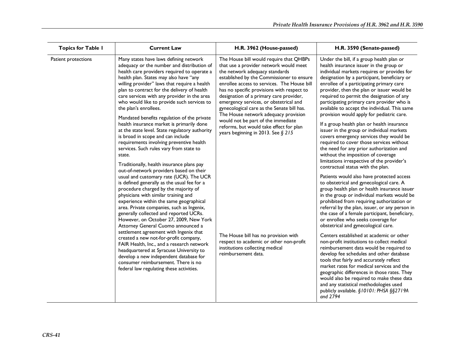| <b>Topics for Table I</b> | <b>Current Law</b>                                                                                                                                                                                                                                                                                                                                                                                                                                                                                                                                                                                                                                                                                                                          | H.R. 3962 (House-passed)                                                                                                                                                                                                                                                                                                                                                                                                                                                                                                                                        | H.R. 3590 (Senate-passed)                                                                                                                                                                                                                                                                                                                                                                                                                                                                                                                                                                                                                                                                                                                                                                                                                                                                   |
|---------------------------|---------------------------------------------------------------------------------------------------------------------------------------------------------------------------------------------------------------------------------------------------------------------------------------------------------------------------------------------------------------------------------------------------------------------------------------------------------------------------------------------------------------------------------------------------------------------------------------------------------------------------------------------------------------------------------------------------------------------------------------------|-----------------------------------------------------------------------------------------------------------------------------------------------------------------------------------------------------------------------------------------------------------------------------------------------------------------------------------------------------------------------------------------------------------------------------------------------------------------------------------------------------------------------------------------------------------------|---------------------------------------------------------------------------------------------------------------------------------------------------------------------------------------------------------------------------------------------------------------------------------------------------------------------------------------------------------------------------------------------------------------------------------------------------------------------------------------------------------------------------------------------------------------------------------------------------------------------------------------------------------------------------------------------------------------------------------------------------------------------------------------------------------------------------------------------------------------------------------------------|
| Patient protections       | Many states have laws defining network<br>adequacy or the number and distribution of<br>health care providers required to operate a<br>health plan. States may also have "any<br>willing provider" laws that require a health<br>plan to contract for the delivery of health<br>care services with any provider in the area<br>who would like to provide such services to<br>the plan's enrollees.<br>Mandated benefits regulation of the private<br>health insurance market is primarily done<br>at the state level. State regulatory authority<br>is broad in scope and can include<br>requirements involving preventive health<br>services. Such rules vary from state to<br>state.<br>Traditionally, health insurance plans pay         | The House bill would require that QHBPs<br>that use a provider network would meet<br>the network adequacy standards<br>established by the Commissioner to ensure<br>enrollee access to services. The House bill<br>has no specific provisions with respect to<br>designation of a primary care provider,<br>emergency services, or obstetrical and<br>gynecological care as the Senate bill has.<br>The House network adequacy provision<br>would not be part of the immediate<br>reforms, but would take effect for plan<br>years beginning in 2013. See § 215 | Under the bill, if a group health plan or<br>health insurance issuer in the group or<br>individual markets requires or provides for<br>designation by a participant, beneficiary or<br>enrollee of a participating primary care<br>provider, then the plan or issuer would be<br>required to permit the designation of any<br>participating primary care provider who is<br>available to accept the individual. This same<br>provision would apply for pediatric care.<br>If a group health plan or health insurance<br>issuer in the group or individual markets<br>covers emergency services they would be<br>required to cover those services without<br>the need for any prior authorization and<br>without the imposition of coverage<br>limitations irrespective of the provider's<br>contractual status with the plan.                                                               |
|                           | out-of-network providers based on their<br>usual and customary rate (UCR). The UCR<br>is defined generally as the usual fee for a<br>procedure charged by the majority of<br>physicians with similar training and<br>experience within the same geographical<br>area. Private companies, such as Ingenix,<br>generally collected and reported UCRs.<br>However, on October 27, 2009, New York<br>Attorney General Cuomo announced a<br>settlement agreement with Ingenix that<br>created a new not-for-profit company,<br>FAIR Health, Inc., and a research network<br>headquartered at Syracuse University to<br>develop a new independent database for<br>consumer reimbursement. There is no<br>federal law regulating these activities. | The House bill has no provision with<br>respect to academic or other non-profit<br>institutions collecting medical<br>reimbursement data.                                                                                                                                                                                                                                                                                                                                                                                                                       | Patients would also have protected access<br>to obstetrical and gynecological care. A<br>group health plan or health insurance issuer<br>in the group or individual markets would be<br>prohibited from requiring authorization or<br>referral by the plan, issuer, or any person in<br>the case of a female participant, beneficiary,<br>or enrollee who seeks coverage for<br>obstetrical and gynecological care.<br>Centers established at academic or other<br>non-profit institutions to collect medical<br>reimbursement data would be required to<br>develop fee schedules and other database<br>tools that fairly and accurately reflect<br>market rates for medical services and the<br>geographic differences in those rates. They<br>would also be required to make these data<br>and any statistical methodologies used<br>publicly available. §10101: PHSA §§2719A<br>and 2794 |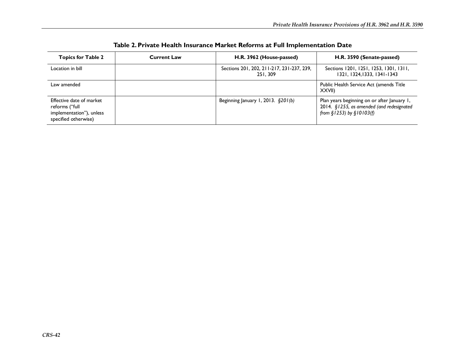| <b>Topics for Table 2</b>                                                                      | <b>Current Law</b> | H.R. 3962 (House-passed)                              | H.R. 3590 (Senate-passed)                                                                                                |
|------------------------------------------------------------------------------------------------|--------------------|-------------------------------------------------------|--------------------------------------------------------------------------------------------------------------------------|
| Location in bill                                                                               |                    | Sections 201, 202, 211-217, 231-237, 239,<br>251, 309 | Sections 1201, 1251, 1253, 1301, 1311,<br>1321, 1324, 1333, 1341-1343                                                    |
| Law amended                                                                                    |                    |                                                       | Public Health Service Act (amends Title<br><b>XXVIII</b>                                                                 |
| Effective date of market<br>reforms ("full<br>implementation"), unless<br>specified otherwise) |                    | Beginning January 1, 2013. $\S 201(b)$                | Plan years beginning on or after January 1,<br>2014. §1255, as amended (and redesignated<br>from $$1253)$ by $$10103(f)$ |

**Table 2. Private Health Insurance Market Reforms at Full Implementation Date**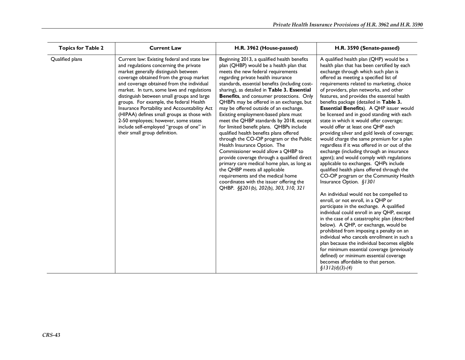| <b>Topics for Table 2</b> | <b>Current Law</b>                                                                                                                                                                                                                                                                                                                                                                                                                                                                                                                                                              | H.R. 3962 (House-passed)                                                                                                                                                                                                                                                                                                                                                                                                                                                                                                                                                                                                                                                                                                                                                                                                                                                                                                                                         | H.R. 3590 (Senate-passed)                                                                                                                                                                                                                                                                                                                                                                                                                                                                                                                                                                                                                                                                                                                                                                                                                                                                                                                                                                                                                                                                                                                                                                                                                                                                                                                                                                                                                                                                                     |
|---------------------------|---------------------------------------------------------------------------------------------------------------------------------------------------------------------------------------------------------------------------------------------------------------------------------------------------------------------------------------------------------------------------------------------------------------------------------------------------------------------------------------------------------------------------------------------------------------------------------|------------------------------------------------------------------------------------------------------------------------------------------------------------------------------------------------------------------------------------------------------------------------------------------------------------------------------------------------------------------------------------------------------------------------------------------------------------------------------------------------------------------------------------------------------------------------------------------------------------------------------------------------------------------------------------------------------------------------------------------------------------------------------------------------------------------------------------------------------------------------------------------------------------------------------------------------------------------|---------------------------------------------------------------------------------------------------------------------------------------------------------------------------------------------------------------------------------------------------------------------------------------------------------------------------------------------------------------------------------------------------------------------------------------------------------------------------------------------------------------------------------------------------------------------------------------------------------------------------------------------------------------------------------------------------------------------------------------------------------------------------------------------------------------------------------------------------------------------------------------------------------------------------------------------------------------------------------------------------------------------------------------------------------------------------------------------------------------------------------------------------------------------------------------------------------------------------------------------------------------------------------------------------------------------------------------------------------------------------------------------------------------------------------------------------------------------------------------------------------------|
| Qualified plans           | Current law: Existing federal and state law<br>and regulations concerning the private<br>market generally distinguish between<br>coverage obtained from the group market<br>and coverage obtained from the individual<br>market. In turn, some laws and regulations<br>distinguish between small groups and large<br>groups. For example, the federal Health<br>Insurance Portability and Accountability Act<br>(HIPAA) defines small groups as those with<br>2-50 employees; however, some states<br>include self-employed "groups of one" in<br>their small group definition. | Beginning 2013, a qualified health benefits<br>plan (QHBP) would be a health plan that<br>meets the new federal requirements<br>regarding private health insurance<br>standards, essential benefits (including cost-<br>sharing), as detailed in Table 3. Essential<br><b>Benefits</b> , and consumer protections. Only<br>QHBPs may be offered in an exchange, but<br>may be offered outside of an exchange.<br>Existing employment-based plans must<br>meet the QHBP standards by 2018, except<br>for limited benefit plans. QHBPs include<br>qualified health benefits plans offered<br>through the CO-OP program or the Public<br>Health Insurance Option. The<br>Commissioner would allow a QHBP to<br>provide coverage through a qualified direct<br>primary care medical home plan, as long as<br>the QHBP meets all applicable<br>requirements and the medical home<br>coordinates with the issuer offering the<br>QHBP. §§201(b), 202(b), 303, 310, 321 | A qualified health plan (QHP) would be a<br>health plan that has been certified by each<br>exchange through which such plan is<br>offered as meeting a specified list of<br>requirements related to marketing, choice<br>of providers, plan networks, and other<br>features, and provides the essential health<br>benefits package (detailed in Table 3.<br><b>Essential Benefits</b> ). A QHP issuer would<br>be licensed and in good standing with each<br>state in which it would offer coverage;<br>would offer at least one QHP each<br>providing silver and gold levels of coverage;<br>would charge the same premium for a plan<br>regardless if it was offered in or out of the<br>exchange (including through an insurance<br>agent); and would comply with regulations<br>applicable to exchanges. QHPs include<br>qualified health plans offered through the<br>CO-OP program or the Community Health<br>Insurance Option. §1301<br>An individual would not be compelled to<br>enroll, or not enroll, in a QHP or<br>participate in the exchange. A qualified<br>individual could enroll in any QHP, except<br>in the case of a catastrophic plan (described<br>below). A QHP, or exchange, would be<br>prohibited from imposing a penalty on an<br>individual who cancels enrollment in such a<br>plan because the individual becomes eligible<br>for minimum essential coverage (previously<br>defined) or minimum essential coverage<br>becomes affordable to that person.<br>$$1312(d)(3)-(4)$ |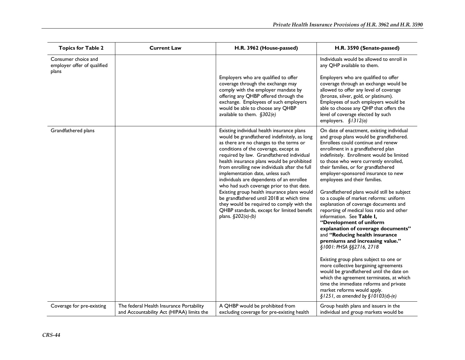| <b>Topics for Table 2</b>                                   | <b>Current Law</b>                                                                    | H.R. 3962 (House-passed)                                                                                                                                                                                                                                                                                                                                                                                                                                                                                                                                                                                                                                              | H.R. 3590 (Senate-passed)                                                                                                                                                                                                                                                                                                                                                                                                                                                                                                                                                                                                                                                                                                                                                                                                                                                                                                                                                                                                                            |
|-------------------------------------------------------------|---------------------------------------------------------------------------------------|-----------------------------------------------------------------------------------------------------------------------------------------------------------------------------------------------------------------------------------------------------------------------------------------------------------------------------------------------------------------------------------------------------------------------------------------------------------------------------------------------------------------------------------------------------------------------------------------------------------------------------------------------------------------------|------------------------------------------------------------------------------------------------------------------------------------------------------------------------------------------------------------------------------------------------------------------------------------------------------------------------------------------------------------------------------------------------------------------------------------------------------------------------------------------------------------------------------------------------------------------------------------------------------------------------------------------------------------------------------------------------------------------------------------------------------------------------------------------------------------------------------------------------------------------------------------------------------------------------------------------------------------------------------------------------------------------------------------------------------|
| Consumer choice and<br>employer offer of qualified<br>plans |                                                                                       |                                                                                                                                                                                                                                                                                                                                                                                                                                                                                                                                                                                                                                                                       | Individuals would be allowed to enroll in<br>any QHP available to them.                                                                                                                                                                                                                                                                                                                                                                                                                                                                                                                                                                                                                                                                                                                                                                                                                                                                                                                                                                              |
|                                                             |                                                                                       | Employers who are qualified to offer<br>coverage through the exchange may<br>comply with the employer mandate by<br>offering any QHBP offered through the<br>exchange. Employees of such employers<br>would be able to choose any QHBP<br>available to them. §302(e)                                                                                                                                                                                                                                                                                                                                                                                                  | Employers who are qualified to offer<br>coverage through an exchange would be<br>allowed to offer any level of coverage<br>(bronze, silver, gold, or platinum).<br>Employees of such employers would be<br>able to choose any QHP that offers the<br>level of coverage elected by such<br>employers. §1312(a)                                                                                                                                                                                                                                                                                                                                                                                                                                                                                                                                                                                                                                                                                                                                        |
| Grandfathered plans                                         |                                                                                       | Existing individual health insurance plans<br>would be grandfathered indefinitely, as long<br>as there are no changes to the terms or<br>conditions of the coverage, except as<br>required by law. Grandfathered individual<br>health insurance plans would be prohibited<br>from enrolling new individuals after the full<br>implementation date, unless such<br>individuals are dependents of an enrollee<br>who had such coverage prior to that date.<br>Existing group health insurance plans would<br>be grandfathered until 2018 at which time<br>they would be required to comply with the<br>QHBP standards, except for limited benefit<br>plans. §202(a)-(b) | On date of enactment, existing individual<br>and group plans would be grandfathered.<br>Enrollees could continue and renew<br>enrollment in a grandfathered plan<br>indefinitely. Enrollment would be limited<br>to those who were currently enrolled,<br>their families, or for grandfathered<br>employer-sponsored insurance to new<br>employees and their families.<br>Grandfathered plans would still be subject<br>to a couple of market reforms: uniform<br>explanation of coverage documents and<br>reporting of medical loss ratio and other<br>information. See Table I,<br>"Development of uniform<br>explanation of coverage documents"<br>and "Reducing health insurance<br>premiums and increasing value."<br>§1001: PHSA §§2716, 2718<br>Existing group plans subject to one or<br>more collective bargaining agreements<br>would be grandfathered until the date on<br>which the agreement terminates, at which<br>time the immediate reforms and private<br>market reforms would apply.<br>$§ 1251$ , as amended by $§ 10103(d)-(e)$ |
| Coverage for pre-existing                                   | The federal Health Insurance Portability<br>and Accountability Act (HIPAA) limits the | A QHBP would be prohibited from<br>excluding coverage for pre-existing health                                                                                                                                                                                                                                                                                                                                                                                                                                                                                                                                                                                         | Group health plans and issuers in the<br>individual and group markets would be                                                                                                                                                                                                                                                                                                                                                                                                                                                                                                                                                                                                                                                                                                                                                                                                                                                                                                                                                                       |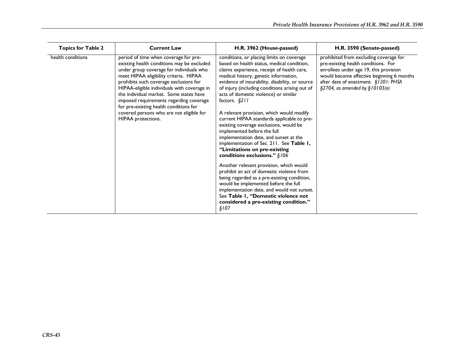| <b>Topics for Table 2</b> | <b>Current Law</b>                                                                                                                                                                                                                                                                                                                                                                                                                                                   | H.R. 3962 (House-passed)                                                                                                                                                                                                                                                                                                                                                                                                                                                                                                                                                                                                                                                                                              | H.R. 3590 (Senate-passed)                                                                                                                                                                                                                      |
|---------------------------|----------------------------------------------------------------------------------------------------------------------------------------------------------------------------------------------------------------------------------------------------------------------------------------------------------------------------------------------------------------------------------------------------------------------------------------------------------------------|-----------------------------------------------------------------------------------------------------------------------------------------------------------------------------------------------------------------------------------------------------------------------------------------------------------------------------------------------------------------------------------------------------------------------------------------------------------------------------------------------------------------------------------------------------------------------------------------------------------------------------------------------------------------------------------------------------------------------|------------------------------------------------------------------------------------------------------------------------------------------------------------------------------------------------------------------------------------------------|
| health conditions         | period of time when coverage for pre-<br>existing health conditions may be excluded<br>under group coverage for individuals who<br>meet HIPAA eligibility criteria. HIPAA<br>prohibits such coverage exclusions for<br>HIPAA-eligible individuals with coverage in<br>the individual market. Some states have<br>imposed requirements regarding coverage<br>for pre-existing health conditions for<br>covered persons who are not eligible for<br>HIPAA protections. | conditions, or placing limits on coverage<br>based on health status, medical condition,<br>claims experience, receipt of health care,<br>medical history, genetic information,<br>evidence of insurability, disability, or source<br>of injury (including conditions arising out of<br>acts of domestic violence) or similar<br>factors. $§211$<br>A relevant provision, which would modify<br>current HIPAA standards applicable to pre-<br>existing coverage exclusions, would be<br>implemented before the full<br>implementation date, and sunset at the<br>implementation of Sec. 211. See Table 1,<br>"Limitations on pre-existing<br>conditions exclusions." $§106$<br>Another relevant provision, which would | prohibited from excluding coverage for<br>pre-existing health conditions. For<br>enrollees under age 19, this provision<br>would become effective beginning 6 months<br>after date of enactment. §1201: PHSA<br>§2704, as amended by §10103(e) |
|                           |                                                                                                                                                                                                                                                                                                                                                                                                                                                                      | prohibit an act of domestic violence from<br>being regarded as a pre-existing condition,<br>would be implemented before the full<br>implementation date, and would not sunset.<br>See Table I, "Domestic violence not<br>considered a pre-existing condition."<br>\$107                                                                                                                                                                                                                                                                                                                                                                                                                                               |                                                                                                                                                                                                                                                |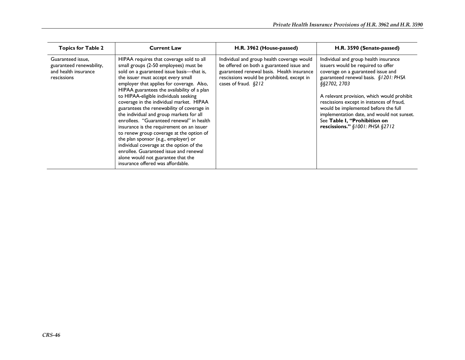| <b>Topics for Table 2</b>                                                            | <b>Current Law</b>                                                                                                                                                                                                                                                                                                                                                                                                                                                                                                                                                                                                                                                                                                                                                                             | H.R. 3962 (House-passed)                                                                                                                                                                                      | H.R. 3590 (Senate-passed)                                                                                                                                                                                                                                                                                                                                                                                                          |
|--------------------------------------------------------------------------------------|------------------------------------------------------------------------------------------------------------------------------------------------------------------------------------------------------------------------------------------------------------------------------------------------------------------------------------------------------------------------------------------------------------------------------------------------------------------------------------------------------------------------------------------------------------------------------------------------------------------------------------------------------------------------------------------------------------------------------------------------------------------------------------------------|---------------------------------------------------------------------------------------------------------------------------------------------------------------------------------------------------------------|------------------------------------------------------------------------------------------------------------------------------------------------------------------------------------------------------------------------------------------------------------------------------------------------------------------------------------------------------------------------------------------------------------------------------------|
| Guaranteed issue,<br>guaranteed renewability,<br>and health insurance<br>rescissions | HIPAA requires that coverage sold to all<br>small groups (2-50 employees) must be<br>sold on a guaranteed issue basis—that is,<br>the issuer must accept every small<br>employer that applies for coverage. Also,<br>HIPAA guarantees the availability of a plan<br>to HIPAA-eligible individuals seeking<br>coverage in the individual market. HIPAA<br>guarantees the renewability of coverage in<br>the individual and group markets for all<br>enrollees. "Guaranteed renewal" in health<br>insurance is the requirement on an issuer<br>to renew group coverage at the option of<br>the plan sponsor (e.g., employer) or<br>individual coverage at the option of the<br>enrollee. Guaranteed issue and renewal<br>alone would not guarantee that the<br>insurance offered was affordable. | Individual and group health coverage would<br>be offered on both a guaranteed issue and<br>guaranteed renewal basis. Health insurance<br>rescissions would be prohibited, except in<br>cases of fraud. $$212$ | Individual and group health insurance<br>issuers would be required to offer<br>coverage on a guaranteed issue and<br>guaranteed renewal basis. §1201: PHSA<br>\$\$2702, 2703<br>A relevant provision, which would prohibit<br>rescissions except in instances of fraud,<br>would be implemented before the full<br>implementation date, and would not sunset.<br>See Table I, "Prohibition on<br>rescissions." $$1001: PHSA $2712$ |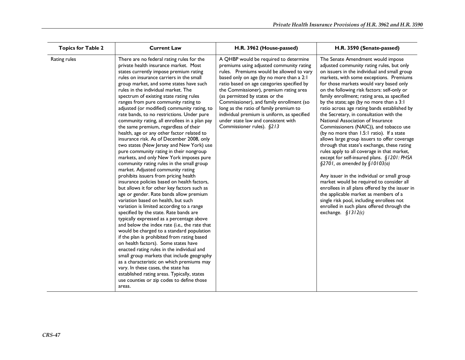| <b>Topics for Table 2</b> | <b>Current Law</b>                                                                                                                                                                                                                                                                                                                                                                                                                                                                                                                                                                                                                                                                                                                                                                                                                                                                                                                                                                                                                                                                                                                                                                                                                                                                                                                                                                                                                                                                                                                                                                                                                                                                          | H.R. 3962 (House-passed)                                                                                                                                                                                                                                                                                                                                                                                                                                                                                     | H.R. 3590 (Senate-passed)                                                                                                                                                                                                                                                                                                                                                                                                                                                                                                                                                                                                                                                                                                                                                                                                                                                                                                                                                                                                                                                                                                              |
|---------------------------|---------------------------------------------------------------------------------------------------------------------------------------------------------------------------------------------------------------------------------------------------------------------------------------------------------------------------------------------------------------------------------------------------------------------------------------------------------------------------------------------------------------------------------------------------------------------------------------------------------------------------------------------------------------------------------------------------------------------------------------------------------------------------------------------------------------------------------------------------------------------------------------------------------------------------------------------------------------------------------------------------------------------------------------------------------------------------------------------------------------------------------------------------------------------------------------------------------------------------------------------------------------------------------------------------------------------------------------------------------------------------------------------------------------------------------------------------------------------------------------------------------------------------------------------------------------------------------------------------------------------------------------------------------------------------------------------|--------------------------------------------------------------------------------------------------------------------------------------------------------------------------------------------------------------------------------------------------------------------------------------------------------------------------------------------------------------------------------------------------------------------------------------------------------------------------------------------------------------|----------------------------------------------------------------------------------------------------------------------------------------------------------------------------------------------------------------------------------------------------------------------------------------------------------------------------------------------------------------------------------------------------------------------------------------------------------------------------------------------------------------------------------------------------------------------------------------------------------------------------------------------------------------------------------------------------------------------------------------------------------------------------------------------------------------------------------------------------------------------------------------------------------------------------------------------------------------------------------------------------------------------------------------------------------------------------------------------------------------------------------------|
| Rating rules              | There are no federal rating rules for the<br>private health insurance market. Most<br>states currently impose premium rating<br>rules on insurance carriers in the small<br>group market, and some states have such<br>rules in the individual market. The<br>spectrum of existing state rating rules<br>ranges from pure community rating to<br>adjusted (or modified) community rating, to<br>rate bands, to no restrictions. Under pure<br>community rating, all enrollees in a plan pay<br>the same premium, regardless of their<br>health, age or any other factor related to<br>insurance risk. As of December 2008, only<br>two states (New Jersey and New York) use<br>pure community rating in their nongroup<br>markets, and only New York imposes pure<br>community rating rules in the small group<br>market. Adjusted community rating<br>prohibits issuers from pricing health<br>insurance policies based on health factors,<br>but allows it for other key factors such as<br>age or gender. Rate bands allow premium<br>variation based on health, but such<br>variation is limited according to a range<br>specified by the state. Rate bands are<br>typically expressed as a percentage above<br>and below the index rate (i.e., the rate that<br>would be charged to a standard population<br>if the plan is prohibited from rating based<br>on health factors). Some states have<br>enacted rating rules in the individual and<br>small group markets that include geography<br>as a characteristic on which premiums may<br>vary. In these cases, the state has<br>established rating areas. Typically, states<br>use counties or zip codes to define those<br>areas. | A QHBP would be required to determine<br>premiums using adjusted community rating<br>rules. Premiums would be allowed to vary<br>based only on age (by no more than a 2:1<br>ratio based on age categories specified by<br>the Commissioner), premium rating area<br>(as permitted by states or the<br>Commissioner), and family enrollment (so<br>long as the ratio of family premium to<br>individual premium is uniform, as specified<br>under state law and consistent with<br>Commissioner rules). §213 | The Senate Amendment would impose<br>adjusted community rating rules, but only<br>on issuers in the individual and small group<br>markets, with some exceptions. Premiums<br>for those markets would vary based only<br>on the following risk factors: self-only or<br>family enrollment; rating area, as specified<br>by the state; age (by no more than a 3:1<br>ratio across age rating bands established by<br>the Secretary, in consultation with the<br>National Association of Insurance<br>Commissioners (NAIC)), and tobacco use<br>(by no more than 1.5:1 ratio). If a state<br>allows large group issuers to offer coverage<br>through that state's exchange, these rating<br>rules apply to all coverage in that market,<br>except for self-insured plans. §1201: PHSA<br>$\S$ 2701, as amended by $\S$ 10103(a)<br>Any issuer in the individual or small group<br>market would be required to consider all<br>enrollees in all plans offered by the issuer in<br>the applicable market as members of a<br>single risk pool, including enrollees not<br>enrolled in such plans offered through the<br>exchange. $$1312(c)$ |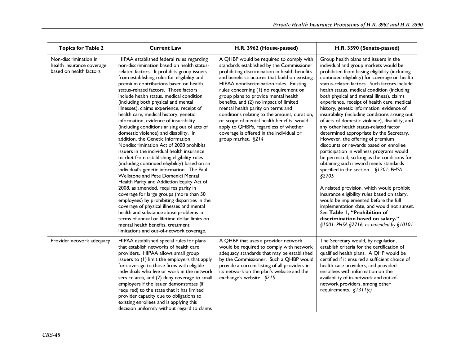| <b>Topics for Table 2</b>                                                     | <b>Current Law</b>                                                                                                                                                                                                                                                                                                                                                                                                                                                                                                                                                                                                                                                                                                                                                                                                                                                                                                                                                                                                                                                                                                                                                                                                                                                                                          | H.R. 3962 (House-passed)                                                                                                                                                                                                                                                                                                                                                                                                                                                                                                                                                                                   | H.R. 3590 (Senate-passed)                                                                                                                                                                                                                                                                                                                                                                                                                                                                                                                                                                                                                                                                                                                                                                                                                                                                                                                                                                                                                                                                                                                                                                |
|-------------------------------------------------------------------------------|-------------------------------------------------------------------------------------------------------------------------------------------------------------------------------------------------------------------------------------------------------------------------------------------------------------------------------------------------------------------------------------------------------------------------------------------------------------------------------------------------------------------------------------------------------------------------------------------------------------------------------------------------------------------------------------------------------------------------------------------------------------------------------------------------------------------------------------------------------------------------------------------------------------------------------------------------------------------------------------------------------------------------------------------------------------------------------------------------------------------------------------------------------------------------------------------------------------------------------------------------------------------------------------------------------------|------------------------------------------------------------------------------------------------------------------------------------------------------------------------------------------------------------------------------------------------------------------------------------------------------------------------------------------------------------------------------------------------------------------------------------------------------------------------------------------------------------------------------------------------------------------------------------------------------------|------------------------------------------------------------------------------------------------------------------------------------------------------------------------------------------------------------------------------------------------------------------------------------------------------------------------------------------------------------------------------------------------------------------------------------------------------------------------------------------------------------------------------------------------------------------------------------------------------------------------------------------------------------------------------------------------------------------------------------------------------------------------------------------------------------------------------------------------------------------------------------------------------------------------------------------------------------------------------------------------------------------------------------------------------------------------------------------------------------------------------------------------------------------------------------------|
| Non-discrimination in<br>health insurance coverage<br>based on health factors | HIPAA established federal rules regarding<br>non-discrimination based on health status-<br>related factors. It prohibits group issuers<br>from establishing rules for eligibility and<br>premium contributions based on health<br>status-related factors. Those factors<br>include health status, medical condition<br>(including both physical and mental<br>illnesses), claims experience, receipt of<br>health care, medical history, genetic<br>information, evidence of insurability<br>(including conditions arising out of acts of<br>domestic violence) and disability. In<br>addition, the Genetic Information<br>Nondiscrimination Act of 2008 prohibits<br>issuers in the individual health insurance<br>market from establishing eligibility rules<br>(including continued eligibility) based on an<br>individual's genetic information. The Paul<br>Wellstone and Pete Domenici Mental<br>Health Parity and Addiction Equity Act of<br>2008, as amended, requires parity in<br>coverage for large groups (more than 50<br>employees) by prohibiting disparities in the<br>coverage of physical illnesses and mental<br>health and substance abuse problems in<br>terms of annual or lifetime dollar limits on<br>mental health benefits, treatment<br>limitations and out-of-network coverage. | A QHBP would be required to comply with<br>standards established by the Commissioner<br>prohibiting discrimination in health benefits<br>and benefit structures that build on existing<br>HIPAA nondiscrimination rules. Existing<br>rules concerning (1) no requirement on<br>group plans to provide mental health<br>benefits, and (2) no impact of limited<br>mental health parity on terms and<br>conditions relating to the amount, duration,<br>or scope of mental health benefits, would<br>apply to QHBPs, regardless of whether<br>coverage is offered in the individual or<br>group market. §214 | Group health plans and issuers in the<br>individual and group markets would be<br>prohibited from basing eligibility (including<br>continued eligibility) for coverage on health<br>status-related factors. Such factors include<br>health status, medical condition (including<br>both physical and mental illness), claims<br>experience, receipt of health care, medical<br>history, genetic information, evidence of<br>insurability (including conditions arising out<br>of acts of domestic violence), disability, and<br>any other health status-related factor<br>determined appropriate by the Secretary.<br>However, the offering of premium<br>discounts or rewards based on enrollee<br>participation in wellness programs would<br>be permitted, so long as the conditions for<br>obtaining such reward meets standards<br>specified in the section. §1201: PHSA<br>§2705<br>A related provision, which would prohibit<br>insurance eligibility rules based on salary,<br>would be implemented before the full<br>implementation date, and would not sunset.<br>See Table I, "Prohibition of<br>discrimination based on salary."<br>§1001: PHSA §2716, as amended by §10101 |
| Provider network adequacy                                                     | HIPAA established special rules for plans<br>that establish networks of health care<br>providers. HIPAA allows small group<br>issuers to (1) limit the employers that apply<br>for coverage to those firms with eligible<br>individuals who live or work in the network<br>service area, and (2) deny coverage to small<br>employers if the issuer demonstrates (if<br>required) to the state that it has limited<br>provider capacity due to obligations to<br>existing enrollees and is applying this<br>decision uniformly without regard to claims                                                                                                                                                                                                                                                                                                                                                                                                                                                                                                                                                                                                                                                                                                                                                      | A QHBP that uses a provider network<br>would be required to comply with network<br>adequacy standards that may be established<br>by the Commissioner. Such a QHBP would<br>provide a current listing of all providers in<br>its network on the plan's website and the<br>exchange's website. §215                                                                                                                                                                                                                                                                                                          | The Secretary would, by regulation,<br>establish criteria for the certification of<br>qualified health plans. A QHP would be<br>certified if it ensured a sufficient choice of<br>health care providers, and provided<br>enrollees with information on the<br>availability of in-network and out-of-<br>network providers, among other<br>requirements. $$1311(c)$                                                                                                                                                                                                                                                                                                                                                                                                                                                                                                                                                                                                                                                                                                                                                                                                                       |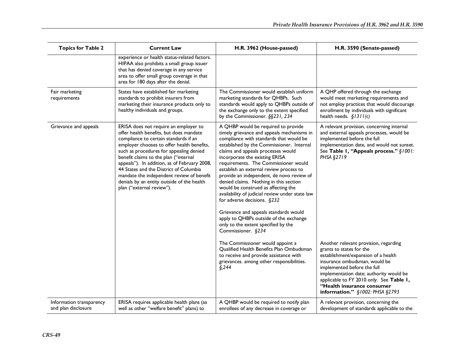| <b>Topics for Table 2</b>                       | <b>Current Law</b>                                                                                                                                                                                                                                                                                                                                                                                                                                                            | H.R. 3962 (House-passed)                                                                                                                                                                                                                                                                                                                                                                                                                                                                                                                                                                                                                                                                               | H.R. 3590 (Senate-passed)                                                                                                                                                                                                                                                                                                        |
|-------------------------------------------------|-------------------------------------------------------------------------------------------------------------------------------------------------------------------------------------------------------------------------------------------------------------------------------------------------------------------------------------------------------------------------------------------------------------------------------------------------------------------------------|--------------------------------------------------------------------------------------------------------------------------------------------------------------------------------------------------------------------------------------------------------------------------------------------------------------------------------------------------------------------------------------------------------------------------------------------------------------------------------------------------------------------------------------------------------------------------------------------------------------------------------------------------------------------------------------------------------|----------------------------------------------------------------------------------------------------------------------------------------------------------------------------------------------------------------------------------------------------------------------------------------------------------------------------------|
|                                                 | experience or health status-related factors.<br>HIPAA also prohibits a small group issuer<br>that has denied coverage in any service<br>area to offer small group coverage in that<br>area for 180 days after the denial.                                                                                                                                                                                                                                                     |                                                                                                                                                                                                                                                                                                                                                                                                                                                                                                                                                                                                                                                                                                        |                                                                                                                                                                                                                                                                                                                                  |
| Fair marketing<br>requirements                  | States have established fair marketing<br>standards to prohibit insurers from<br>marketing their insurance products only to<br>healthy individuals and groups.                                                                                                                                                                                                                                                                                                                | The Commissioner would establish uniform<br>marketing standards for QHBPs. Such<br>standards would apply to QHBPs outside of<br>the exchange only to the extent specified<br>by the Commissioner. §§231, 234                                                                                                                                                                                                                                                                                                                                                                                                                                                                                           | A QHP offered through the exchange<br>would meet marketing requirements and<br>not employ practices that would discourage<br>enrollment by individuals with significant<br>health needs. $$1311(c)$                                                                                                                              |
| Grievance and appeals                           | ERISA does not require an employer to<br>offer health benefits, but does mandate<br>compliance to certain standards if an<br>employer chooses to offer health benefits,<br>such as procedures for appealing denied<br>benefit claims to the plan ("internal<br>appeals"). In addition, as of February 2008,<br>44 States and the District of Columbia<br>mandate the independent review of benefit<br>denials by an entity outside of the health<br>plan ("external review"). | A QHBP would be required to provide<br>timely grievance and appeals mechanisms in<br>compliance with standards that would be<br>established by the Commissioner. Internal<br>claims and appeals processes would<br>incorporate the existing ERISA<br>requirements. The Commissioner would<br>establish an external review process to<br>provide an independent, de novo review of<br>denied claims. Nothing in this section<br>would be construed as affecting the<br>availability of judicial review under state law<br>for adverse decisions. $§232$<br>Grievance and appeals standards would<br>apply to QHBPs outside of the exchange<br>only to the extent specified by the<br>Commissioner. §234 | A relevant provision, concerning internal<br>and external appeals processes, would be<br>implemented before the full<br>implementation date, and would not sunset.<br>See Table I, "Appeals process." §1001:<br>PHSA §2719                                                                                                       |
|                                                 |                                                                                                                                                                                                                                                                                                                                                                                                                                                                               | The Commissioner would appoint a<br>Qualified Health Benefits Plan Ombudsman<br>to receive and provide assistance with<br>grievances. among other responsibilities.<br>§,244                                                                                                                                                                                                                                                                                                                                                                                                                                                                                                                           | Another relevant provision, regarding<br>grants to states for the<br>establishment/expansion of a health<br>insurance ombudsman, would be<br>implemented before the full<br>implementation date; authority would be<br>applicable to FY 2010 only. See Table 1,<br>"Health insurance consumer<br>information." §1002: PHSA §2793 |
| Information transparency<br>and plan disclosure | ERISA requires applicable health plans (as<br>well as other "welfare benefit" plans) to                                                                                                                                                                                                                                                                                                                                                                                       | A QHBP would be required to notify plan<br>enrollees of any decrease in coverage or                                                                                                                                                                                                                                                                                                                                                                                                                                                                                                                                                                                                                    | A relevant provision, concerning the<br>development of standards applicable to the                                                                                                                                                                                                                                               |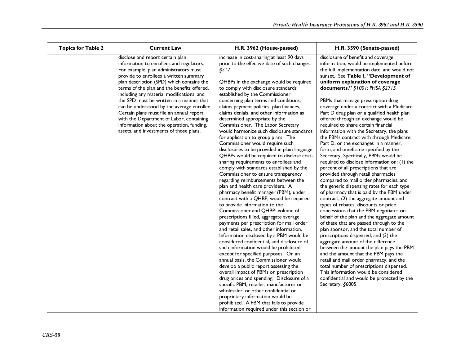| <b>Topics for Table 2</b> | <b>Current Law</b>                                                                                                                                                                                                                                                                                                                                                                                                                                                                                                                                                                 | H.R. 3962 (House-passed)                                                                                                                                                                                                                                                                                                                                                                                                                                                                                                                                                                                                                                                                                                                                                                                                                                                                                                                                                                                                                                                                                                                                                                                                                                                                                                                                                                                                                                                                                | H.R. 3590 (Senate-passed)                                                                                                                                                                                                                                                                                                                                                                                                                                                                                                                                                                                                                                                                                                                                                                                                                                                                                                                                                                                                                                                                                                                                                                                                                                                                                                                                                                                                                                                                                                                                       |
|---------------------------|------------------------------------------------------------------------------------------------------------------------------------------------------------------------------------------------------------------------------------------------------------------------------------------------------------------------------------------------------------------------------------------------------------------------------------------------------------------------------------------------------------------------------------------------------------------------------------|---------------------------------------------------------------------------------------------------------------------------------------------------------------------------------------------------------------------------------------------------------------------------------------------------------------------------------------------------------------------------------------------------------------------------------------------------------------------------------------------------------------------------------------------------------------------------------------------------------------------------------------------------------------------------------------------------------------------------------------------------------------------------------------------------------------------------------------------------------------------------------------------------------------------------------------------------------------------------------------------------------------------------------------------------------------------------------------------------------------------------------------------------------------------------------------------------------------------------------------------------------------------------------------------------------------------------------------------------------------------------------------------------------------------------------------------------------------------------------------------------------|-----------------------------------------------------------------------------------------------------------------------------------------------------------------------------------------------------------------------------------------------------------------------------------------------------------------------------------------------------------------------------------------------------------------------------------------------------------------------------------------------------------------------------------------------------------------------------------------------------------------------------------------------------------------------------------------------------------------------------------------------------------------------------------------------------------------------------------------------------------------------------------------------------------------------------------------------------------------------------------------------------------------------------------------------------------------------------------------------------------------------------------------------------------------------------------------------------------------------------------------------------------------------------------------------------------------------------------------------------------------------------------------------------------------------------------------------------------------------------------------------------------------------------------------------------------------|
|                           | disclose and report certain plan<br>information to enrollees and regulators.<br>For example, plan administrators must<br>provide to enrollees a written summary<br>plan description (SPD) which contains the<br>terms of the plan and the benefits offered,<br>including any material modifications, and<br>the SPD must be written in a manner that<br>can be understood by the average enrollee.<br>Certain plans must file an annual report<br>with the Department of Labor, containing<br>information about the operation, funding,<br>assets, and investments of those plans. | increase in cost-sharing at least 90 days<br>prior to the effective date of such changes.<br>§217<br>QHBPs in the exchange would be required<br>to comply with disclosure standards<br>established by the Commissioner<br>concerning plan terms and conditions,<br>claims payment policies, plan finances,<br>claims denials, and other information as<br>determined appropriate by the<br>Commissioner. The Labor Secretary<br>would harmonize such disclosure standards<br>for application to group plans. The<br>Commissioner would require such<br>disclosures to be provided in plain language.<br>QHBPs would be required to disclose cost-<br>sharing requirements to enrollees and<br>comply with standards established by the<br>Commissioner to ensure transparency<br>regarding reimbursements between the<br>plan and health care providers. A<br>pharmacy benefit manager (PBM), under<br>contract with a QHBP, would be required<br>to provide information to the<br>Commissioner and QHBP: volume of<br>prescriptions filled, aggregate average<br>payments per prescription for mail order<br>and retail sales, and other information.<br>Information disclosed by a PBM would be<br>considered confidential, and disclosure of<br>such information would be prohibited<br>except for specified purposes. On an<br>annual basis, the Commissioner would<br>develop a public report assessing the<br>overall impact of PBMs on prescription<br>drug prices and spending. Disclosure of a | disclosure of benefit and coverage<br>information, would be implemented before<br>the full implementation date, and would not<br>sunset. See Table I, "Development of<br>uniform explanation of coverage<br>documents." §1001: PHSA §2715<br>PBMs that manage prescription drug<br>coverage under a contract with a Medicare<br>Part D drug plan or a qualified health plan<br>offered through an exchange would be<br>required to share certain financial<br>information with the Secretary, the plans<br>the PBMs contract with through Medicare<br>Part D, or the exchanges in a manner,<br>form, and timeframe specified by the<br>Secretary. Specifically, PBMs would be<br>required to disclose information on: (1) the<br>percent of all prescriptions that are<br>provided through retail pharmacies<br>compared to mail order pharmacies, and<br>the generic dispensing rates for each type<br>of pharmacy that is paid by the PBM under<br>contract; (2) the aggregate amount and<br>types of rebates, discounts or price<br>concessions that the PBM negotiates on<br>behalf of the plan and the aggregate amount<br>of these that are passed through to the<br>plan sponsor, and the total number of<br>prescriptions dispensed; and (3) the<br>aggregate amount of the difference<br>between the amount the plan pays the PBM<br>and the amount that the PBM pays the<br>retail and mail order pharmacy, and the<br>total number of prescriptions dispensed.<br>This information would be considered<br>confidential and would be protected by the |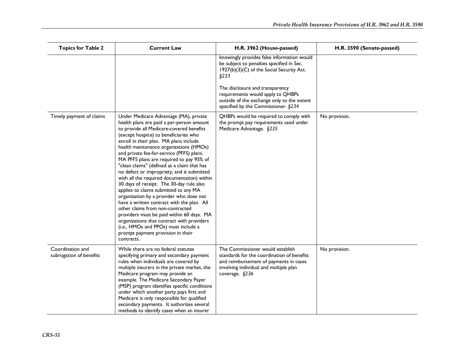| <b>Topics for Table 2</b>                   | <b>Current Law</b>                                                                                                                                                                                                                                                                                                                                                                                                                                                                                                                                                                                                                                                                                                                                                                                                                                                                                         | H.R. 3962 (House-passed)                                                                                                                                                             | H.R. 3590 (Senate-passed) |
|---------------------------------------------|------------------------------------------------------------------------------------------------------------------------------------------------------------------------------------------------------------------------------------------------------------------------------------------------------------------------------------------------------------------------------------------------------------------------------------------------------------------------------------------------------------------------------------------------------------------------------------------------------------------------------------------------------------------------------------------------------------------------------------------------------------------------------------------------------------------------------------------------------------------------------------------------------------|--------------------------------------------------------------------------------------------------------------------------------------------------------------------------------------|---------------------------|
|                                             |                                                                                                                                                                                                                                                                                                                                                                                                                                                                                                                                                                                                                                                                                                                                                                                                                                                                                                            | knowingly provides false information would<br>be subject to penalties specified in Sec.<br>1927(b)(3)(C) of the Social Security Act.<br>§233                                         |                           |
|                                             |                                                                                                                                                                                                                                                                                                                                                                                                                                                                                                                                                                                                                                                                                                                                                                                                                                                                                                            | The disclosure and transparency<br>requirements would apply to QHBPs<br>outside of the exchange only to the extent<br>specified by the Commissioner. §234                            |                           |
| Timely payment of claims                    | Under Medicare Advantage (MA), private<br>health plans are paid a per-person amount<br>to provide all Medicare-covered benefits<br>(except hospice) to beneficiaries who<br>enroll in their plan. MA plans include<br>health maintenance organizations (HMOs)<br>and private fee-for-service (PFFS) plans.<br>MA PFFS plans are required to pay 95% of<br>"clean claims" (defined as a claim that has<br>no defect or impropriety, and is submitted<br>with all the required documentation) within<br>30 days of receipt. The 30-day rule also<br>applies to claims submitted to any MA<br>organization by a provider who does not<br>have a written contract with the plan. All<br>other claims from non-contracted<br>providers must be paid within 60 days. MA<br>organizations that contract with providers<br>(i.e., HMOs and PPOs) must include a<br>prompt payment provision in their<br>contracts. | QHBPs would be required to comply with<br>the prompt pay requirements used under<br>Medicare Advantage. §235                                                                         | No provision.             |
| Coordination and<br>subrogation of benefits | While there are no federal statutes<br>specifying primary and secondary payment<br>rules when individuals are covered by<br>multiple insurers in the private market, the<br>Medicare program may provide an<br>example. The Medicare Secondary Payer<br>(MSP) program identifies specific conditions<br>under which another party pays first and<br>Medicare is only responsible for qualified<br>secondary payments. It authorizes several<br>methods to identify cases when an insurer                                                                                                                                                                                                                                                                                                                                                                                                                   | The Commissioner would establish<br>standards for the coordination of benefits<br>and reimbursement of payments in cases<br>involving individual and multiple plan<br>coverage. §236 | No provision.             |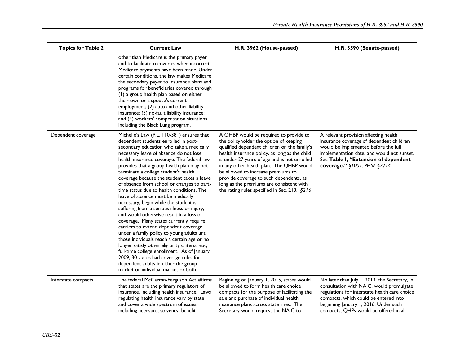| <b>Topics for Table 2</b> | <b>Current Law</b>                                                                                                                                                                                                                                                                                                                                                                                                                                                                                                                                                                                                                                                                                                                                                                                                                                                                                                                                                                                                                           | H.R. 3962 (House-passed)                                                                                                                                                                                                                                                                                                                                                                                                                                   | H.R. 3590 (Senate-passed)                                                                                                                                                                                                                                              |
|---------------------------|----------------------------------------------------------------------------------------------------------------------------------------------------------------------------------------------------------------------------------------------------------------------------------------------------------------------------------------------------------------------------------------------------------------------------------------------------------------------------------------------------------------------------------------------------------------------------------------------------------------------------------------------------------------------------------------------------------------------------------------------------------------------------------------------------------------------------------------------------------------------------------------------------------------------------------------------------------------------------------------------------------------------------------------------|------------------------------------------------------------------------------------------------------------------------------------------------------------------------------------------------------------------------------------------------------------------------------------------------------------------------------------------------------------------------------------------------------------------------------------------------------------|------------------------------------------------------------------------------------------------------------------------------------------------------------------------------------------------------------------------------------------------------------------------|
|                           | other than Medicare is the primary payer<br>and to facilitate recoveries when incorrect<br>Medicare payments have been made. Under<br>certain conditions, the law makes Medicare<br>the secondary payer to insurance plans and<br>programs for beneficiaries covered through<br>(1) a group health plan based on either<br>their own or a spouse's current<br>employment; (2) auto and other liability<br>insurance; (3) no-fault liability insurance;<br>and (4) workers' compensation situations,<br>including the Black Lung program.                                                                                                                                                                                                                                                                                                                                                                                                                                                                                                     |                                                                                                                                                                                                                                                                                                                                                                                                                                                            |                                                                                                                                                                                                                                                                        |
| Dependent coverage        | Michelle's Law (P.L. 110-381) ensures that<br>dependent students enrolled in post-<br>secondary education who take a medically<br>necessary leave of absence do not lose<br>health insurance coverage. The federal law<br>provides that a group health plan may not<br>terminate a college student's health<br>coverage because the student takes a leave<br>of absence from school or changes to part-<br>time status due to health conditions. The<br>leave of absence must be medically<br>necessary, begin while the student is<br>suffering from a serious illness or injury,<br>and would otherwise result in a loss of<br>coverage. Many states currently require<br>carriers to extend dependent coverage<br>under a family policy to young adults until<br>those individuals reach a certain age or no<br>longer satisfy other eligibility criteria, e.g.,<br>full-time college enrollment. As of January<br>2009, 30 states had coverage rules for<br>dependent adults in either the group<br>market or individual market or both. | A QHBP would be required to provide to<br>the policyholder the option of keeping<br>qualified dependent children on the family's<br>health insurance policy, as long as the child<br>is under 27 years of age and is not enrolled<br>in any other health plan. The QHBP would<br>be allowed to increase premiums to<br>provide coverage to such dependents, as<br>long as the premiums are consistent with<br>the rating rules specified in Sec. 213. §216 | A relevant provision affecting health<br>insurance coverage of dependent children<br>would be implemented before the full<br>implementation date, and would not sunset.<br>See Table I, "Extension of dependent<br>coverage." §1001: PHSA §2714                        |
| Interstate compacts       | The federal McCarran-Ferguson Act affirms<br>that states are the primary regulators of<br>insurance, including health insurance. Laws<br>regulating health insurance vary by state<br>and cover a wide spectrum of issues,<br>including licensure, solvency, benefit                                                                                                                                                                                                                                                                                                                                                                                                                                                                                                                                                                                                                                                                                                                                                                         | Beginning on January 1, 2015, states would<br>be allowed to form health care choice<br>compacts for the purpose of facilitating the<br>sale and purchase of individual health<br>insurance plans across state lines. The<br>Secretary would request the NAIC to                                                                                                                                                                                            | No later than July 1, 2013, the Secretary, in<br>consultation with NAIC, would promulgate<br>regulations for interstate health care choice<br>compacts, which could be entered into<br>beginning January 1, 2016. Under such<br>compacts, QHPs would be offered in all |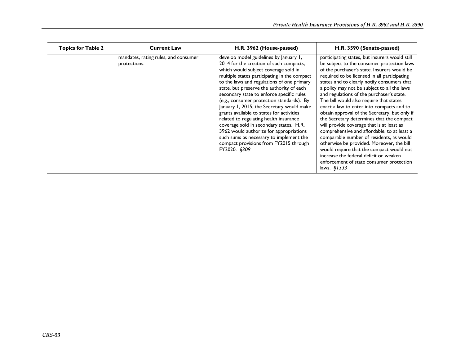| <b>Topics for Table 2</b> | <b>Current Law</b>                                   | H.R. 3962 (House-passed)                                                                                                                                                                                                                                                                                                                                                                                                                                                                                                                                                                                                                                                                      | H.R. 3590 (Senate-passed)                                                                                                                                                                                                                                                                                                                                                                                                                                                                                                                                                                                                                                                                                                                                                                                                                                            |
|---------------------------|------------------------------------------------------|-----------------------------------------------------------------------------------------------------------------------------------------------------------------------------------------------------------------------------------------------------------------------------------------------------------------------------------------------------------------------------------------------------------------------------------------------------------------------------------------------------------------------------------------------------------------------------------------------------------------------------------------------------------------------------------------------|----------------------------------------------------------------------------------------------------------------------------------------------------------------------------------------------------------------------------------------------------------------------------------------------------------------------------------------------------------------------------------------------------------------------------------------------------------------------------------------------------------------------------------------------------------------------------------------------------------------------------------------------------------------------------------------------------------------------------------------------------------------------------------------------------------------------------------------------------------------------|
|                           | mandates, rating rules, and consumer<br>protections. | develop model guidelines by January 1,<br>2014 for the creation of such compacts,<br>which would subject coverage sold in<br>multiple states participating in the compact<br>to the laws and regulations of one primary<br>state, but preserve the authority of each<br>secondary state to enforce specific rules<br>(e.g., consumer protection standards). By<br>January 1, 2015, the Secretary would make<br>grants available to states for activities<br>related to regulating health insurance<br>coverage sold in secondary states. H.R.<br>3962 would authorize for appropriations<br>such sums as necessary to implement the<br>compact provisions from FY2015 through<br>FY2020. §309 | participating states, but insurers would still<br>be subject to the consumer protection laws<br>of the purchaser's state. Insurers would be<br>required to be licensed in all participating<br>states and to clearly notify consumers that<br>a policy may not be subject to all the laws<br>and regulations of the purchaser's state.<br>The bill would also require that states<br>enact a law to enter into compacts and to<br>obtain approval of the Secretary, but only if<br>the Secretary determines that the compact<br>will provide coverage that is at least as<br>comprehensive and affordable, to at least a<br>comparable number of residents, as would<br>otherwise be provided. Moreover, the bill<br>would require that the compact would not<br>increase the federal deficit or weaken<br>enforcement of state consumer protection<br>laws. $$1333$ |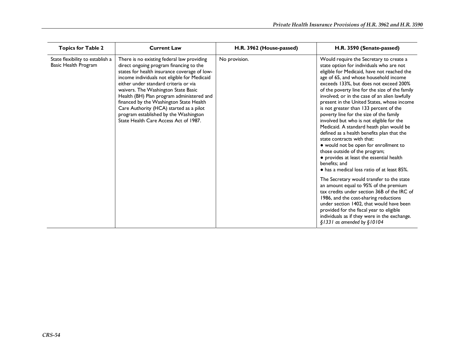| <b>Topics for Table 2</b>                                | <b>Current Law</b>                                                                                                                                                                                                                                                                                                                                                                                                                                                                         | H.R. 3962 (House-passed) | H.R. 3590 (Senate-passed)                                                                                                                                                                                                                                                                                                                                                                                                                                                                                                                                                                                                                                                                                                                                                                                                                                                                                                                                                                                                                                                                                                                                                         |
|----------------------------------------------------------|--------------------------------------------------------------------------------------------------------------------------------------------------------------------------------------------------------------------------------------------------------------------------------------------------------------------------------------------------------------------------------------------------------------------------------------------------------------------------------------------|--------------------------|-----------------------------------------------------------------------------------------------------------------------------------------------------------------------------------------------------------------------------------------------------------------------------------------------------------------------------------------------------------------------------------------------------------------------------------------------------------------------------------------------------------------------------------------------------------------------------------------------------------------------------------------------------------------------------------------------------------------------------------------------------------------------------------------------------------------------------------------------------------------------------------------------------------------------------------------------------------------------------------------------------------------------------------------------------------------------------------------------------------------------------------------------------------------------------------|
| State flexibility to establish a<br>Basic Health Program | There is no existing federal law providing<br>direct ongoing program financing to the<br>states for health insurance coverage of low-<br>income individuals not eligible for Medicaid<br>either under standard criteria or via<br>waivers. The Washington State Basic<br>Health (BH) Plan program administered and<br>financed by the Washington State Health<br>Care Authority (HCA) started as a pilot<br>program established by the Washington<br>State Health Care Access Act of 1987. | No provision.            | Would require the Secretary to create a<br>state option for individuals who are not<br>eligible for Medicaid, have not reached the<br>age of 65, and whose household income<br>exceeds 133%, but does not exceed 200%<br>of the poverty line for the size of the family<br>involved; or in the case of an alien lawfully<br>present in the United States, whose income<br>is not greater than 133 percent of the<br>poverty line for the size of the family<br>involved but who is not eligible for the<br>Medicaid. A standard heath plan would be<br>defined as a health benefits plan that the<br>state contracts with that:<br>• would not be open for enrollment to<br>those outside of the program;<br>• provides at least the essential health<br>benefits: and<br>• has a medical loss ratio of at least 85%.<br>The Secretary would transfer to the state<br>an amount equal to 95% of the premium<br>tax credits under section 36B of the IRC of<br>1986, and the cost-sharing reductions<br>under section 1402, that would have been<br>provided for the fiscal year to eligible<br>individuals as if they were in the exchange.<br>$\S$ 1331 as amended by $\S$ 10104 |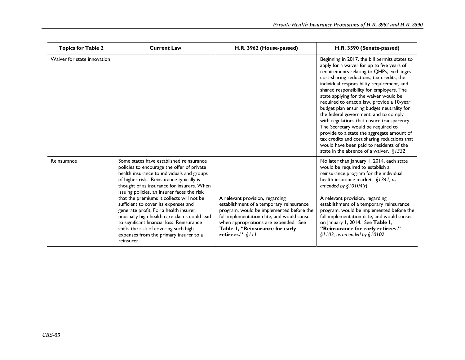| <b>Topics for Table 2</b>   | <b>Current Law</b>                                                                                                                                                                                                                                                                                                                                                                                                                                                                                                                                                                                          | H.R. 3962 (House-passed)                                                                                                                                                                                                                                             | H.R. 3590 (Senate-passed)                                                                                                                                                                                                                                                                                                                                                                                                                                                                                                                                                                                                                                                                                                                  |
|-----------------------------|-------------------------------------------------------------------------------------------------------------------------------------------------------------------------------------------------------------------------------------------------------------------------------------------------------------------------------------------------------------------------------------------------------------------------------------------------------------------------------------------------------------------------------------------------------------------------------------------------------------|----------------------------------------------------------------------------------------------------------------------------------------------------------------------------------------------------------------------------------------------------------------------|--------------------------------------------------------------------------------------------------------------------------------------------------------------------------------------------------------------------------------------------------------------------------------------------------------------------------------------------------------------------------------------------------------------------------------------------------------------------------------------------------------------------------------------------------------------------------------------------------------------------------------------------------------------------------------------------------------------------------------------------|
| Waiver for state innovation |                                                                                                                                                                                                                                                                                                                                                                                                                                                                                                                                                                                                             |                                                                                                                                                                                                                                                                      | Beginning in 2017, the bill permits states to<br>apply for a waiver for up to five years of<br>requirements relating to QHPs, exchanges,<br>cost-sharing reductions, tax credits, the<br>individual responsibility requirement, and<br>shared responsibility for employers. The<br>state applying for the waiver would be<br>required to enact a law, provide a 10-year<br>budget plan ensuring budget neutrality for<br>the federal government, and to comply<br>with regulations that ensure transparency.<br>The Secretary would be required to<br>provide to a state the aggregate amount of<br>tax credits and cost sharing reductions that<br>would have been paid to residents of the<br>state in the absence of a waiver. $§$ 1332 |
| Reinsurance                 | Some states have established reinsurance<br>policies to encourage the offer of private<br>health insurance to individuals and groups<br>of higher risk. Reinsurance typically is<br>thought of as insurance for insurers. When<br>issuing policies, an insurer faces the risk<br>that the premiums it collects will not be<br>sufficient to cover its expenses and<br>generate profit. For a health insurer,<br>unusually high health care claims could lead<br>to significant financial loss. Reinsurance<br>shifts the risk of covering such high<br>expenses from the primary insurer to a<br>reinsurer. | A relevant provision, regarding<br>establishment of a temporary reinsurance<br>program, would be implemented before the<br>full implementation date, and would sunset<br>when appropriations are expended. See<br>Table I, "Reinsurance for early<br>retirees." §/// | No later than January 1, 2014, each state<br>would be required to establish a<br>reinsurance program for the individual<br>health insurance market. §1341, as<br>amended by $$10104(r)$<br>A relevant provision, regarding<br>establishment of a temporary reinsurance<br>program, would be implemented before the<br>full implementation date, and would sunset<br>on January 1, 2014. See Table I,<br>"Reinsurance for early retirees."<br>$$1102$ , as amended by $$10102$                                                                                                                                                                                                                                                              |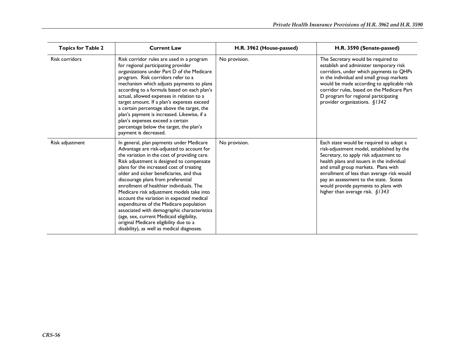| <b>Topics for Table 2</b> | <b>Current Law</b>                                                                                                                                                                                                                                                                                                                                                                                                                                                                                                                                                                                                                                                                    | H.R. 3962 (House-passed) | H.R. 3590 (Senate-passed)                                                                                                                                                                                                                                                                                                                                                                 |
|---------------------------|---------------------------------------------------------------------------------------------------------------------------------------------------------------------------------------------------------------------------------------------------------------------------------------------------------------------------------------------------------------------------------------------------------------------------------------------------------------------------------------------------------------------------------------------------------------------------------------------------------------------------------------------------------------------------------------|--------------------------|-------------------------------------------------------------------------------------------------------------------------------------------------------------------------------------------------------------------------------------------------------------------------------------------------------------------------------------------------------------------------------------------|
| <b>Risk corridors</b>     | Risk corridor rules are used in a program<br>for regional participating provider<br>organizations under Part D of the Medicare<br>program. Risk corridors refer to a<br>mechanism which adjusts payments to plans<br>according to a formula based on each plan's<br>actual, allowed expenses in relation to a<br>target amount. If a plan's expenses exceed<br>a certain percentage above the target, the<br>plan's payment is increased. Likewise, if a<br>plan's expenses exceed a certain<br>percentage below the target, the plan's<br>payment is decreased.                                                                                                                      | No provision.            | The Secretary would be required to<br>establish and administer temporary risk<br>corridors, under which payments to QHPs<br>in the individual and small group markets<br>would be made according to applicable risk<br>corridor rules, based on the Medicare Part<br>D program for regional participating<br>provider organizations. §1342                                                |
| Risk adjustment           | In general, plan payments under Medicare<br>Advantage are risk-adjusted to account for<br>the variation in the cost of providing care.<br>Risk adjustment is designed to compensate<br>plans for the increased cost of treating<br>older and sicker beneficiaries, and thus<br>discourage plans from preferential<br>enrollment of healthier individuals. The<br>Medicare risk adjustment models take into<br>account the variation in expected medical<br>expenditures of the Medicare population<br>associated with demographic characteristics<br>(age, sex, current Medicaid eligibility,<br>original Medicare eligibility due to a<br>disability), as well as medical diagnoses. | No provision.            | Each state would be required to adopt a<br>risk-adjustment model, established by the<br>Secretary, to apply risk adjustment to<br>health plans and issuers in the individual<br>and small group markets. Plans with<br>enrollment of less than average risk would<br>pay an assessment to the state. States<br>would provide payments to plans with<br>higher than average risk. $§$ 1343 |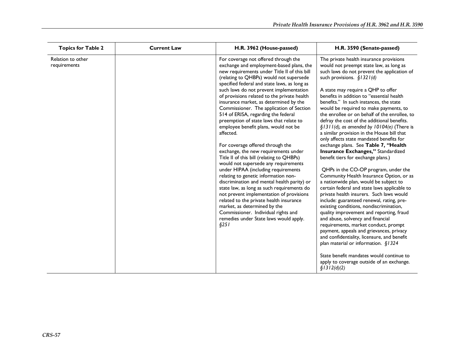| <b>Topics for Table 2</b>         | <b>Current Law</b> | H.R. 3962 (House-passed)                                                                                                                                                                                                                                                                                                                                                                                                                                                                                                                                                                                                                                                                                                                                                                                                                                                                                                                                                                                                                                                                                        | H.R. 3590 (Senate-passed)                                                                                                                                                                                                                                                                                                                                                                                                                                                                                                                                                                                                                                                                                                                                                                                                                                                                                                                                                                                                                                                                                                                                                                                                                                                                                                                                                                   |
|-----------------------------------|--------------------|-----------------------------------------------------------------------------------------------------------------------------------------------------------------------------------------------------------------------------------------------------------------------------------------------------------------------------------------------------------------------------------------------------------------------------------------------------------------------------------------------------------------------------------------------------------------------------------------------------------------------------------------------------------------------------------------------------------------------------------------------------------------------------------------------------------------------------------------------------------------------------------------------------------------------------------------------------------------------------------------------------------------------------------------------------------------------------------------------------------------|---------------------------------------------------------------------------------------------------------------------------------------------------------------------------------------------------------------------------------------------------------------------------------------------------------------------------------------------------------------------------------------------------------------------------------------------------------------------------------------------------------------------------------------------------------------------------------------------------------------------------------------------------------------------------------------------------------------------------------------------------------------------------------------------------------------------------------------------------------------------------------------------------------------------------------------------------------------------------------------------------------------------------------------------------------------------------------------------------------------------------------------------------------------------------------------------------------------------------------------------------------------------------------------------------------------------------------------------------------------------------------------------|
| Relation to other<br>requirements |                    | For coverage not offered through the<br>exchange and employment-based plans, the<br>new requirements under Title II of this bill<br>(relating to QHBPs) would not supersede<br>specified federal and state laws, as long as<br>such laws do not prevent implementation<br>of provisions related to the private health<br>insurance market, as determined by the<br>Commissioner. The application of Section<br>514 of ERISA, regarding the federal<br>preemption of state laws that relate to<br>employee benefit plans, would not be<br>affected.<br>For coverage offered through the<br>exchange, the new requirements under<br>Title II of this bill (relating to QHBPs)<br>would not supersede any requirements<br>under HIPAA (including requirements<br>relating to genetic information non-<br>discrimination and mental health parity) or<br>state law, as long as such requirements do<br>not prevent implementation of provisions<br>related to the private health insurance<br>market, as determined by the<br>Commissioner. Individual rights and<br>remedies under State laws would apply.<br>§251 | The private health insurance provisions<br>would not preempt state law, as long as<br>such laws do not prevent the application of<br>such provisions. $§$ 1321(d)<br>A state may require a QHP to offer<br>benefits in addition to "essential health<br>benefits." In such instances, the state<br>would be required to make payments, to<br>the enrollee or on behalf of the enrollee, to<br>defray the cost of the additional benefits.<br>§1311(d), as amended by 10104(e) (There is<br>a similar provision in the House bill that<br>only affects state mandated benefits for<br>exchange plans. See Table 7, "Health<br>Insurance Exchanges," Standardized<br>benefit tiers for exchange plans.)<br>QHPs in the CO-OP program, under the<br>Community Health Insurance Option, or as<br>a nationwide plan, would be subject to<br>certain federal and state laws applicable to<br>private health insurers. Such laws would<br>include: guaranteed renewal, rating, pre-<br>existing conditions, nondiscrimination,<br>quality improvement and reporting, fraud<br>and abuse, solvency and financial<br>requirements, market conduct, prompt<br>payment, appeals and grievances, privacy<br>and confidentiality, licensure, and benefit<br>plan material or information. §1324<br>State benefit mandates would continue to<br>apply to coverage outside of an exchange.<br>\$1312(d)(2) |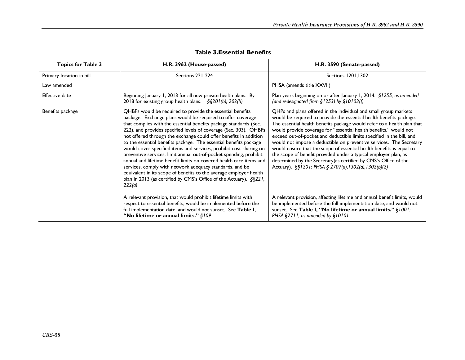| <b>Topics for Table 3</b> | H.R. 3962 (House-passed)                                                                                                                                                                                                                                                                                                                                                                                                                                                                                                                                                                                                                                                                                                                                                                                                                          | H.R. 3590 (Senate-passed)                                                                                                                                                                                                                                                                                                                                                                                                                                                                                                                                                                                                                                                                                       |
|---------------------------|---------------------------------------------------------------------------------------------------------------------------------------------------------------------------------------------------------------------------------------------------------------------------------------------------------------------------------------------------------------------------------------------------------------------------------------------------------------------------------------------------------------------------------------------------------------------------------------------------------------------------------------------------------------------------------------------------------------------------------------------------------------------------------------------------------------------------------------------------|-----------------------------------------------------------------------------------------------------------------------------------------------------------------------------------------------------------------------------------------------------------------------------------------------------------------------------------------------------------------------------------------------------------------------------------------------------------------------------------------------------------------------------------------------------------------------------------------------------------------------------------------------------------------------------------------------------------------|
| Primary location in bill  | Sections 221-224                                                                                                                                                                                                                                                                                                                                                                                                                                                                                                                                                                                                                                                                                                                                                                                                                                  | Sections 1201,1302                                                                                                                                                                                                                                                                                                                                                                                                                                                                                                                                                                                                                                                                                              |
| Law amended               |                                                                                                                                                                                                                                                                                                                                                                                                                                                                                                                                                                                                                                                                                                                                                                                                                                                   | PHSA (amends title XXVII)                                                                                                                                                                                                                                                                                                                                                                                                                                                                                                                                                                                                                                                                                       |
| <b>Effective date</b>     | Beginning January 1, 2013 for all new private health plans. By<br>2018 for existing group health plans. $\S$ §201(b), 202(b)                                                                                                                                                                                                                                                                                                                                                                                                                                                                                                                                                                                                                                                                                                                      | Plan years beginning on or after January 1, 2014. §1255, as amended<br>(and redesignated from $\S$ 1253) by $\S$ 10103(f)                                                                                                                                                                                                                                                                                                                                                                                                                                                                                                                                                                                       |
| Benefits package          | QHBPs would be required to provide the essential benefits<br>package. Exchange plans would be required to offer coverage<br>that complies with the essential benefits package standards (Sec.<br>222), and provides specified levels of coverage (Sec. 303). QHBPs<br>not offered through the exchange could offer benefits in addition<br>to the essential benefits package. The essential benefits package<br>would cover specified items and services, prohibit cost-sharing on<br>preventive services, limit annual out-of-pocket spending, prohibit<br>annual and lifetime benefit limits on covered health care items and<br>services, comply with network adequacy standards, and be<br>equivalent in its scope of benefits to the average employer health<br>plan in 2013 (as certified by CMS's Office of the Actuary). §§221,<br>222(a) | QHPs and plans offered in the individual and small group markets<br>would be required to provide the essential health benefits package.<br>The essential health benefits package would refer to a health plan that<br>would provide coverage for "essential health benefits," would not<br>exceed out-of-pocket and deductible limits specified in the bill, and<br>would not impose a deductible on preventive services. The Secretary<br>would ensure that the scope of essential health benefits is equal to<br>the scope of benefit provided under a typical employer plan, as<br>determined by the Secretary (as certified by CMS's Office of the<br>Actuary). §§1201: PHSA § 2707(a), 1302(a), 1302(b)(2) |
|                           | A relevant provision, that would prohibit lifetime limits with<br>respect to essential benefits, would be implemented before the<br>full implementation date, and would not sunset. See Table I,<br>"No lifetime or annual limits." $\S$ 109                                                                                                                                                                                                                                                                                                                                                                                                                                                                                                                                                                                                      | A relevant provision, affecting lifetime and annual benefit limits, would<br>be implemented before the full implementation date, and would not<br>sunset. See Table I, "No lifetime or annual limits." §1001:<br>PHSA §2711, as amended by §10101                                                                                                                                                                                                                                                                                                                                                                                                                                                               |

## **Table 3.Essential Benefits**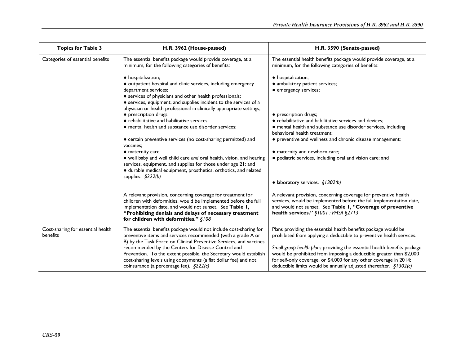| <b>Topics for Table 3</b>                     | H.R. 3962 (House-passed)                                                                                                                                                                                                                                                                                                                                                                                                                                                                                                                                                                                                                                                                                                                                                                     | H.R. 3590 (Senate-passed)                                                                                                                                                                                                                                                                                                                                                                                                                                           |
|-----------------------------------------------|----------------------------------------------------------------------------------------------------------------------------------------------------------------------------------------------------------------------------------------------------------------------------------------------------------------------------------------------------------------------------------------------------------------------------------------------------------------------------------------------------------------------------------------------------------------------------------------------------------------------------------------------------------------------------------------------------------------------------------------------------------------------------------------------|---------------------------------------------------------------------------------------------------------------------------------------------------------------------------------------------------------------------------------------------------------------------------------------------------------------------------------------------------------------------------------------------------------------------------------------------------------------------|
| Categories of essential benefits              | The essential benefits package would provide coverage, at a<br>minimum, for the following categories of benefits:                                                                                                                                                                                                                                                                                                                                                                                                                                                                                                                                                                                                                                                                            | The essential health benefits package would provide coverage, at a<br>minimum, for the following categories of benefits:                                                                                                                                                                                                                                                                                                                                            |
|                                               | • hospitalization;<br>• outpatient hospital and clinic services, including emergency<br>department services;<br>• services of physicians and other health professionals;<br>• services, equipment, and supplies incident to the services of a<br>physician or health professional in clinically appropriate settings;<br>• prescription drugs;<br>• rehabilitative and habilitative services;<br>· mental health and substance use disorder services;<br>• certain preventive services (no cost-sharing permitted) and<br>vaccines;<br>• maternity care;<br>• well baby and well child care and oral health, vision, and hearing<br>services, equipment, and supplies for those under age 21; and<br>· durable medical equipment, prosthetics, orthotics, and related<br>supplies. $$222(b)$ | • hospitalization;<br>• ambulatory patient services;<br>• emergency services;<br>· prescription drugs;<br>• rehabilitative and habilitative services and devices;<br>• mental health and substance use disorder services, including<br>behavioral health treatment;<br>• preventive and wellness and chronic disease management;<br>• maternity and newborn care;<br>· pediatric services, including oral and vision care; and<br>• laboratory services. $$1302(b)$ |
|                                               | A relevant provision, concerning coverage for treatment for<br>children with deformities, would be implemented before the full<br>implementation date, and would not sunset. See Table I,<br>"Prohibiting denials and delays of necessary treatment<br>for children with deformities." $§108$                                                                                                                                                                                                                                                                                                                                                                                                                                                                                                | A relevant provision, concerning coverage for preventive health<br>services, would be implemented before the full implementation date,<br>and would not sunset. See Table I, "Coverage of preventive<br>health services." §1001 : PHSA §2713                                                                                                                                                                                                                        |
| Cost-sharing for essential health<br>benefits | The essential benefits package would not include cost-sharing for<br>preventive items and services recommended (with a grade A or<br>B) by the Task Force on Clinical Preventive Services, and vaccines<br>recommended by the Centers for Disease Control and<br>Prevention. To the extent possible, the Secretary would establish<br>cost-sharing levels using copayments (a flat dollar fee) and not<br>coinsurance (a percentage fee). $\S222(c)$                                                                                                                                                                                                                                                                                                                                         | Plans providing the essential health benefits package would be<br>prohibited from applying a deductible to preventive health services.<br>Small group health plans providing the essential health benefits package<br>would be prohibited from imposing a deductible greater than \$2,000<br>for self-only coverage, or \$4,000 for any other coverage in 2014;<br>deductible limits would be annually adjusted thereafter. $\S$ 1302(c)                            |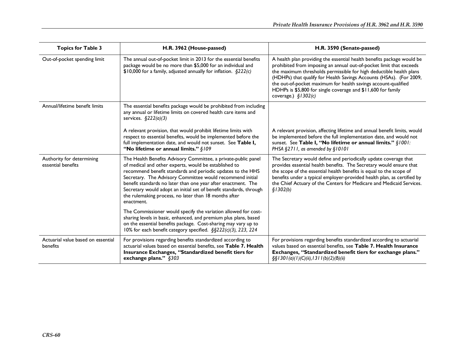| <b>Topics for Table 3</b>                       | H.R. 3962 (House-passed)                                                                                                                                                                                                                                                                                                                                                                                                                                          | H.R. 3590 (Senate-passed)                                                                                                                                                                                                                                                                                                                                                                                                                              |
|-------------------------------------------------|-------------------------------------------------------------------------------------------------------------------------------------------------------------------------------------------------------------------------------------------------------------------------------------------------------------------------------------------------------------------------------------------------------------------------------------------------------------------|--------------------------------------------------------------------------------------------------------------------------------------------------------------------------------------------------------------------------------------------------------------------------------------------------------------------------------------------------------------------------------------------------------------------------------------------------------|
| Out-of-pocket spending limit                    | The annual out-of-pocket limit in 2013 for the essential benefits<br>package would be no more than \$5,000 for an individual and<br>$$10,000$ for a family, adjusted annually for inflation. $$222(c)$                                                                                                                                                                                                                                                            | A health plan providing the essential health benefits package would be<br>prohibited from imposing an annual out-of-pocket limit that exceeds<br>the maximum thresholds permissible for high deductible health plans<br>(HDHPs) that qualify for Health Savings Accounts (HSAs). (For 2009,<br>the out-of-pocket maximum for health savings account-qualified<br>HDHPs is \$5,800 for single coverage and \$11,600 for family<br>coverage.) $$1302(c)$ |
| Annual/lifetime benefit limits                  | The essential benefits package would be prohibited from including<br>any annual or lifetime limits on covered health care items and<br>services. $\S222(a)(3)$                                                                                                                                                                                                                                                                                                    |                                                                                                                                                                                                                                                                                                                                                                                                                                                        |
|                                                 | A relevant provision, that would prohibit lifetime limits with<br>respect to essential benefits, would be implemented before the<br>full implementation date, and would not sunset. See Table I,<br>"No lifetime or annual limits." §109                                                                                                                                                                                                                          | A relevant provision, affecting lifetime and annual benefit limits, would<br>be implemented before the full implementation date, and would not<br>sunset. See Table I, "No lifetime or annual limits." §1001:<br>PHSA §2711, as amended by §10101                                                                                                                                                                                                      |
| Authority for determining<br>essential benefits | The Health Benefits Advisory Committee, a private-public panel<br>of medical and other experts, would be established to<br>recommend benefit standards and periodic updates to the HHS<br>Secretary. The Advisory Committee would recommend initial<br>benefit standards no later than one year after enactment. The<br>Secretary would adopt an initial set of benefit standards, through<br>the rulemaking process, no later than 18 months after<br>enactment. | The Secretary would define and periodically update coverage that<br>provides essential health benefits. The Secretary would ensure that<br>the scope of the essential health benefits is equal to the scope of<br>benefits under a typical employer-provided health plan, as certified by<br>the Chief Actuary of the Centers for Medicare and Medicaid Services.<br>\$1302(b)                                                                         |
|                                                 | The Commissioner would specify the variation allowed for cost-<br>sharing levels in basic, enhanced, and premium plus plans, based<br>on the essential benefits package. Cost-sharing may vary up to<br>10% for each benefit category specified. §§222(c)(3), 223, 224                                                                                                                                                                                            |                                                                                                                                                                                                                                                                                                                                                                                                                                                        |
| Actuarial value based on essential<br>benefits  | For provisions regarding benefits standardized according to<br>actuarial values based on essential benefits, see Table 7. Health<br>Insurance Exchanges, "Standardized benefit tiers for<br>exchange plans." §303                                                                                                                                                                                                                                                 | For provisions regarding benefits standardized according to actuarial<br>values based on essential benefits, see Table 7. Health Insurance<br>Exchanges, "Standardized benefit tiers for exchange plans."<br>$\frac{551301(a)(1)(C(ii), 1311(b)(2)(B(ii))}{2}$                                                                                                                                                                                         |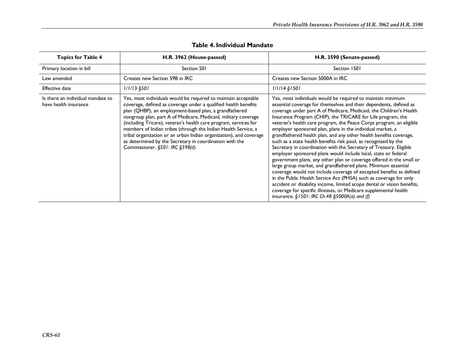| <b>Topics for Table 4</b>                                  | H.R. 3962 (House-passed)                                                                                                                                                                                                                                                                                                                                                                                                                                                                                                                                                | H.R. 3590 (Senate-passed)                                                                                                                                                                                                                                                                                                                                                                                                                                                                                                                                                                                                                                                                                                                                                                                                                                                                                                                                                                                                                                                                                                                                                          |
|------------------------------------------------------------|-------------------------------------------------------------------------------------------------------------------------------------------------------------------------------------------------------------------------------------------------------------------------------------------------------------------------------------------------------------------------------------------------------------------------------------------------------------------------------------------------------------------------------------------------------------------------|------------------------------------------------------------------------------------------------------------------------------------------------------------------------------------------------------------------------------------------------------------------------------------------------------------------------------------------------------------------------------------------------------------------------------------------------------------------------------------------------------------------------------------------------------------------------------------------------------------------------------------------------------------------------------------------------------------------------------------------------------------------------------------------------------------------------------------------------------------------------------------------------------------------------------------------------------------------------------------------------------------------------------------------------------------------------------------------------------------------------------------------------------------------------------------|
| Primary location in bill                                   | Section 501                                                                                                                                                                                                                                                                                                                                                                                                                                                                                                                                                             | Section 1501                                                                                                                                                                                                                                                                                                                                                                                                                                                                                                                                                                                                                                                                                                                                                                                                                                                                                                                                                                                                                                                                                                                                                                       |
| Law amended                                                | Creates new Section 59B in IRC                                                                                                                                                                                                                                                                                                                                                                                                                                                                                                                                          | Creates new Section 5000A in IRC                                                                                                                                                                                                                                                                                                                                                                                                                                                                                                                                                                                                                                                                                                                                                                                                                                                                                                                                                                                                                                                                                                                                                   |
| <b>Effective date</b>                                      | $1/1/13$ §501                                                                                                                                                                                                                                                                                                                                                                                                                                                                                                                                                           | $1/1/14$ $$1501$                                                                                                                                                                                                                                                                                                                                                                                                                                                                                                                                                                                                                                                                                                                                                                                                                                                                                                                                                                                                                                                                                                                                                                   |
| Is there an individual mandate to<br>have health insurance | Yes, most individuals would be required to maintain acceptable<br>coverage, defined as coverage under a qualified health benefits<br>plan (QHBP), an employment-based plan, a grandfathered<br>nongroup plan, part A of Medicare, Medicaid, military coverage<br>(including Tricare), veteran's health care program, services for<br>members of Indian tribes (through the Indian Health Service, a<br>tribal organization or an urban Indian organization), and coverage<br>as determined by the Secretary in coordination with the<br>Commissioner. §501: IRC §59B(d) | Yes, most individuals would be required to maintain minimum<br>essential coverage for themselves and their dependents, defined as<br>coverage under part A of Medicare, Medicaid, the Children's Health<br>Insurance Program (CHIP), the TRICARE for Life program, the<br>veteran's health care program, the Peace Corps program, an eligible<br>employer sponsored plan, plans in the individual market, a<br>grandfathered health plan, and any other health benefits coverage,<br>such as a state health benefits risk pool, as recognized by the<br>Secretary in coordination with the Secretary of Treasury. Eligible<br>employer sponsored plans would include local, state or federal<br>government plans, any other plan or coverage offered in the small or<br>large group market, and grandfathered plans. Minimum essential<br>coverage would not include coverage of excepted benefits as defined<br>in the Public Health Service Act (PHSA) such as coverage for only<br>accident or disability income, limited scope dental or vision benefits,<br>coverage for specific illnesses, or Medicare supplemental health<br>insurance. §1501: IRC Ch.48 §5000A(a) and (f) |

## **Table 4. Individual Mandate**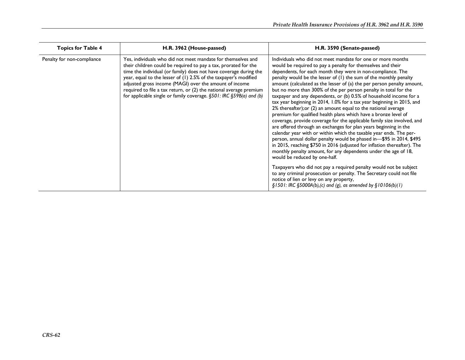| <b>Topics for Table 4</b>  | H.R. 3962 (House-passed)                                                                                                                                                                                                                                                                                                                                                                                                                                                        | H.R. 3590 (Senate-passed)                                                                                                                                                                                                                                                                                                                                                                                                                                                                                                                                                                                                                                                                                                                                                                                                                                                                                                                                                                                                                                                                                                                                                                                                                                                                                                   |
|----------------------------|---------------------------------------------------------------------------------------------------------------------------------------------------------------------------------------------------------------------------------------------------------------------------------------------------------------------------------------------------------------------------------------------------------------------------------------------------------------------------------|-----------------------------------------------------------------------------------------------------------------------------------------------------------------------------------------------------------------------------------------------------------------------------------------------------------------------------------------------------------------------------------------------------------------------------------------------------------------------------------------------------------------------------------------------------------------------------------------------------------------------------------------------------------------------------------------------------------------------------------------------------------------------------------------------------------------------------------------------------------------------------------------------------------------------------------------------------------------------------------------------------------------------------------------------------------------------------------------------------------------------------------------------------------------------------------------------------------------------------------------------------------------------------------------------------------------------------|
| Penalty for non-compliance | Yes, individuals who did not meet mandate for themselves and<br>their children could be required to pay a tax, prorated for the<br>time the individual (or family) does not have coverage during the<br>year, equal to the lesser of (1) 2.5% of the taxpayer's modified<br>adjusted gross income (MAGI) over the amount of income<br>required to file a tax return, or (2) the national average premium<br>for applicable single or family coverage. §501: IRC §59B(a) and (b) | Individuals who did not meet mandate for one or more months<br>would be required to pay a penalty for themselves and their<br>dependents, for each month they were in non-compliance. The<br>penalty would be the lesser of (I) the sum of the monthly penalty<br>amount (calculated as the lesser of (a) the per person penalty amount,<br>but no more than 300% of the per person penalty in total for the<br>taxpayer and any dependents, or (b) 0.5% of household income for a<br>tax year beginning in 2014, 1.0% for a tax year beginning in 2015, and<br>2% thereafter); or (2) an amount equal to the national average<br>premium for qualified health plans which have a bronze level of<br>coverage, provide coverage for the applicable family size involved, and<br>are offered through an exchanges for plan years beginning in the<br>calendar year with or within which the taxable year ends. The per-<br>person, annual dollar penalty would be phased in-\$95 in 2014, \$495<br>in 2015, reaching \$750 in 2016 (adjusted for inflation thereafter). The<br>monthly penalty amount, for any dependents under the age of 18,<br>would be reduced by one-half.<br>Taxpayers who did not pay a required penalty would not be subject<br>to any criminal prosecution or penalty. The Secretary could not file |
|                            |                                                                                                                                                                                                                                                                                                                                                                                                                                                                                 | notice of lien or levy on any property,<br>$\S$ 1501: IRC $\S$ 5000A(b),(c) and (g), as amended by $\S$ 10106(b)(1)                                                                                                                                                                                                                                                                                                                                                                                                                                                                                                                                                                                                                                                                                                                                                                                                                                                                                                                                                                                                                                                                                                                                                                                                         |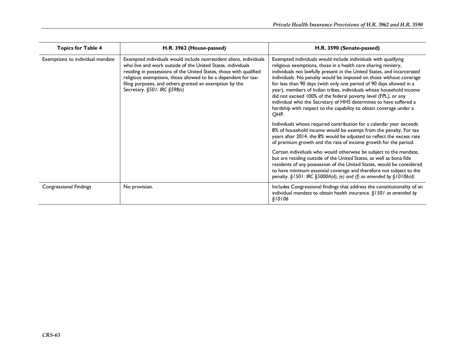| <b>Topics for Table 4</b>        | H.R. 3962 (House-passed)                                                                                                                                                                                                                                                                                                                                             | H.R. 3590 (Senate-passed)                                                                                                                                                                                                                                                                                                                                                                                                                                                                                                                                                                                                                            |
|----------------------------------|----------------------------------------------------------------------------------------------------------------------------------------------------------------------------------------------------------------------------------------------------------------------------------------------------------------------------------------------------------------------|------------------------------------------------------------------------------------------------------------------------------------------------------------------------------------------------------------------------------------------------------------------------------------------------------------------------------------------------------------------------------------------------------------------------------------------------------------------------------------------------------------------------------------------------------------------------------------------------------------------------------------------------------|
| Exemptions to individual mandate | Exempted individuals would include nonresident aliens, individuals<br>who live and work outside of the United States, individuals<br>residing in possessions of the United States, those with qualified<br>religious exemptions, those allowed to be a dependent for tax-<br>filing purposes, and others granted an exemption by the<br>Secretary. §501: IRC §59B(c) | Exempted individuals would include individuals with qualifying<br>religious exemptions, those in a health care sharing ministry,<br>individuals not lawfully present in the United States, and incarcerated<br>individuals. No penalty would be imposed on those without coverage<br>for less than 90 days (with only one period of 90 days allowed in a<br>year), members of Indian tribes, individuals whose household income<br>did not exceed 100% of the federal poverty level (FPL), or any<br>individual who the Secretary of HHS determines to have suffered a<br>hardship with respect to the capability to obtain coverage under a<br>OHP. |
|                                  |                                                                                                                                                                                                                                                                                                                                                                      | Individuals whose required contribution for a calendar year exceeds<br>8% of household income would be exempt from the penalty. For tax<br>years after 2014, the 8% would be adjusted to reflect the excess rate<br>of premium growth and the rate of income growth for the period.                                                                                                                                                                                                                                                                                                                                                                  |
|                                  |                                                                                                                                                                                                                                                                                                                                                                      | Certain individuals who would otherwise be subject to the mandate,<br>but are residing outside of the United States, as well as bona fide<br>residents of any possession of the United States, would be considered<br>to have minimum essential coverage and therefore not subject to the<br>penalty. $\S1501$ : IRC $\S5000A(d)$ , (e) and (f) as amended by $\S10106(d)$                                                                                                                                                                                                                                                                           |
| <b>Congressional Findings</b>    | No provision.                                                                                                                                                                                                                                                                                                                                                        | Includes Congressional findings that address the constitutionality of an<br>individual mandate to obtain health insurance. $$1501$ as amended by<br>\$10106                                                                                                                                                                                                                                                                                                                                                                                                                                                                                          |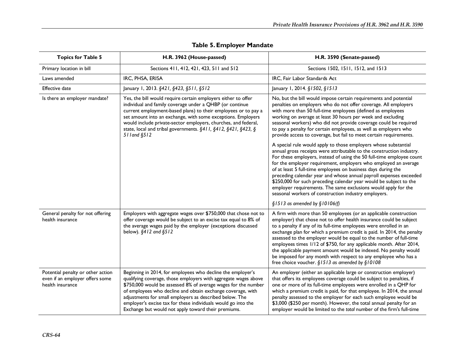| <b>Topics for Table 5</b>                                                                | H.R. 3962 (House-passed)                                                                                                                                                                                                                                                                                                                                                                                                                           | H.R. 3590 (Senate-passed)                                                                                                                                                                                                                                                                                                                                                                                                                                                                                                                                                                                                        |
|------------------------------------------------------------------------------------------|----------------------------------------------------------------------------------------------------------------------------------------------------------------------------------------------------------------------------------------------------------------------------------------------------------------------------------------------------------------------------------------------------------------------------------------------------|----------------------------------------------------------------------------------------------------------------------------------------------------------------------------------------------------------------------------------------------------------------------------------------------------------------------------------------------------------------------------------------------------------------------------------------------------------------------------------------------------------------------------------------------------------------------------------------------------------------------------------|
| Primary location in bill                                                                 | Sections 411, 412, 421, 423, 511 and 512                                                                                                                                                                                                                                                                                                                                                                                                           | Sections 1502, 1511, 1512, and 1513                                                                                                                                                                                                                                                                                                                                                                                                                                                                                                                                                                                              |
| Laws amended                                                                             | IRC, PHSA, ERISA                                                                                                                                                                                                                                                                                                                                                                                                                                   | IRC, Fair Labor Standards Act                                                                                                                                                                                                                                                                                                                                                                                                                                                                                                                                                                                                    |
| <b>Effective date</b>                                                                    | January 1, 2013. §421, §423, §511, §512                                                                                                                                                                                                                                                                                                                                                                                                            | January 1, 2014. §1502, §1513                                                                                                                                                                                                                                                                                                                                                                                                                                                                                                                                                                                                    |
| Is there an employer mandate?                                                            | Yes, the bill would require certain employers either to offer<br>individual and family coverage under a QHBP (or continue<br>current employment-based plans) to their employees or to pay a<br>set amount into an exchange, with some exceptions. Employers<br>would include private-sector employers, churches, and federal,<br>state, local and tribal governments. §411, §412, §421, §423, §<br>51 l and §512                                   | No, but the bill would impose certain requirements and potential<br>penalties on employers who do not offer coverage. All employers<br>with more than 50 full-time employees (defined as employees<br>working on average at least 30 hours per week and excluding<br>seasonal workers) who did not provide coverage could be required<br>to pay a penalty for certain employees, as well as employers who<br>provide access to coverage, but fail to meet certain requirements.                                                                                                                                                  |
|                                                                                          |                                                                                                                                                                                                                                                                                                                                                                                                                                                    | A special rule would apply to those employers whose substantial<br>annual gross receipts were attributable to the construction industry.<br>For these employers, instead of using the 50 full-time employee count<br>for the employer requirement, employers who employed an average<br>of at least 5 full-time employees on business days during the<br>preceding calendar year and whose annual payroll expenses exceeded<br>\$250,000 for such preceding calendar year would be subject to the<br>employer requirements. The same exclusions would apply for the<br>seasonal workers of construction industry employers.      |
|                                                                                          |                                                                                                                                                                                                                                                                                                                                                                                                                                                    | $$1513$ as amended by $$10106(f)$                                                                                                                                                                                                                                                                                                                                                                                                                                                                                                                                                                                                |
| General penalty for not offering<br>health insurance                                     | Employers with aggregate wages over \$750,000 that chose not to<br>offer coverage would be subject to an excise tax equal to 8% of<br>the average wages paid by the employer (exceptions discussed<br>below). §412 and §512                                                                                                                                                                                                                        | A firm with more than 50 employees (or an applicable construction<br>employer) that chose not to offer health insurance could be subject<br>to a penalty if any of its full-time employees were enrolled in an<br>exchange plan for which a premium credit is paid. In 2014, the penalty<br>assessed to the employer would be equal to the number of full-time<br>employees times 1/12 of \$750, for any applicable month. After 2014,<br>the applicable payment amount would be indexed. No penalty would<br>be imposed for any month with respect to any employee who has a<br>free choice voucher. §1513 as amended by §10108 |
| Potential penalty or other action<br>even if an employer offers some<br>health insurance | Beginning in 2014, for employees who decline the employer's<br>qualifying coverage, those employers with aggregate wages above<br>\$750,000 would be assessed 8% of average wages for the number<br>of employees who decline and obtain exchange coverage, with<br>adjustments for small employers as described below. The<br>employer's excise tax for these individuals would go into the<br>Exchange but would not apply toward their premiums. | An employer (either an applicable large or construction employer)<br>that offers its employees coverage could be subject to penalties, if<br>one or more of its full-time employees were enrolled in a QHP for<br>which a premium credit is paid, for that employee. In 2014, the annual<br>penalty assessed to the employer for each such employee would be<br>\$3,000 (\$250 per month). However, the total annual penalty for an<br>employer would be limited to the total number of the firm's full-time                                                                                                                     |

## **Table 5. Employer Mandate**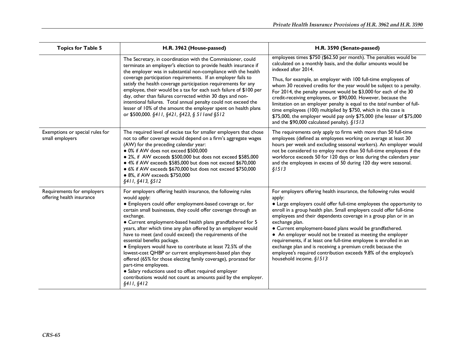| <b>Topics for Table 5</b>                               | H.R. 3962 (House-passed)                                                                                                                                                                                                                                                                                                                                                                                                                                                                                                                                                                                                                                                                                                                                                                                     | H.R. 3590 (Senate-passed)                                                                                                                                                                                                                                                                                                                                                                                                                                                                                                                                                                                                                                                                                          |
|---------------------------------------------------------|--------------------------------------------------------------------------------------------------------------------------------------------------------------------------------------------------------------------------------------------------------------------------------------------------------------------------------------------------------------------------------------------------------------------------------------------------------------------------------------------------------------------------------------------------------------------------------------------------------------------------------------------------------------------------------------------------------------------------------------------------------------------------------------------------------------|--------------------------------------------------------------------------------------------------------------------------------------------------------------------------------------------------------------------------------------------------------------------------------------------------------------------------------------------------------------------------------------------------------------------------------------------------------------------------------------------------------------------------------------------------------------------------------------------------------------------------------------------------------------------------------------------------------------------|
|                                                         | The Secretary, in coordination with the Commissioner, could<br>terminate an employer's election to provide health insurance if<br>the employer was in substantial non-compliance with the health<br>coverage participation requirements. If an employer fails to<br>satisfy the health coverage participation requirements for any<br>employee, their would be a tax for each such failure of \$100 per<br>day, other than failures corrected within 30 days and non-<br>intentional failures. Total annual penalty could not exceed the<br>lesser of 10% of the amount the employer spent on health plans<br>or \$500,000. §411, §421, §423, § 511 and §512                                                                                                                                                 | employees times \$750 (\$62.50 per month). The penalties would be<br>calculated on a monthly basis, and the dollar amounts would be<br>indexed after 2014.<br>Thus, for example, an employer with 100 full-time employees of<br>whom 30 received credits for the year would be subject to a penalty.<br>For 2014, the penalty amount would be \$3,000 for each of the 30<br>credit-receiving employees, or \$90,000. However, because the<br>limitation on an employer penalty is equal to the total number of full-<br>time employees (100) multiplied by \$750, which in this case is<br>\$75,000, the employer would pay only \$75,000 (the lesser of \$75,000<br>and the \$90,000 calculated penalty). $§1513$ |
| Exemptions or special rules for<br>small employers      | The required level of excise tax for smaller employers that chose<br>not to offer coverage would depend on a firm's aggregate wages<br>(AW) for the preceding calendar year:<br>· 0% if AW does not exceed \$500,000<br>• 2%, if AW exceeds \$500,000 but does not exceed \$585,000<br>• 4% if AW exceeds \$585,000 but does not exceed \$670,000<br>• 6% if AW exceeds \$670,000 but does not exceed \$750,000<br>• 8%, if AW exceeds \$750,000<br>§411, §413, §512                                                                                                                                                                                                                                                                                                                                         | The requirements only apply to firms with more than 50 full-time<br>employees (defined as employees working on average at least 30<br>hours per week and excluding seasonal workers). An employer would<br>not be considered to employ more than 50 full-time employees if the<br>workforce exceeds 50 for 120 days or less during the calendars year<br>and the employees in excess of 50 during 120 day were seasonal.<br>\$1513                                                                                                                                                                                                                                                                                 |
| Requirements for employers<br>offering health insurance | For employers offering health insurance, the following rules<br>would apply:<br>• Employers could offer employment-based coverage or, for<br>certain small businesses, they could offer coverage through an<br>exchange.<br>• Current employment-based health plans grandfathered for 5<br>years, after which time any plan offered by an employer would<br>have to meet (and could exceed) the requirements of the<br>essential benefits package.<br>• Employers would have to contribute at least 72.5% of the<br>lowest-cost QHBP or current employment-based plan they<br>offered (65% for those electing family coverage), prorated for<br>part-time employees.<br>• Salary reductions used to offset required employer<br>contributions would not count as amounts paid by the employer.<br>§411, §412 | For employers offering health insurance, the following rules would<br>apply:<br>• Large employers could offer full-time employees the opportunity to<br>enroll in a group health plan. Small employers could offer full-time<br>employees and their dependents coverage in a group plan or in an<br>exchange plan.<br>• Current employment-based plans would be grandfathered.<br>• An employer would not be treated as meeting the employer<br>requirements, if at least one full-time employee is enrolled in an<br>exchange plan and is receiving a premium credit because the<br>employee's required contribution exceeds 9.8% of the employee's<br>household income. §1513                                    |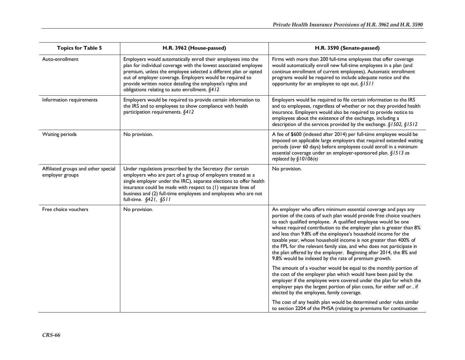| <b>Topics for Table 5</b>                              | H.R. 3962 (House-passed)                                                                                                                                                                                                                                                                                                                                                        | H.R. 3590 (Senate-passed)                                                                                                                                                                                                                                                                                                                                                                                                                                                                                                                                                                                                   |
|--------------------------------------------------------|---------------------------------------------------------------------------------------------------------------------------------------------------------------------------------------------------------------------------------------------------------------------------------------------------------------------------------------------------------------------------------|-----------------------------------------------------------------------------------------------------------------------------------------------------------------------------------------------------------------------------------------------------------------------------------------------------------------------------------------------------------------------------------------------------------------------------------------------------------------------------------------------------------------------------------------------------------------------------------------------------------------------------|
| Auto-enrollment                                        | Employers would automatically enroll their employees into the<br>plan for individual coverage with the lowest associated employee<br>premium, unless the employee selected a different plan or opted<br>out of employer coverage. Employers would be required to<br>provide written notice detailing the employee's rights and<br>obligations relating to auto enrollment. §412 | Firms with more than 200 full-time employees that offer coverage<br>would automatically enroll new full-time employees in a plan (and<br>continue enrollment of current employees). Automatic enrollment<br>programs would be required to include adequate notice and the<br>opportunity for an employee to opt out. §1511                                                                                                                                                                                                                                                                                                  |
| Information requirements                               | Employers would be required to provide certain information to<br>the IRS and to employees to show compliance with health<br>participation requirements. §412                                                                                                                                                                                                                    | Employers would be required to file certain information to the IRS<br>and to employees, regardless of whether or not they provided health<br>insurance. Employers would also be required to provide notice to<br>employees about the existence of the exchange, including a<br>description of the services provided by the exchange. §1502, §1512                                                                                                                                                                                                                                                                           |
| Waiting periods                                        | No provision.                                                                                                                                                                                                                                                                                                                                                                   | A fee of \$600 (indexed after 2014) per full-time employee would be<br>imposed on applicable large employers that required extended waiting<br>periods (over 60 days) before employees could enroll in a minimum<br>essential coverage under an employer-sponsored plan. §1513 as<br>replaced by $$10106(e)$                                                                                                                                                                                                                                                                                                                |
| Affiliated groups and other special<br>employer groups | Under regulations prescribed by the Secretary (for certain<br>employers who are part of a group of employers treated as a<br>single employer under the IRC), separate elections to offer health<br>insurance could be made with respect to (1) separate lines of<br>business and (2) full-time employees and employees who are not<br>full-time. §421, §511                     | No provision.                                                                                                                                                                                                                                                                                                                                                                                                                                                                                                                                                                                                               |
| Free choice vouchers                                   | No provision.                                                                                                                                                                                                                                                                                                                                                                   | An employer who offers minimum essential coverage and pays any<br>portion of the costs of such plan would provide free choice vouchers<br>to each qualified employee. A qualified employee would be one<br>whose required contribution to the employer plan is greater than 8%<br>and less than 9.8% off the employee's household income for the<br>taxable year, whose household income is not greater than 400% of<br>the FPL for the relevant family size, and who does not participate in<br>the plan offered by the employer. Beginning after 2014, the 8% and<br>9.8% would be indexed by the rate of premium growth. |
|                                                        |                                                                                                                                                                                                                                                                                                                                                                                 | The amount of a voucher would be equal to the monthly portion of<br>the cost of the employer plan which would have been paid by the<br>employer if the employee were covered under the plan for which the<br>employer pays the largest portion of plan costs, for either self or , if<br>elected by the employee, family coverage.                                                                                                                                                                                                                                                                                          |
|                                                        |                                                                                                                                                                                                                                                                                                                                                                                 | The cost of any health plan would be determined under rules similar<br>to section 2204 of the PHSA (relating to premiums for continuation                                                                                                                                                                                                                                                                                                                                                                                                                                                                                   |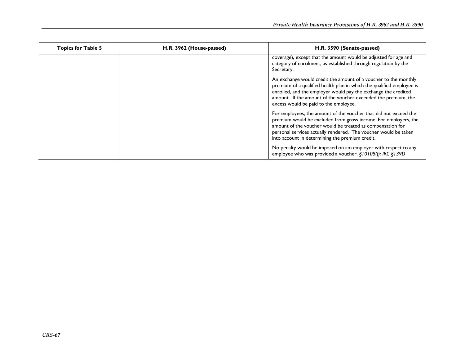| <b>Topics for Table 5</b> | H.R. 3962 (House-passed) | H.R. 3590 (Senate-passed)                                                                                                                                                                                                                                                                                               |
|---------------------------|--------------------------|-------------------------------------------------------------------------------------------------------------------------------------------------------------------------------------------------------------------------------------------------------------------------------------------------------------------------|
|                           |                          | coverage), except that the amount would be adjusted for age and<br>category of enrolment, as established through regulation by the<br>Secretary.                                                                                                                                                                        |
|                           |                          | An exchange would credit the amount of a voucher to the monthly<br>premium of a qualified health plan in which the qualified employee is<br>enrolled, and the employer would pay the exchange the credited<br>amount. If the amount of the voucher exceeded the premium, the<br>excess would be paid to the employee.   |
|                           |                          | For employees, the amount of the voucher that did not exceed the<br>premium would be excluded from gross income. For employers, the<br>amount of the voucher would be treated as compensation for<br>personal services actually rendered. The voucher would be taken<br>into account in determining the premium credit. |
|                           |                          | No penalty would be imposed on am employer with respect to any<br>employee who was provided a voucher. §10108(f): IRC §139D                                                                                                                                                                                             |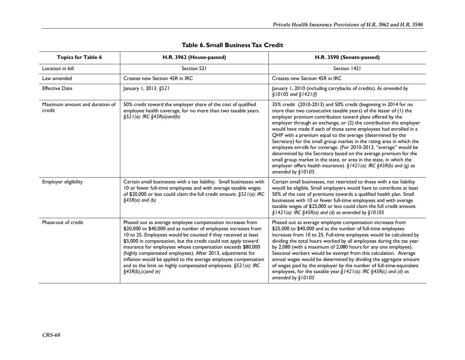| <b>Topics for Table 6</b>                | H.R. 3962 (House-passed)                                                                                                                                                                                                                                                                                                                                                                                                                                                                                                                                     | H.R. 3590 (Senate-passed)                                                                                                                                                                                                                                                                                                                                                                                                                                                                                                                                                                                                                                                                                                                                                                       |
|------------------------------------------|--------------------------------------------------------------------------------------------------------------------------------------------------------------------------------------------------------------------------------------------------------------------------------------------------------------------------------------------------------------------------------------------------------------------------------------------------------------------------------------------------------------------------------------------------------------|-------------------------------------------------------------------------------------------------------------------------------------------------------------------------------------------------------------------------------------------------------------------------------------------------------------------------------------------------------------------------------------------------------------------------------------------------------------------------------------------------------------------------------------------------------------------------------------------------------------------------------------------------------------------------------------------------------------------------------------------------------------------------------------------------|
| Location in bill                         | Section 521                                                                                                                                                                                                                                                                                                                                                                                                                                                                                                                                                  | Section 1421                                                                                                                                                                                                                                                                                                                                                                                                                                                                                                                                                                                                                                                                                                                                                                                    |
| Law amended                              | Creates new Section 45R in IRC                                                                                                                                                                                                                                                                                                                                                                                                                                                                                                                               | Creates new Section 45R in IRC                                                                                                                                                                                                                                                                                                                                                                                                                                                                                                                                                                                                                                                                                                                                                                  |
| <b>Effective Date</b>                    | January 1, 2013. §521                                                                                                                                                                                                                                                                                                                                                                                                                                                                                                                                        | January 1, 2010 (including carrybacks of credits). As amended by<br>$$10105$ and $$1421(f)$                                                                                                                                                                                                                                                                                                                                                                                                                                                                                                                                                                                                                                                                                                     |
| Maximum amount and duration of<br>credit | 50% credit toward the employer share of the cost of qualified<br>employee health coverage, for no more than two taxable years.<br>$§521(a):$ IRC $§45R(a)$ and $(b)$                                                                                                                                                                                                                                                                                                                                                                                         | 35% credit (2010-2013) and 50% credit (beginning in 2014 for no<br>more than two consecutive taxable years) of the lesser of (1) the<br>employer premium contribution toward plans offered by the<br>employer through an exchange, or (2) the contribution the employer<br>would have made if each of those same employees had enrolled in a<br>QHP with a premium equal to the average (determined by the<br>Secretary) for the small group market in the rating area in which the<br>employee enrolls for coverage. (For 2010-2013, "average" would be<br>determined by the Secretary based on the average premium for the<br>small group market in the state, or area in the state, in which the<br>employer offers health insurance). §1421(a): IRC §45R(b) and (g) as<br>amended by §10105 |
| Employer eligibility                     | Certain small businesses with a tax liability. Small businesses with<br>10 or fewer full-time employees and with average taxable wages<br>of \$20,000 or less could claim the full credit amount. §521(a): IRC<br>$§45R(a)$ and (b)                                                                                                                                                                                                                                                                                                                          | Certain small businesses, not restricted to those with a tax liability<br>would be eligible. Small employers would have to contribute at least<br>50% of the cost of premiums towards a qualified health plan. Small<br>businesses with 10 or fewer full-time employees and with average<br>taxable wages of \$25,000 or less could claim the full credit amount.<br>$§$   42   (a): IRC $§$ 45R(a) and (d) as amended by $§$   0   05                                                                                                                                                                                                                                                                                                                                                          |
| Phase-out of credit                      | Phased out as average employee compensation increases from<br>\$20,000 to \$40,000 and as number of employees increases from<br>10 to 25. Employees would be counted if they received at least<br>\$5,000 in compensation, but the credit could not apply toward<br>insurance for employees whose compensation exceeds \$80,000<br>(highly compensated employees). After 2013, adjustments for<br>inflation would be applied to the average employee compensation<br>and to the limit on highly compensated employees. §521(a): IRC<br>$§45R(b),(c)$ and (e) | Phased out as average employee compensation increases from<br>\$25,000 to \$40,000 and as the number of full-time employees<br>increases from 10 to 25. Full-time employees would be calculated by<br>dividing the total hours worked by all employees during the tax year<br>by 2,080 (with a maximum of 2,080 hours for any one employee).<br>Seasonal workers would be exempt from this calculation. Average<br>annual wages would be determined by dividing the aggregate amount<br>of wages paid by the employer by the number of full-time-equivalent<br>employees, for the taxable year. $\S$   42 (a): IRC $\S$ 45R(c) and (d) as<br>amended by §10105                                                                                                                                  |

## **Table 6. Small Business Tax Credit**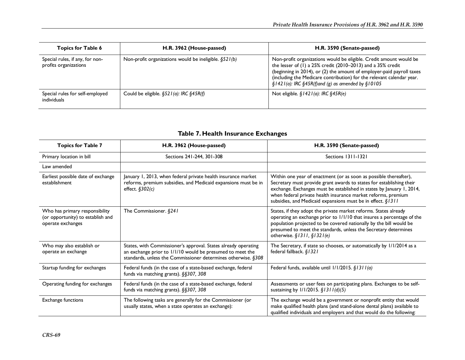| <b>Topics for Table 6</b>                                | H.R. 3962 (House-passed)                                  | H.R. 3590 (Senate-passed)                                                                                                                                                                                                                                                                                                                            |
|----------------------------------------------------------|-----------------------------------------------------------|------------------------------------------------------------------------------------------------------------------------------------------------------------------------------------------------------------------------------------------------------------------------------------------------------------------------------------------------------|
| Special rules, if any, for non-<br>profits organizations | Non-profit organizations would be ineligible. $\S 521(b)$ | Non-profit organizations would be eligible. Credit amount would be<br>the lesser of (1) a 25% credit (2010-2013) and a 35% credit<br>(beginning in 2014), or (2) the amount of employer-paid payroll taxes<br>(including the Medicare contribution) for the relevant calendar year.<br>$\S$ 1421(a): IRC $\S$ 45R(f)and (g) as amended by $\S$ 10105 |
| Special rules for self-employed<br>individuals           | Could be eligible. $\S$ 52 $I(a)$ : IRC $\S$ 45R(f)       | Not eligible. $$1421(a)$ : IRC $$45R(e)$                                                                                                                                                                                                                                                                                                             |

## **Table 7. Health Insurance Exchanges**

| <b>Topics for Table 7</b>                                                                | H.R. 3962 (House-passed)                                                                                                                                                                     | H.R. 3590 (Senate-passed)                                                                                                                                                                                                                                                                                                                          |
|------------------------------------------------------------------------------------------|----------------------------------------------------------------------------------------------------------------------------------------------------------------------------------------------|----------------------------------------------------------------------------------------------------------------------------------------------------------------------------------------------------------------------------------------------------------------------------------------------------------------------------------------------------|
| Primary location in bill                                                                 | Sections 241-244, 301-308                                                                                                                                                                    | Sections 1311-1321                                                                                                                                                                                                                                                                                                                                 |
| Law amended                                                                              |                                                                                                                                                                                              |                                                                                                                                                                                                                                                                                                                                                    |
| Earliest possible date of exchange<br>establishment                                      | January 1, 2013, when federal private health insurance market<br>reforms, premium subsidies, and Medicaid expansions must be in<br>effect. $$302(c)$                                         | Within one year of enactment (or as soon as possible thereafter),<br>Secretary must provide grant awards to states for establishing their<br>exchange. Exchanges must be established in states by January 1, 2014,<br>when federal private health insurance market reforms, premium<br>subsidies, and Medicaid expansions must be in effect. §1311 |
| Who has primary responsibility<br>(or opportunity) to establish and<br>operate exchanges | The Commissioner. $§241$                                                                                                                                                                     | States, if they adopt the private market reforms. States already<br>operating an exchange prior to 1/1/10 that insures a percentage of the<br>population projected to be covered nationally by the bill would be<br>presumed to meet the standards, unless the Secretary determines<br>otherwise. $§$ 1311, $§$ 1321(e)                            |
| Who may also establish or<br>operate an exchange                                         | States, with Commissioner's approval. States already operating<br>an exchange prior to 1/1/10 would be presumed to meet the<br>standards, unless the Commissioner determines otherwise. §308 | The Secretary, if state so chooses, or automatically by 1/1/2014 as a<br>federal fallback. §1321                                                                                                                                                                                                                                                   |
| Startup funding for exchanges                                                            | Federal funds (in the case of a state-based exchange, federal<br>funds via matching grants). §§307, 308                                                                                      | Federal funds, available until 1/1/2015. §1311(a)                                                                                                                                                                                                                                                                                                  |
| Operating funding for exchanges                                                          | Federal funds (in the case of a state-based exchange, federal<br>funds via matching grants). §§307, 308                                                                                      | Assessments or user fees on participating plans. Exchanges to be self-<br>sustaining by $1/1/2015$ . $$1311(d)(5)$                                                                                                                                                                                                                                 |
| <b>Exchange functions</b>                                                                | The following tasks are generally for the Commissioner (or<br>usually states, when a state operates an exchange):                                                                            | The exchange would be a government or nonprofit entity that would<br>make qualified health plans (and stand-alone dental plans) available to<br>qualified individuals and employers and that would do the following:                                                                                                                               |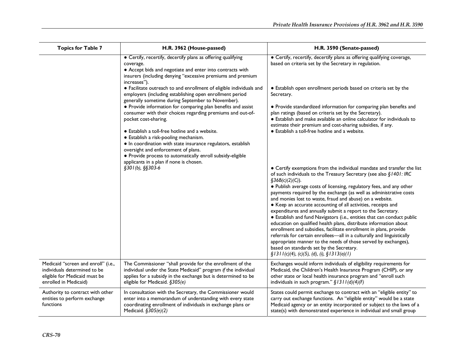| <b>Topics for Table 7</b>                                                                                                     | H.R. 3962 (House-passed)                                                                                                                                                                                                                                                                                | H.R. 3590 (Senate-passed)                                                                                                                                                                                                                                                                                                                                                                                                                                                                                                                                                                                                                                                                                                                                                                                                                                                                                                                                                         |
|-------------------------------------------------------------------------------------------------------------------------------|---------------------------------------------------------------------------------------------------------------------------------------------------------------------------------------------------------------------------------------------------------------------------------------------------------|-----------------------------------------------------------------------------------------------------------------------------------------------------------------------------------------------------------------------------------------------------------------------------------------------------------------------------------------------------------------------------------------------------------------------------------------------------------------------------------------------------------------------------------------------------------------------------------------------------------------------------------------------------------------------------------------------------------------------------------------------------------------------------------------------------------------------------------------------------------------------------------------------------------------------------------------------------------------------------------|
|                                                                                                                               | • Certify, recertify, decertify plans as offering qualifying<br>coverage.<br>• Accept bids and negotiate and enter into contracts with<br>insurers (including denying "excessive premiums and premium<br>increases").                                                                                   | • Certify, recertify, decertify plans as offering qualifying coverage,<br>based on criteria set by the Secretary in regulation.                                                                                                                                                                                                                                                                                                                                                                                                                                                                                                                                                                                                                                                                                                                                                                                                                                                   |
|                                                                                                                               | • Facilitate outreach to and enrollment of eligible individuals and<br>employers (including establishing open enrollment period<br>generally sometime during September to November).                                                                                                                    | • Establish open enrollment periods based on criteria set by the<br>Secretary.                                                                                                                                                                                                                                                                                                                                                                                                                                                                                                                                                                                                                                                                                                                                                                                                                                                                                                    |
|                                                                                                                               | • Provide information for comparing plan benefits and assist<br>consumer with their choices regarding premiums and out-of-<br>pocket cost-sharing.                                                                                                                                                      | • Provide standardized information for comparing plan benefits and<br>plan ratings (based on criteria set by the Secretary).<br>• Establish and make available an online calculator for individuals to<br>estimate their premium and cost-sharing subsidies, if any.                                                                                                                                                                                                                                                                                                                                                                                                                                                                                                                                                                                                                                                                                                              |
|                                                                                                                               | • Establish a toll-free hotline and a website.<br>• Establish a risk-pooling mechanism.<br>• In coordination with state insurance regulators, establish<br>oversight and enforcement of plans.<br>• Provide process to automatically enroll subsidy-eligible<br>applicants in a plan if none is chosen. | • Establish a toll-free hotline and a website.                                                                                                                                                                                                                                                                                                                                                                                                                                                                                                                                                                                                                                                                                                                                                                                                                                                                                                                                    |
|                                                                                                                               | $§301(b), §§303-6$                                                                                                                                                                                                                                                                                      | • Certify exemptions from the individual mandate and transfer the list<br>of such individuals to the Treasury Secretary (see also §1401: IRC<br>$\S36B(c)(2)(C)$ ).<br>• Publish average costs of licensing, regulatory fees, and any other<br>payments required by the exchange (as well as administrative costs<br>and monies lost to waste, fraud and abuse) on a website.<br>• Keep an accurate accounting of all activities, receipts and<br>expenditures and annually submit a report to the Secretary.<br>• Establish and fund Navigators (i.e., entities that can conduct public<br>education on qualified health plans, distribute information about<br>enrollment and subsidies, facilitate enrollment in plans, provide<br>referrals for certain enrollees-all in a culturally and linguistically<br>appropriate manner to the needs of those served by exchanges),<br>based on standards set by the Secretary.<br>$\S 1311(c)(4)$ , (c)(5), (d), (i), $\S 1313(a)(1)$ |
| Medicaid "screen and enroll" (i.e.,<br>individuals determined to be<br>eligible for Medicaid must be<br>enrolled in Medicaid) | The Commissioner "shall provide for the enrollment of the<br>individual under the State Medicaid" program if the individual<br>applies for a subsidy in the exchange but is determined to be<br>eligible for Medicaid. §305(e)                                                                          | Exchanges would inform individuals of eligibility requirements for<br>Medicaid, the Children's Health Insurance Program (CHIP), or any<br>other state or local health insurance program and "enroll such<br>individuals in such program." $\S$ 1311(d)(4)(F)                                                                                                                                                                                                                                                                                                                                                                                                                                                                                                                                                                                                                                                                                                                      |
| Authority to contract with other<br>entities to perform exchange<br>functions                                                 | In consultation with the Secretary, the Commissioner would<br>enter into a memorandum of understanding with every state<br>coordinating enrollment of individuals in exchange plans or<br>Medicaid. §305(e)(2)                                                                                          | States could permit exchange to contract with an "eligible entity" to<br>carry out exchange functions. An "eligible entity" would be a state<br>Medicaid agency or an entity incorporated or subject to the laws of a<br>state(s) with demonstrated experience in individual and small group                                                                                                                                                                                                                                                                                                                                                                                                                                                                                                                                                                                                                                                                                      |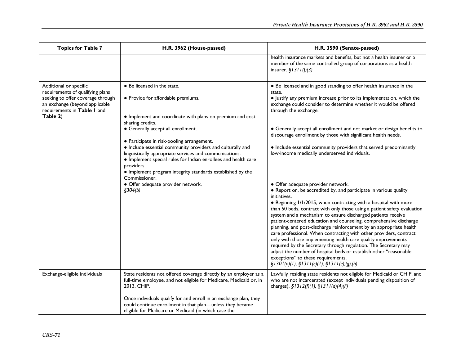| <b>Topics for Table 7</b>                                                                                                                                                    | H.R. 3962 (House-passed)                                                                                                                                                                                                                                                                                                                                                                                                                                                                                                                                                          | H.R. 3590 (Senate-passed)                                                                                                                                                                                                                                                                                                                                                                                                                                                                                                                                                                                                                                                                                                                                                                                                                                                                                                                                                                                                                                                                                                                                                                                                                                                                                                                                                                   |
|------------------------------------------------------------------------------------------------------------------------------------------------------------------------------|-----------------------------------------------------------------------------------------------------------------------------------------------------------------------------------------------------------------------------------------------------------------------------------------------------------------------------------------------------------------------------------------------------------------------------------------------------------------------------------------------------------------------------------------------------------------------------------|---------------------------------------------------------------------------------------------------------------------------------------------------------------------------------------------------------------------------------------------------------------------------------------------------------------------------------------------------------------------------------------------------------------------------------------------------------------------------------------------------------------------------------------------------------------------------------------------------------------------------------------------------------------------------------------------------------------------------------------------------------------------------------------------------------------------------------------------------------------------------------------------------------------------------------------------------------------------------------------------------------------------------------------------------------------------------------------------------------------------------------------------------------------------------------------------------------------------------------------------------------------------------------------------------------------------------------------------------------------------------------------------|
|                                                                                                                                                                              |                                                                                                                                                                                                                                                                                                                                                                                                                                                                                                                                                                                   | health insurance markets and benefits, but not a health insurer or a<br>member of the same controlled group of corporations as a health<br>insurer. $$1311(f)(3)$                                                                                                                                                                                                                                                                                                                                                                                                                                                                                                                                                                                                                                                                                                                                                                                                                                                                                                                                                                                                                                                                                                                                                                                                                           |
| Additional or specific<br>requirements of qualifying plans<br>seeking to offer coverage through<br>an exchange (beyond applicable<br>requirements in Table I and<br>Table 2) | • Be licensed in the state.<br>· Provide for affordable premiums.<br>• Implement and coordinate with plans on premium and cost-<br>sharing credits.<br>• Generally accept all enrollment.<br>• Participate in risk-pooling arrangement.<br>· Include essential community providers and culturally and<br>linguistically appropriate services and communications.<br>· Implement special rules for Indian enrollees and health care<br>providers.<br>• Implement program integrity standards established by the<br>Commissioner.<br>· Offer adequate provider network.<br>\$304(b) | • Be licensed and in good standing to offer health insurance in the<br>state.<br>• Justify any premium increase prior to its implementation, which the<br>exchange could consider to determine whether it would be offered<br>through the exchange.<br>• Generally accept all enrollment and not market or design benefits to<br>discourage enrollment by those with significant health needs.<br>• Include essential community providers that served predominantly<br>low-income medically underserved individuals.<br>· Offer adequate provider network.<br>• Report on, be accredited by, and participate in various quality<br>initiatives.<br>• Beginning 1/1/2015, when contracting with a hospital with more<br>than 50 beds, contract with only those using a patient safety evaluation<br>system and a mechanism to ensure discharged patients receive<br>patient-centered education and counseling, comprehensive discharge<br>planning, and post-discharge reinforcement by an appropriate health<br>care professional. When contracting with other providers, contract<br>only with those implementing health care quality improvements<br>required by the Secretary through regulation. The Secretary may<br>adjust the number of hospital beds or establish other "reasonable<br>exceptions" to these requirements.<br>$\S$ 1301(a)(1), $\S$ 1311(c)(1), $\S$ 1311(e),(g),(h) |
| Exchange-eligible individuals                                                                                                                                                | State residents not offered coverage directly by an employer as a<br>full-time employee, and not eligible for Medicare, Medicaid or, in<br>2013, CHIP.                                                                                                                                                                                                                                                                                                                                                                                                                            | Lawfully residing state residents not eligible for Medicaid or CHIP, and<br>who are not incarcerated (except individuals pending disposition of<br>charges). §1312(f)(1), §1311(d)(4)(F)                                                                                                                                                                                                                                                                                                                                                                                                                                                                                                                                                                                                                                                                                                                                                                                                                                                                                                                                                                                                                                                                                                                                                                                                    |
|                                                                                                                                                                              | Once individuals qualify for and enroll in an exchange plan, they<br>could continue enrollment in that plan-unless they became<br>eligible for Medicare or Medicaid (in which case the                                                                                                                                                                                                                                                                                                                                                                                            |                                                                                                                                                                                                                                                                                                                                                                                                                                                                                                                                                                                                                                                                                                                                                                                                                                                                                                                                                                                                                                                                                                                                                                                                                                                                                                                                                                                             |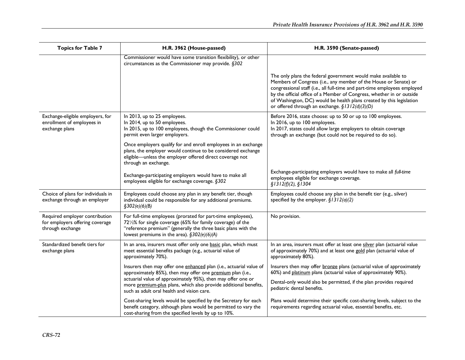| <b>Topics for Table 7</b>                                                             | H.R. 3962 (House-passed)                                                                                                                                                                                                                   | H.R. 3590 (Senate-passed)                                                                                                                                                                                                                                                                                                                                                                                         |
|---------------------------------------------------------------------------------------|--------------------------------------------------------------------------------------------------------------------------------------------------------------------------------------------------------------------------------------------|-------------------------------------------------------------------------------------------------------------------------------------------------------------------------------------------------------------------------------------------------------------------------------------------------------------------------------------------------------------------------------------------------------------------|
|                                                                                       | Commissioner would have some transition flexibility), or other<br>circumstances as the Commissioner may provide. §302                                                                                                                      |                                                                                                                                                                                                                                                                                                                                                                                                                   |
|                                                                                       |                                                                                                                                                                                                                                            | The only plans the federal government would make available to<br>Members of Congress (i.e., any member of the House or Senate) or<br>congressional staff (i.e., all full-time and part-time employees employed<br>by the official office of a Member of Congress, whether in or outside<br>of Washington, DC) would be health plans created by this legislation<br>or offered through an exchange. §1312(d)(3)(D) |
| Exchange-eligible employers, for<br>enrollment of employees in<br>exchange plans      | In 2013, up to 25 employees.<br>In 2014, up to 50 employees.<br>In 2015, up to 100 employees, though the Commissioner could<br>permit even larger employers.                                                                               | Before 2016, state choose: up to 50 or up to 100 employees.<br>In 2016, up to 100 employees.<br>In 2017, states could allow large employers to obtain coverage<br>through an exchange (but could not be required to do so).                                                                                                                                                                                       |
|                                                                                       | Once employers qualify for and enroll employees in an exchange<br>plans, the employer would continue to be considered exchange<br>eligible-unless the employer offered direct coverage not<br>through an exchange.                         |                                                                                                                                                                                                                                                                                                                                                                                                                   |
|                                                                                       | Exchange-participating employers would have to make all<br>employees eligible for exchange coverage. §302                                                                                                                                  | Exchange-participating employers would have to make all full-time<br>employees eligible for exchange coverage.<br>\$1312(f)(2), \$1304                                                                                                                                                                                                                                                                            |
| Choice of plans for individuals in<br>exchange through an employer                    | Employees could choose any plan in any benefit tier, though<br>individual could be responsible for any additional premiums.<br>$\S 302(e)(6)(B)$                                                                                           | Employees could choose any plan in the benefit tier (e.g., silver)<br>specified by the employer. $\S$ 1312(a)(2)                                                                                                                                                                                                                                                                                                  |
| Required employer contribution<br>for employers offering coverage<br>through exchange | For full-time employees (prorated for part-time employees),<br>721/2% for single coverage (65% for family coverage) of the<br>"reference premium" (generally the three basic plans with the<br>lowest premiums in the area). §302(e)(6)(A) | No provision.                                                                                                                                                                                                                                                                                                                                                                                                     |
| Standardized benefit tiers for<br>exchange plans                                      | In an area, insurers must offer only one basic plan, which must<br>meet essential benefits package (e.g., actuarial value of<br>approximately 70%).                                                                                        | In an area, insurers must offer at least one silver plan (actuarial value<br>of approximately 70%) and at least one gold plan (actuarial value of<br>approximately 80%).                                                                                                                                                                                                                                          |
|                                                                                       | Insurers then may offer one enhanced plan (i.e., actuarial value of<br>approximately 85%), then may offer one premium plan (i.e.,                                                                                                          | Insurers then may offer bronze plans (actuarial value of approximately<br>60%) and platinum plans (actuarial value of approximately 90%).                                                                                                                                                                                                                                                                         |
|                                                                                       | actuarial value of approximately 95%), then may offer one or<br>more premium-plus plans, which also provide additional benefits,<br>such as adult oral health and vision care.                                                             | Dental-only would also be permitted, if the plan provides required<br>pediatric dental benefits.                                                                                                                                                                                                                                                                                                                  |
|                                                                                       | Cost-sharing levels would be specified by the Secretary for each<br>benefit category, although plans would be permitted to vary the<br>cost-sharing from the specified levels by up to 10%.                                                | Plans would determine their specific cost-sharing levels, subject to the<br>requirements regarding actuarial value, essential benefits, etc.                                                                                                                                                                                                                                                                      |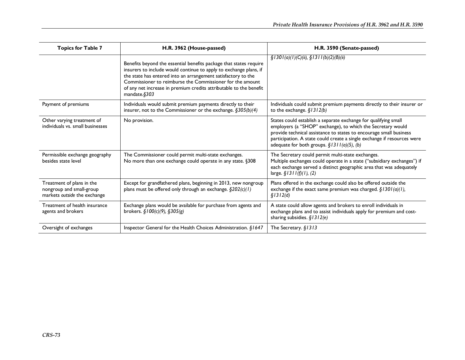| <b>Topics for Table 7</b>                                                             | H.R. 3962 (House-passed)                                                                                                                                                                                                                                                                                                                                    | H.R. 3590 (Senate-passed)                                                                                                                                                                                                                                                                                                        |
|---------------------------------------------------------------------------------------|-------------------------------------------------------------------------------------------------------------------------------------------------------------------------------------------------------------------------------------------------------------------------------------------------------------------------------------------------------------|----------------------------------------------------------------------------------------------------------------------------------------------------------------------------------------------------------------------------------------------------------------------------------------------------------------------------------|
|                                                                                       | Benefits beyond the essential benefits package that states require<br>insurers to include would continue to apply to exchange plans, if<br>the state has entered into an arrangement satisfactory to the<br>Commissioner to reimburse the Commissioner for the amount<br>of any net increase in premium credits attributable to the benefit<br>mandate.§303 | $\frac{\xi}{3}$ 1301(a)(1)(C)(ii), $\frac{\xi}{3}$ 1311(b)(2)(B)(ii)                                                                                                                                                                                                                                                             |
| Payment of premiums                                                                   | Individuals would submit premium payments directly to their<br>insurer, not to the Commissioner or the exchange. $\S 305(b)(4)$                                                                                                                                                                                                                             | Individuals could submit premium payments directly to their insurer or<br>to the exchange. $§$ / 3 / 2(b)                                                                                                                                                                                                                        |
| Other varying treatment of<br>individuals vs. small businesses                        | No provision.                                                                                                                                                                                                                                                                                                                                               | States could establish a separate exchange for qualifying small<br>employers (a "SHOP" exchange), to which the Secretary would<br>provide technical assistance to states to encourage small business<br>participation. A state could create a single exchange if resources were<br>adequate for both groups. $§$ 1311(a)(5), (b) |
| Permissible exchange geography<br>besides state level                                 | The Commissioner could permit multi-state exchanges.<br>No more than one exchange could operate in any state. §308                                                                                                                                                                                                                                          | The Secretary could permit multi-state exchanges.<br>Multiple exchanges could operate in a state ("subsidiary exchanges") if<br>each exchange served a distinct geographic area that was adequately<br>large. $$1311(f)(1), (2)$                                                                                                 |
| Treatment of plans in the<br>nongroup and small-group<br>markets outside the exchange | Except for grandfathered plans, beginning in 2013, new nongroup<br>plans must be offered only through an exchange. $\S202(c)(1)$                                                                                                                                                                                                                            | Plans offered in the exchange could also be offered outside the<br>exchange if the exact same premium was charged. $\S$ 1301(a)(1),<br>\$1312(d)                                                                                                                                                                                 |
| Treatment of health insurance<br>agents and brokers                                   | Exchange plans would be available for purchase from agents and<br>brokers. $\S100(c)(9)$ , $\S305(g)$                                                                                                                                                                                                                                                       | A state could allow agents and brokers to enroll individuals in<br>exchange plans and to assist individuals apply for premium and cost-<br>sharing subsidies. $$1312(e)$                                                                                                                                                         |
| Oversight of exchanges                                                                | Inspector General for the Health Choices Administration. §1647                                                                                                                                                                                                                                                                                              | The Secretary. §1313                                                                                                                                                                                                                                                                                                             |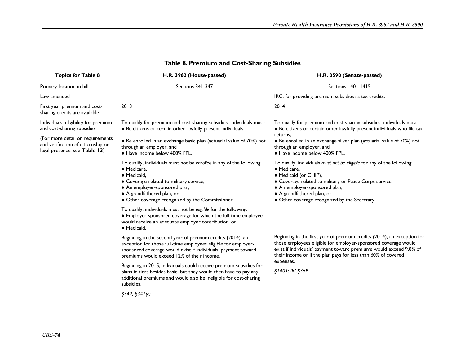| <b>Topics for Table 8</b>                                                                               | H.R. 3962 (House-passed)                                                                                                                                                                                                                                          | H.R. 3590 (Senate-passed)                                                                                                                                                                                                                                                                |
|---------------------------------------------------------------------------------------------------------|-------------------------------------------------------------------------------------------------------------------------------------------------------------------------------------------------------------------------------------------------------------------|------------------------------------------------------------------------------------------------------------------------------------------------------------------------------------------------------------------------------------------------------------------------------------------|
| Primary location in bill                                                                                | Sections 341-347                                                                                                                                                                                                                                                  | Sections 1401-1415                                                                                                                                                                                                                                                                       |
| Law amended                                                                                             |                                                                                                                                                                                                                                                                   | IRC, for providing premium subsidies as tax credits.                                                                                                                                                                                                                                     |
| First year premium and cost-<br>sharing credits are available                                           | 2013                                                                                                                                                                                                                                                              | 2014                                                                                                                                                                                                                                                                                     |
| Individuals' eligibility for premium<br>and cost-sharing subsidies                                      | To qualify for premium and cost-sharing subsidies, individuals must:<br>• Be citizens or certain other lawfully present individuals,                                                                                                                              | To qualify for premium and cost-sharing subsidies, individuals must:<br>· Be citizens or certain other lawfully present individuals who file tax<br>returns.                                                                                                                             |
| (For more detail on requirements<br>and verification of citizenship or<br>legal presence, see Table 13) | • Be enrolled in an exchange basic plan (actuarial value of 70%) not<br>through an employer, and<br>· Have income below 400% FPL.                                                                                                                                 | • Be enrolled in an exchange silver plan (actuarial value of 70%) not<br>through an employer, and<br>· Have income below 400% FPL.                                                                                                                                                       |
|                                                                                                         | To qualify, individuals must not be enrolled in any of the following:<br>• Medicare.<br>· Medicaid.<br>• Coverage related to military service,<br>• An employer-sponsored plan,<br>• A grandfathered plan, or<br>• Other coverage recognized by the Commissioner. | To qualify, individuals must not be eligible for any of the following:<br>• Medicare.<br>• Medicaid (or CHIP),<br>• Coverage related to military or Peace Corps service,<br>• An employer-sponsored plan,<br>• A grandfathered plan, or<br>• Other coverage recognized by the Secretary. |
|                                                                                                         | To qualify, individuals must not be eligible for the following:<br>• Employer-sponsored coverage for which the full-time employee<br>would receive an adequate employer contribution, or<br>· Medicaid.                                                           |                                                                                                                                                                                                                                                                                          |
|                                                                                                         | Beginning in the second year of premium credits (2014), an<br>exception for those full-time employees eligible for employer-<br>sponsored coverage would exist if individuals' payment toward<br>premiums would exceed 12% of their income.                       | Beginning in the first year of premium credits (2014), an exception for<br>those employees eligible for employer-sponsored coverage would<br>exist if individuals' payment toward premiums would exceed 9.8% of<br>their income or if the plan pays for less than 60% of covered         |
|                                                                                                         | Beginning in 2015, individuals could receive premium subsidies for<br>plans in tiers besides basic, but they would then have to pay any<br>additional premiums and would also be ineligible for cost-sharing<br>subsidies.                                        | expenses.<br>§1401: IRC§36B                                                                                                                                                                                                                                                              |
|                                                                                                         | §342, §341(c)                                                                                                                                                                                                                                                     |                                                                                                                                                                                                                                                                                          |

## **Table 8. Premium and Cost-Sharing Subsidies**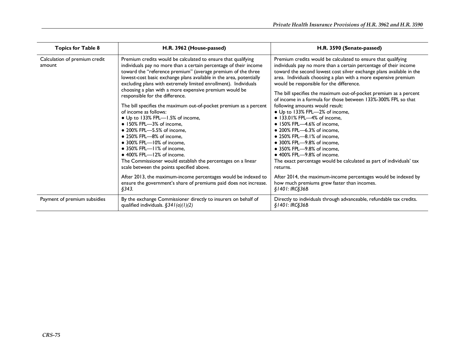| <b>Topics for Table 8</b>               | H.R. 3962 (House-passed)                                                                                                                                                                                                                                                                                                                                                                                                                                                                                                                                                                                                                                                                                                                                                                                                                                                                                                                                                                                                                                   | H.R. 3590 (Senate-passed)                                                                                                                                                                                                                                                                                                                                                                                                                                                                                                                                                                                                                                                                                                                                                                                                                                                                                                                                              |
|-----------------------------------------|------------------------------------------------------------------------------------------------------------------------------------------------------------------------------------------------------------------------------------------------------------------------------------------------------------------------------------------------------------------------------------------------------------------------------------------------------------------------------------------------------------------------------------------------------------------------------------------------------------------------------------------------------------------------------------------------------------------------------------------------------------------------------------------------------------------------------------------------------------------------------------------------------------------------------------------------------------------------------------------------------------------------------------------------------------|------------------------------------------------------------------------------------------------------------------------------------------------------------------------------------------------------------------------------------------------------------------------------------------------------------------------------------------------------------------------------------------------------------------------------------------------------------------------------------------------------------------------------------------------------------------------------------------------------------------------------------------------------------------------------------------------------------------------------------------------------------------------------------------------------------------------------------------------------------------------------------------------------------------------------------------------------------------------|
| Calculation of premium credit<br>amount | Premium credits would be calculated to ensure that qualifying<br>individuals pay no more than a certain percentage of their income<br>toward the "reference premium" (average premium of the three<br>lowest-cost basic exchange plans available in the area, potentially<br>excluding plans with extremely limited enrollment). Individuals<br>choosing a plan with a more expensive premium would be<br>responsible for the difference.<br>The bill specifies the maximum out-of-pocket premium as a percent<br>of income as follows:<br>• Up to 133% FPL-1.5% of income,<br>$\bullet$ 150% FPL-3% of income.<br>• 200% FPL-5.5% of income,<br>$\bullet$ 250% FPL- $-8\%$ of income.<br>$\bullet$ 300% FPL- $-10\%$ of income.<br>• 350% FPL-II% of income,<br>$\bullet$ 400% FPL- $-12%$ of income.<br>The Commissioner would establish the percentages on a linear<br>scale between the points specified above.<br>After 2013, the maximum-income percentages would be indexed to<br>ensure the government's share of premiums paid does not increase. | Premium credits would be calculated to ensure that qualifying<br>individuals pay no more than a certain percentage of their income<br>toward the second lowest cost silver exchange plans available in the<br>area. Individuals choosing a plan with a more expensive premium<br>would be responsible for the difference.<br>The bill specifies the maximum out-of-pocket premium as a percent<br>of income in a formula for those between 133%-300% FPL so that<br>following amounts would result:<br>• Up to 133% FPL-2% of income,<br>• 133.01% FPL-4% of income,<br>• 150% FPL-4.6% of income,<br>• 200% FPL-6.3% of income,<br>• 250% FPL-8.1% of income,<br>• 300% FPL-9.8% of income,<br>• 350% FPL-9.8% of income,<br>$\bullet$ 400% FPL--9.8% of income.<br>The exact percentage would be calculated as part of individuals' tax<br>returns.<br>After 2014, the maximum-income percentages would be indexed by<br>how much premiums grew faster than incomes. |
|                                         | §343.                                                                                                                                                                                                                                                                                                                                                                                                                                                                                                                                                                                                                                                                                                                                                                                                                                                                                                                                                                                                                                                      | §1401: IRC§36B                                                                                                                                                                                                                                                                                                                                                                                                                                                                                                                                                                                                                                                                                                                                                                                                                                                                                                                                                         |
| Payment of premium subsidies            | By the exchange Commissioner directly to insurers on behalf of<br>qualified individuals. $§34I(a)(1)(2)$                                                                                                                                                                                                                                                                                                                                                                                                                                                                                                                                                                                                                                                                                                                                                                                                                                                                                                                                                   | Directly to individuals through advanceable, refundable tax credits.<br>\$1401: IRC\$36B                                                                                                                                                                                                                                                                                                                                                                                                                                                                                                                                                                                                                                                                                                                                                                                                                                                                               |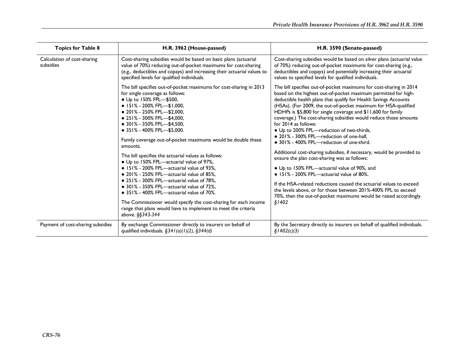| <b>Topics for Table 8</b>                | H.R. 3962 (House-passed)                                                                                                                                                                                                                                                                                                                                                                                                                                                                                                                                                                                                                                                                                                                                                                                                                                                                                       | H.R. 3590 (Senate-passed)                                                                                                                                                                                                                                                                                                                                                                                                                                                                                                                                                                                                                                                                                                                                                                                                                                                                                                                                                                                                          |
|------------------------------------------|----------------------------------------------------------------------------------------------------------------------------------------------------------------------------------------------------------------------------------------------------------------------------------------------------------------------------------------------------------------------------------------------------------------------------------------------------------------------------------------------------------------------------------------------------------------------------------------------------------------------------------------------------------------------------------------------------------------------------------------------------------------------------------------------------------------------------------------------------------------------------------------------------------------|------------------------------------------------------------------------------------------------------------------------------------------------------------------------------------------------------------------------------------------------------------------------------------------------------------------------------------------------------------------------------------------------------------------------------------------------------------------------------------------------------------------------------------------------------------------------------------------------------------------------------------------------------------------------------------------------------------------------------------------------------------------------------------------------------------------------------------------------------------------------------------------------------------------------------------------------------------------------------------------------------------------------------------|
| Calculation of cost-sharing<br>subsidies | Cost-sharing subsidies would be based on basic plans (actuarial<br>value of 70%) reducing out-of-pocket maximums for cost-sharing<br>(e.g., deductibles and copays) and increasing their actuarial values to<br>specified levels for qualified individuals.                                                                                                                                                                                                                                                                                                                                                                                                                                                                                                                                                                                                                                                    | Cost-sharing subsidies would be based on silver plans (actuarial value<br>of 70%) reducing out-of-pocket maximums for cost-sharing (e.g.,<br>deductibles and copays) and potentially increasing their actuarial<br>values to specified levels for qualified individuals.                                                                                                                                                                                                                                                                                                                                                                                                                                                                                                                                                                                                                                                                                                                                                           |
|                                          | The bill specifies out-of-pocket maximums for cost-sharing in 2013<br>for single coverage as follows:<br>• Up to 150% FPL-\$500,<br>$\bullet$ 151% - 200% FPL-\$1,000,<br>$\bullet$ 201% - 250% FPL-\$2,000,<br>$\bullet$ 251% - 300% FPL-\$4,000,<br>$\bullet$ 301% - 350% FPL—\$4,500,<br>$\bullet$ 351% - 400% FPL-\$5,000.<br>Family coverage out-of-pocket maximums would be double these<br>amounts.<br>The bill specifies the actuarial values as follows:<br>• Up to 150% FPL-actuarial value of 97%,<br>• 151% - 200% FPL—actuarial value of 93%,<br>• 201% - 250% FPL—actuarial value of 85%,<br>• 251% - 300% FPL—actuarial value of 78%,<br>• 301% - 350% FPL-actuarial value of 72%,<br>$\bullet$ 351% - 400% FPL—actuarial value of 70%.<br>The Commissioner would specify the cost-sharing for each income<br>range that plans would have to implement to meet the criteria<br>above. §§343-344 | The bill specifies out-of-pocket maximums for cost-sharing in 2014<br>based on the highest out-of-pocket maximum permitted for high-<br>deductible health plans that qualify for Health Savings Accounts<br>(HSAs). (For 2009, the out-of-pocket maximum for HSA-qualified<br>HDHPs is \$5,800 for single coverage and \$11,600 for family<br>coverage.) The cost-sharing subsidies would reduce those amounts<br>for 2014 as follows:<br>• Up to 200% FPL-reduction of two-thirds,<br>• 201% - 300% FPL-reduction of one-half,<br>• 301% - 400% FPL-reduction of one-third.<br>Additional cost-sharing subsidies, if necessary, would be provided to<br>ensure the plan cost-sharing was as follows:<br>• Up to 150% FPL-actuarial value of 90%, and<br>$\bullet$ 151% - 200% FPL—actuarial value of 80%.<br>If the HSA-related reductions caused the actuarial values to exceed<br>the levels above, or for those between 201%-400% FPL to exceed<br>70%, then the out-of-pocket maximums would be raised accordingly.<br>\$1402 |
| Payment of cost-sharing subsidies        | By exchange Commissioner directly to insurers on behalf of<br>qualified individuals. $\S34I(a)(1)(2)$ , $\S344(d)$                                                                                                                                                                                                                                                                                                                                                                                                                                                                                                                                                                                                                                                                                                                                                                                             | By the Secretary directly to insurers on behalf of qualified individuals.<br>\$1402(c)(3)                                                                                                                                                                                                                                                                                                                                                                                                                                                                                                                                                                                                                                                                                                                                                                                                                                                                                                                                          |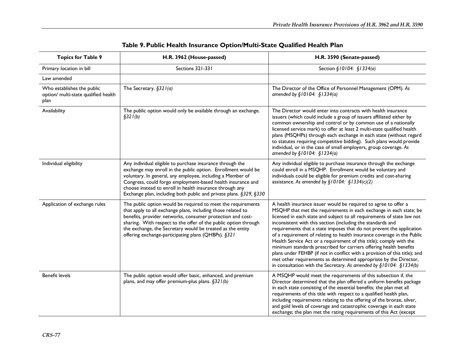| <b>Topics for Table 9</b>                                                  | H.R. 3962 (House-passed)                                                                                                                                                                                                                                                                                                                                                                  | H.R. 3590 (Senate-passed)                                                                                                                                                                                                                                                                                                                                                                                                                                                                                                                                                                                                                                                                                                                                                                                        |
|----------------------------------------------------------------------------|-------------------------------------------------------------------------------------------------------------------------------------------------------------------------------------------------------------------------------------------------------------------------------------------------------------------------------------------------------------------------------------------|------------------------------------------------------------------------------------------------------------------------------------------------------------------------------------------------------------------------------------------------------------------------------------------------------------------------------------------------------------------------------------------------------------------------------------------------------------------------------------------------------------------------------------------------------------------------------------------------------------------------------------------------------------------------------------------------------------------------------------------------------------------------------------------------------------------|
| Primary location in bill                                                   | Sections 321-331                                                                                                                                                                                                                                                                                                                                                                          | Section §10104: §1334(a)                                                                                                                                                                                                                                                                                                                                                                                                                                                                                                                                                                                                                                                                                                                                                                                         |
| Law amended                                                                |                                                                                                                                                                                                                                                                                                                                                                                           |                                                                                                                                                                                                                                                                                                                                                                                                                                                                                                                                                                                                                                                                                                                                                                                                                  |
| Who establishes the public<br>option/ multi-state qualified health<br>plan | The Secretary. $§321(a)$                                                                                                                                                                                                                                                                                                                                                                  | The Director of the Office of Personnel Management (OPM). As<br>amended by $$10104: $1334(a)$                                                                                                                                                                                                                                                                                                                                                                                                                                                                                                                                                                                                                                                                                                                    |
| Availability                                                               | The public option would only be available through an exchange.<br>\$321(b)                                                                                                                                                                                                                                                                                                                | The Director would enter into contracts with health insurance<br>issuers (which could include a group of issuers affiliated either by<br>common ownership and control or by common use of a nationally<br>licensed service mark) to offer at least 2 multi-state qualified health<br>plans (MSQHPs) through each exchange in each state (without regard<br>to statutes requiring competitive bidding). Such plans would provide<br>individual, or in the case of small employers, group coverage. As<br>amended by $\S10104$ : $\S1334(a)$                                                                                                                                                                                                                                                                       |
| Individual eligibility                                                     | Any individual eligible to purchase insurance through the<br>exchange may enroll in the public option. Enrollment would be<br>voluntary. In general, any employee, including a Member of<br>Congress, could forgo employment-based health insurance and<br>choose instead to enroll in health insurance through any<br>Exchange plan, including both public and private plans. §329, §330 | Any individual eligible to purchase insurance through the exchange<br>could enroll in a MSQHP. Enrollment would be voluntary and<br>individuals could be eligible for premium credits and cost-sharing<br>assistance. As amended by $\S10104$ : $\S1334(c)(2)$                                                                                                                                                                                                                                                                                                                                                                                                                                                                                                                                                   |
| Application of exchange rules                                              | The public option would be required to meet the requirements<br>that apply to all exchange plans, including those related to<br>benefits, provider networks, consumer protection and cost-<br>sharing. With respect to the offer of the public option through<br>the exchange, the Secretary would be treated as the entity<br>offering exchange-participating plans (QHBPs). §321        | A health insurance issuer would be required to agree to offer a<br>MSQHP that met the requirements in each exchange in each state; be<br>licensed in each state and subject to all requirements of state law not<br>inconsistent with this section (including the standards and<br>requirements that a state imposes that do not prevent the application<br>of a requirement of relating to health insurance coverage in the Public<br>Health Service Act or a requirement of this title); comply with the<br>minimum standards prescribed for carriers offering health benefits<br>plans under FEHBP (if not in conflict with a provision of this title); and<br>met other requirements as determined appropriate by the Director,<br>in consultation with the Secretary. As amended by $\S10104$ : $\S1334(b)$ |
| <b>Benefit levels</b>                                                      | The public option would offer basic, enhanced, and premium<br>plans, and may offer premium-plus plans. $\S 321(b)$                                                                                                                                                                                                                                                                        | A MSQHP would meet the requirements of this subsection if, the<br>Director determined that the plan offered a uniform benefits package<br>in each state consisting of the essential benefits; the plan met all<br>requirements of this title with respect to a qualified health plan,<br>including requirements relating to the offering of the bronze, silver,<br>and gold levels of coverage and catastrophic coverage in each state<br>exchange; the plan met the rating requirements of this Act (except                                                                                                                                                                                                                                                                                                     |

## **Table 9. Public Health Insurance Option/Multi-State Qualified Health Plan**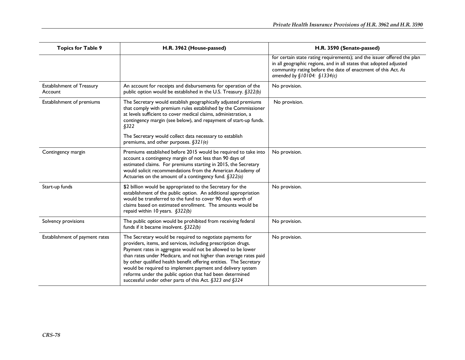| <b>Topics for Table 9</b>                   | H.R. 3962 (House-passed)                                                                                                                                                                                                                                                                                                                                                                                                                                                                                                  | H.R. 3590 (Senate-passed)                                                                                                                                                                                                                       |
|---------------------------------------------|---------------------------------------------------------------------------------------------------------------------------------------------------------------------------------------------------------------------------------------------------------------------------------------------------------------------------------------------------------------------------------------------------------------------------------------------------------------------------------------------------------------------------|-------------------------------------------------------------------------------------------------------------------------------------------------------------------------------------------------------------------------------------------------|
|                                             |                                                                                                                                                                                                                                                                                                                                                                                                                                                                                                                           | for certain state rating requirements); and the issuer offered the plan<br>in all geographic regions, and in all states that adopted adjusted<br>community rating before the date of enactment of this Act. As<br>amended by $$10104: $1334(c)$ |
| <b>Establishment of Treasury</b><br>Account | An account for receipts and disbursements for operation of the<br>public option would be established in the U.S. Treasury. §322(b)                                                                                                                                                                                                                                                                                                                                                                                        | No provision.                                                                                                                                                                                                                                   |
| Establishment of premiums                   | The Secretary would establish geographically adjusted premiums<br>that comply with premium rules established by the Commissioner<br>at levels sufficient to cover medical claims, administration, a<br>contingency margin (see below), and repayment of start-up funds.<br>\$322                                                                                                                                                                                                                                          | No provision.                                                                                                                                                                                                                                   |
|                                             | The Secretary would collect data necessary to establish<br>premiums, and other purposes. §321(e)                                                                                                                                                                                                                                                                                                                                                                                                                          |                                                                                                                                                                                                                                                 |
| Contingency margin                          | Premiums established before 2015 would be required to take into<br>account a contingency margin of not less than 90 days of<br>estimated claims. For premiums starting in 2015, the Secretary<br>would solicit recommendations from the American Academy of<br>Actuaries on the amount of a contingency fund. $\S$ 322(a)                                                                                                                                                                                                 | No provision.                                                                                                                                                                                                                                   |
| Start-up funds                              | \$2 billion would be appropriated to the Secretary for the<br>establishment of the public option. An additional appropriation<br>would be transferred to the fund to cover 90 days worth of<br>claims based on estimated enrollment. The amounts would be<br>repaid within 10 years. §322(b)                                                                                                                                                                                                                              | No provision.                                                                                                                                                                                                                                   |
| Solvency provisions                         | The public option would be prohibited from receiving federal<br>funds if it became insolvent. $§322(b)$                                                                                                                                                                                                                                                                                                                                                                                                                   | No provision.                                                                                                                                                                                                                                   |
| Establishment of payment rates              | The Secretary would be required to negotiate payments for<br>providers, items, and services, including prescription drugs.<br>Payment rates in aggregate would not be allowed to be lower<br>than rates under Medicare, and not higher than average rates paid<br>by other qualified health benefit offering entities. The Secretary<br>would be required to implement payment and delivery system<br>reforms under the public option that had been determined<br>successful under other parts of this Act. §323 and §324 | No provision.                                                                                                                                                                                                                                   |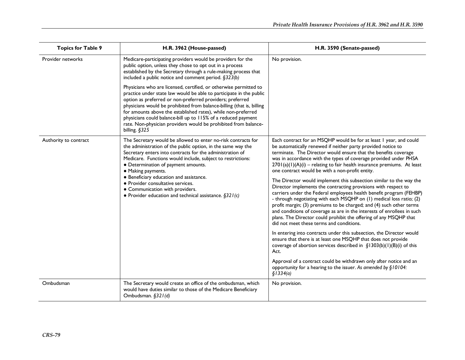| <b>Topics for Table 9</b> | H.R. 3962 (House-passed)                                                                                                                                                                                                                                                                                                                                                                                                                                                                                | H.R. 3590 (Senate-passed)                                                                                                                                                                                                                                                                                                                                                                                                                                                                                                                                                                                                                                                                                                                                                                                                                                                                                                                                                                                                                                                                                                                                                                                                                                                                                                                            |
|---------------------------|---------------------------------------------------------------------------------------------------------------------------------------------------------------------------------------------------------------------------------------------------------------------------------------------------------------------------------------------------------------------------------------------------------------------------------------------------------------------------------------------------------|------------------------------------------------------------------------------------------------------------------------------------------------------------------------------------------------------------------------------------------------------------------------------------------------------------------------------------------------------------------------------------------------------------------------------------------------------------------------------------------------------------------------------------------------------------------------------------------------------------------------------------------------------------------------------------------------------------------------------------------------------------------------------------------------------------------------------------------------------------------------------------------------------------------------------------------------------------------------------------------------------------------------------------------------------------------------------------------------------------------------------------------------------------------------------------------------------------------------------------------------------------------------------------------------------------------------------------------------------|
| Provider networks         | Medicare-participating providers would be providers for the<br>public option, unless they chose to opt out in a process<br>established by the Secretary through a rule-making process that<br>included a public notice and comment period. §323(b)                                                                                                                                                                                                                                                      | No provision.                                                                                                                                                                                                                                                                                                                                                                                                                                                                                                                                                                                                                                                                                                                                                                                                                                                                                                                                                                                                                                                                                                                                                                                                                                                                                                                                        |
|                           | Physicians who are licensed, certified, or otherwise permitted to<br>practice under state law would be able to participate in the public<br>option as preferred or non-preferred providers; preferred<br>physicians would be prohibited from balance-billing (that is, billing<br>for amounts above the established rates), while non-preferred<br>physicians could balance-bill up to 115% of a reduced payment<br>rate. Non-physician providers would be prohibited from balance-<br>billing. §325    |                                                                                                                                                                                                                                                                                                                                                                                                                                                                                                                                                                                                                                                                                                                                                                                                                                                                                                                                                                                                                                                                                                                                                                                                                                                                                                                                                      |
| Authority to contract     | The Secretary would be allowed to enter no-risk contracts for<br>the administration of the public option, in the same way the<br>Secretary enters into contracts for the administration of<br>Medicare. Functions would include, subject to restrictions:<br>• Determination of payment amounts.<br>• Making payments.<br>• Beneficiary education and assistance.<br>· Provider consultative services.<br>• Communication with providers.<br>• Provider education and technical assistance. $\S 321(c)$ | Each contract for an MSQHP would be for at least I year, and could<br>be automatically renewed if neither party provided notice to<br>terminate. The Director would ensure that the benefits coverage<br>was in accordance with the types of coverage provided under PHSA<br>2701(a)(1)(A)(i) - relating to fair health insurance premiums. At least<br>one contract would be with a non-profit entity.<br>The Director would implement this subsection similar to the way the<br>Director implements the contracting provisions with respect to<br>carriers under the Federal employees health benefit program (FEHBP)<br>- through negotiating with each MSQHP on (1) medical loss ratio; (2)<br>profit margin; (3) premiums to be charged; and (4) such other terms<br>and conditions of coverage as are in the interests of enrollees in such<br>plans. The Director could prohibit the offering of any MSQHP that<br>did not meet these terms and conditions.<br>In entering into contracts under this subsection, the Director would<br>ensure that there is at least one MSQHP that does not provide<br>coverage of abortion services described in $\S$ 1303(b)(1)(B)(i) of this<br>Act.<br>Approval of a contract could be withdrawn only after notice and an<br>opportunity for a hearing to the issuer. As amended by §10104:<br>\$1334(a) |
| Ombudsman                 | The Secretary would create an office of the ombudsman, which<br>would have duties similar to those of the Medicare Beneficiary<br>Ombudsman. §321(d)                                                                                                                                                                                                                                                                                                                                                    | No provision.                                                                                                                                                                                                                                                                                                                                                                                                                                                                                                                                                                                                                                                                                                                                                                                                                                                                                                                                                                                                                                                                                                                                                                                                                                                                                                                                        |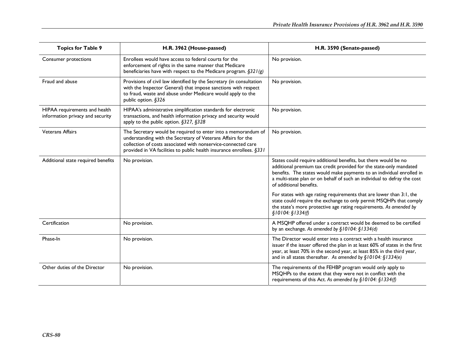| <b>Topics for Table 9</b>                                         | H.R. 3962 (House-passed)                                                                                                                                                                                                                                               | H.R. 3590 (Senate-passed)                                                                                                                                                                                                                                                                                             |
|-------------------------------------------------------------------|------------------------------------------------------------------------------------------------------------------------------------------------------------------------------------------------------------------------------------------------------------------------|-----------------------------------------------------------------------------------------------------------------------------------------------------------------------------------------------------------------------------------------------------------------------------------------------------------------------|
| Consumer protections                                              | Enrollees would have access to federal courts for the<br>enforcement of rights in the same manner that Medicare<br>beneficiaries have with respect to the Medicare program. $\S 321(g)$                                                                                | No provision.                                                                                                                                                                                                                                                                                                         |
| Fraud and abuse                                                   | Provisions of civil law identified by the Secretary (in consultation<br>with the Inspector General) that impose sanctions with respect<br>to fraud, waste and abuse under Medicare would apply to the<br>public option. §326                                           | No provision.                                                                                                                                                                                                                                                                                                         |
| HIPAA requirements and health<br>information privacy and security | HIPAA's administrative simplification standards for electronic<br>transactions, and health information privacy and security would<br>apply to the public option. §327, §328                                                                                            | No provision.                                                                                                                                                                                                                                                                                                         |
| <b>Veterans Affairs</b>                                           | The Secretary would be required to enter into a memorandum of<br>understanding with the Secretary of Veterans Affairs for the<br>collection of costs associated with nonservice-connected care<br>provided in VA facilities to public health insurance enrollees. §331 | No provision.                                                                                                                                                                                                                                                                                                         |
| Additional state required benefits                                | No provision.                                                                                                                                                                                                                                                          | States could require additional benefits, but there would be no<br>additional premium tax credit provided for the state-only mandated<br>benefits. The states would make payments to an individual enrolled in<br>a multi-state plan or on behalf of such an individual to defray the cost<br>of additional benefits. |
|                                                                   |                                                                                                                                                                                                                                                                        | For states with age rating requirements that are lower than 3:1, the<br>state could require the exchange to only permit MSQHPs that comply<br>the state's more protective age rating requirements. As amended by<br>\$10104: \$1334(f)                                                                                |
| Certification                                                     | No provision.                                                                                                                                                                                                                                                          | A MSQHP offered under a contract would be deemed to be certified<br>by an exchange. As amended by §10104: §1334(d)                                                                                                                                                                                                    |
| Phase-In                                                          | No provision.                                                                                                                                                                                                                                                          | The Director would enter into a contract with a health insurance<br>issuer if the issuer offered the plan in at least 60% of states in the first<br>year, at least 70% in the second year, at least 85% in the third year,<br>and in all states thereafter. As amended by $\S10104$ : $\S1334(e)$                     |
| Other duties of the Director                                      | No provision.                                                                                                                                                                                                                                                          | The requirements of the FEHBP program would only apply to<br>MSQHPs to the extent that they were not in conflict with the<br>requirements of this Act. As amended by §10104: §1334(f)                                                                                                                                 |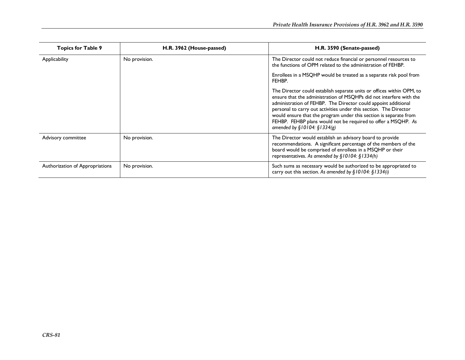| <b>Topics for Table 9</b>       | H.R. 3962 (House-passed) | H.R. 3590 (Senate-passed)                                                                                                                                                                                                                                                                                                                                                                                                                                  |
|---------------------------------|--------------------------|------------------------------------------------------------------------------------------------------------------------------------------------------------------------------------------------------------------------------------------------------------------------------------------------------------------------------------------------------------------------------------------------------------------------------------------------------------|
| Applicability                   | No provision.            | The Director could not reduce financial or personnel resources to<br>the functions of OPM related to the administration of FEHBP.                                                                                                                                                                                                                                                                                                                          |
|                                 |                          | Enrollees in a MSQHP would be treated as a separate risk pool from<br>FEHBP.                                                                                                                                                                                                                                                                                                                                                                               |
|                                 |                          | The Director could establish separate units or offices within OPM, to<br>ensure that the administration of MSQHPs did not interfere with the<br>administration of FEHBP. The Director could appoint additional<br>personal to carry out activities under this section. The Director<br>would ensure that the program under this section is separate from<br>FEHBP. FEHBP plans would not be required to offer a MSQHP. As<br>amended by $$10104: $1334(g)$ |
| Advisory committee              | No provision.            | The Director would establish an advisory board to provide<br>recommendations. A significant percentage of the members of the<br>board would be comprised of enrollees in a MSQHP or their<br>representatives. As amended by §10104: §1334(h)                                                                                                                                                                                                               |
| Authorization of Appropriations | No provision.            | Such sums as necessary would be authorized to be appropriated to<br>carry out this section. As amended by $\S10104$ : $\S1334(i)$                                                                                                                                                                                                                                                                                                                          |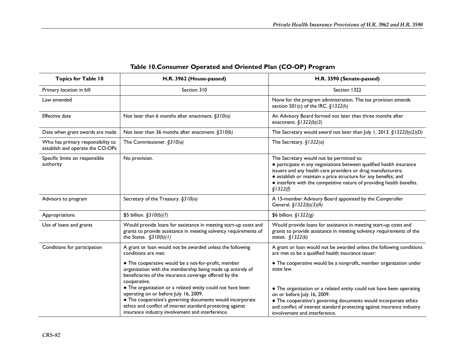| <b>Topics for Table 10</b>                                            | H.R. 3962 (House-passed)                                                                                                                                                                                                                                                            | H.R. 3590 (Senate-passed)                                                                                                                                                                                                                                                                                                                 |
|-----------------------------------------------------------------------|-------------------------------------------------------------------------------------------------------------------------------------------------------------------------------------------------------------------------------------------------------------------------------------|-------------------------------------------------------------------------------------------------------------------------------------------------------------------------------------------------------------------------------------------------------------------------------------------------------------------------------------------|
| Primary location in bill                                              | Section 310                                                                                                                                                                                                                                                                         | Section 1322                                                                                                                                                                                                                                                                                                                              |
| Law amended                                                           |                                                                                                                                                                                                                                                                                     | None for the program administration. The tax provision amends<br>section 501(c) of the IRC. §1322(h)                                                                                                                                                                                                                                      |
| <b>Effective date</b>                                                 | Not later than 6 months after enactment. $\S310(a)$                                                                                                                                                                                                                                 | An Advisory Board formed not later than three months after<br>enactment. $§$ 1322(b)(3)                                                                                                                                                                                                                                                   |
| Date when grant awards are made                                       | Not later than 36 months after enactment. §310(b)                                                                                                                                                                                                                                   | The Secretary would award not later than July 1, 2013. $\S$ 1322(b)(2)(D)                                                                                                                                                                                                                                                                 |
| Who has primary responsibility to<br>establish and operate the CO-OPs | The Commissioner. $§310(a)$                                                                                                                                                                                                                                                         | The Secretary. $$1322(a)$                                                                                                                                                                                                                                                                                                                 |
| Specific limits on responsible<br>authority                           | No provision.                                                                                                                                                                                                                                                                       | The Secretary would not be permitted to:<br>• participate in any negotiations between qualified health insurance<br>issuers and any health care providers or drug manufacturers;<br>· establish or maintain a price structure for any benefits; and<br>• interfere with the competitive nature of providing health benefits.<br>\$1322(f) |
| Advisors to program                                                   | Secretary of the Treasury. §310(a)                                                                                                                                                                                                                                                  | A 15-member Advisory Board appointed by the Comptroller<br>General. §1322(b)(3)(A)                                                                                                                                                                                                                                                        |
| Appropriations                                                        | \$5 billion. §3 $10(b)(7)$                                                                                                                                                                                                                                                          | \$6 billion. $$1322(g)$                                                                                                                                                                                                                                                                                                                   |
| Use of loans and grants                                               | Would provide loans for assistance in meeting start-up costs and<br>grants to provide assistance in meeting solvency requirements of<br>the States. $$310(b)(1)$                                                                                                                    | Would provide loans for assistance in meeting start-up costs and<br>grants to provide assistance in meeting solvency requirements of the<br>states. $§$ 1322(b)                                                                                                                                                                           |
| Conditions for participation                                          | A grant or loan would not be awarded unless the following<br>conditions are met:                                                                                                                                                                                                    | A grant or loan would not be awarded unless the following conditions<br>are met to be a qualified health insurance issuer:                                                                                                                                                                                                                |
|                                                                       | • The cooperative would be a not-for-profit, member<br>organization with the membership being made up entirely of<br>beneficiaries of the insurance coverage offered by the<br>cooperative.                                                                                         | • The cooperative would be a nonprofit, member organization under<br>state law.                                                                                                                                                                                                                                                           |
|                                                                       | • The organization or a related entity could not have been<br>operating on or before July 16, 2009.<br>• The cooperative's governing documents would incorporate<br>ethics and conflict of interest standard protecting against<br>insurance industry involvement and interference. | • The organization or a related entity could not have been operating<br>on or before July 16, 2009.<br>• The cooperative's governing documents would incorporate ethics<br>and conflict of interest standard protecting against insurance industry<br>involvement and interference.                                                       |

## **Table 10.Consumer Operated and Oriented Plan (CO-OP) Program**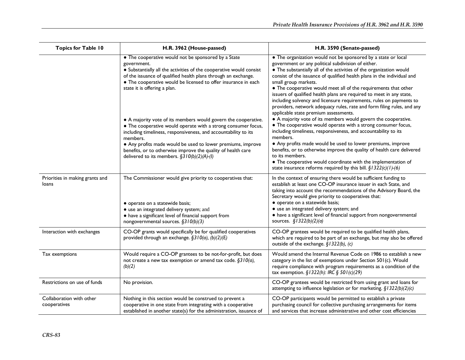| <b>Topics for Table 10</b>               | H.R. 3962 (House-passed)                                                                                                                                                                                                                                                                                                                                                                        | H.R. 3590 (Senate-passed)                                                                                                                                                                                                                                                                                                                                                                                                                                                                                                                                                                                                          |
|------------------------------------------|-------------------------------------------------------------------------------------------------------------------------------------------------------------------------------------------------------------------------------------------------------------------------------------------------------------------------------------------------------------------------------------------------|------------------------------------------------------------------------------------------------------------------------------------------------------------------------------------------------------------------------------------------------------------------------------------------------------------------------------------------------------------------------------------------------------------------------------------------------------------------------------------------------------------------------------------------------------------------------------------------------------------------------------------|
|                                          | • The cooperative would not be sponsored by a State<br>government.<br>• Substantially all the activities of the cooperative would consist<br>of the issuance of qualified health plans through an exchange.<br>• The cooperative would be licensed to offer insurance in each<br>state it is offering a plan.                                                                                   | • The organization would not be sponsored by a state or local<br>government or any political subdivision of either.<br>• The substantially all of the activities of the organization would<br>consist of the issuance of qualified health plans in the individual and<br>small group markets.<br>• The cooperative would meet all of the requirements that other<br>issuers of qualified health plans are required to meet in any state,<br>including solvency and licensure requirements, rules on payments to<br>providers, network adequacy rules, rate and form filing rules, and any<br>applicable state premium assessments. |
|                                          | • A majority vote of its members would govern the cooperative.<br>• The cooperative would operate with a strong consumer focus,<br>including timeliness, responsiveness, and accountability to its<br>members.<br>• Any profits made would be used to lower premiums, improve<br>benefits, or to otherwise improve the quality of health care<br>delivered to its members. $\S310(b)(2)(A)-(I)$ | • A majority vote of its members would govern the cooperative.<br>• The cooperative would operate with a strong consumer focus,<br>including timeliness, responsiveness, and accountability to its<br>members.<br>• Any profits made would be used to lower premiums, improve<br>benefits, or to otherwise improve the quality of health care delivered<br>to its members.<br>• The cooperative would coordinate with the implementation of<br>state insurance reforms required by this bill. $\S$ 1322(c)(1)-(6)                                                                                                                  |
| Priorities in making grants and<br>loans | The Commissioner would give priority to cooperatives that:<br>· operate on a statewide basis;<br>• use an integrated delivery system; and<br>• have a significant level of financial support from<br>nongovernmental sources. $\S310(b)(3)$                                                                                                                                                     | In the context of ensuring there would be sufficient funding to<br>establish at least one CO-OP insurance issuer in each State, and<br>taking into account the recommendations of the Advisory Board, the<br>Secretary would give priority to cooperatives that:<br>· operate on a statewide basis;<br>· use an integrated delivery system; and<br>• have a significant level of financial support from nongovernmental<br>sources. $$1322(b)(2)(a)$                                                                                                                                                                               |
| Interaction with exchanges               | CO-OP grants would specifically be for qualified cooperatives<br>provided through an exchange. §310(a), (b)(2)(E)                                                                                                                                                                                                                                                                               | CO-OP grantees would be required to be qualified health plans,<br>which are required to be part of an exchange, but may also be offered<br>outside of the exchange. $\S$ 1322(b), (c)                                                                                                                                                                                                                                                                                                                                                                                                                                              |
| Tax exemptions                           | Would require a CO-OP grantees to be not-for-profit, but does<br>not create a new tax exemption or amend tax code. §310(a),<br>(b)(2)                                                                                                                                                                                                                                                           | Would amend the Internal Revenue Code on 1986 to establish a new<br>category in the list of exemptions under Section 501(c). Would<br>require compliance with program requirements as a condition of the<br>tax exemption. $\S$ 1322(h): IRC $\S$ 501(c)(29)                                                                                                                                                                                                                                                                                                                                                                       |
| Restrictions on use of funds             | No provision.                                                                                                                                                                                                                                                                                                                                                                                   | CO-OP grantees would be restricted from using grant and loans for<br>attempting to influence legislation or for marketing. $\S$ / 322(b)(2)(c)                                                                                                                                                                                                                                                                                                                                                                                                                                                                                     |
| Collaboration with other<br>cooperatives | Nothing in this section would be construed to prevent a<br>cooperative in one state from integrating with a cooperative<br>established in another state(s) for the administration, issuance of                                                                                                                                                                                                  | CO-OP participants would be permitted to establish a private<br>purchasing council for collective purchasing arrangements for items<br>and services that increase administrative and other cost efficiencies                                                                                                                                                                                                                                                                                                                                                                                                                       |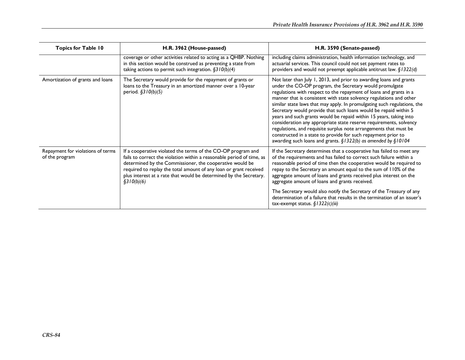| <b>Topics for Table 10</b>                          | H.R. 3962 (House-passed)                                                                                                                                                                                                                                                                                                                                   | H.R. 3590 (Senate-passed)                                                                                                                                                                                                                                                                                                                                                                                                                                                                                                                                                                                                                                                                                                                                                              |
|-----------------------------------------------------|------------------------------------------------------------------------------------------------------------------------------------------------------------------------------------------------------------------------------------------------------------------------------------------------------------------------------------------------------------|----------------------------------------------------------------------------------------------------------------------------------------------------------------------------------------------------------------------------------------------------------------------------------------------------------------------------------------------------------------------------------------------------------------------------------------------------------------------------------------------------------------------------------------------------------------------------------------------------------------------------------------------------------------------------------------------------------------------------------------------------------------------------------------|
|                                                     | coverage or other activities related to acting as a QHBP. Nothing<br>in this section would be construed as preventing a state from<br>taking actions to permit such integration. $\S310(b)(4)$                                                                                                                                                             | including claims administration, health information technology, and<br>actuarial services. This council could not set payment rates to<br>providers and would not preempt applicable antitrust law. §1322(d)                                                                                                                                                                                                                                                                                                                                                                                                                                                                                                                                                                           |
| Amortization of grants and loans                    | The Secretary would provide for the repayment of grants or<br>loans to the Treasury in an amortized manner over a 10-year<br>period. §310(b)(5)                                                                                                                                                                                                            | Not later than July 1, 2013, and prior to awarding loans and grants<br>under the CO-OP program, the Secretary would promulgate<br>regulations with respect to the repayment of loans and grants in a<br>manner that is consistent with state solvency regulations and other<br>similar state laws that may apply. In promulgating such regulations, the<br>Secretary would provide that such loans would be repaid within 5<br>years and such grants would be repaid within 15 years, taking into<br>consideration any appropriate state reserve requirements, solvency<br>regulations, and requisite surplus note arrangements that must be<br>constructed in a state to provide for such repayment prior to<br>awarding such loans and grants. $\S$ 1322(b) as amended by $\S$ 10104 |
| Repayment for violations of terms<br>of the program | If a cooperative violated the terms of the CO-OP program and<br>fails to correct the violation within a reasonable period of time, as<br>determined by the Commissioner, the cooperative would be<br>required to replay the total amount of any loan or grant received<br>plus interest at a rate that would be determined by the Secretary.<br>§310(b)(6) | If the Secretary determines that a cooperative has failed to meet any<br>of the requirements and has failed to correct such failure within a<br>reasonable period of time then the cooperative would be required to<br>repay to the Secretary an amount equal to the sum of 110% of the<br>aggregate amount of loans and grants received plus interest on the<br>aggregate amount of loans and grants received.<br>The Secretary would also notify the Secretary of the Treasury of any<br>determination of a failure that results in the termination of an issuer's<br>tax-exempt status. $\S$ 1322(c)(iii)                                                                                                                                                                           |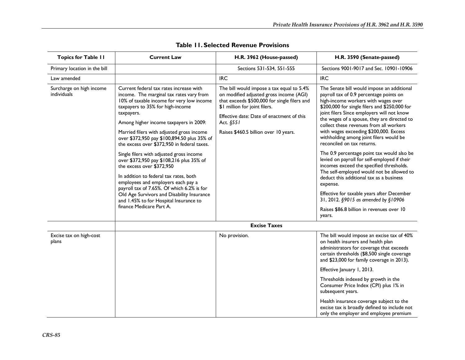| <b>Topics for Table II</b>              | <b>Current Law</b>                                                                                                                                                                                                                                                                                                                                                                                                                                                                                                                                                                                                                                                                                                                             | H.R. 3962 (House-passed)                                                                                                                                                                                                                                                 | H.R. 3590 (Senate-passed)                                                                                                                                                                                                                                                                                                                                                                                                                                                                                                                                                                                                                                                                                                                                                                                                            |
|-----------------------------------------|------------------------------------------------------------------------------------------------------------------------------------------------------------------------------------------------------------------------------------------------------------------------------------------------------------------------------------------------------------------------------------------------------------------------------------------------------------------------------------------------------------------------------------------------------------------------------------------------------------------------------------------------------------------------------------------------------------------------------------------------|--------------------------------------------------------------------------------------------------------------------------------------------------------------------------------------------------------------------------------------------------------------------------|--------------------------------------------------------------------------------------------------------------------------------------------------------------------------------------------------------------------------------------------------------------------------------------------------------------------------------------------------------------------------------------------------------------------------------------------------------------------------------------------------------------------------------------------------------------------------------------------------------------------------------------------------------------------------------------------------------------------------------------------------------------------------------------------------------------------------------------|
| Primary location in the bill            |                                                                                                                                                                                                                                                                                                                                                                                                                                                                                                                                                                                                                                                                                                                                                | Sections 531-534, 551-555                                                                                                                                                                                                                                                | Sections 9001-9017 and Sec. 10901-10906                                                                                                                                                                                                                                                                                                                                                                                                                                                                                                                                                                                                                                                                                                                                                                                              |
| Law amended                             |                                                                                                                                                                                                                                                                                                                                                                                                                                                                                                                                                                                                                                                                                                                                                | <b>IRC</b>                                                                                                                                                                                                                                                               | <b>IRC</b>                                                                                                                                                                                                                                                                                                                                                                                                                                                                                                                                                                                                                                                                                                                                                                                                                           |
| Surcharge on high income<br>individuals | Current federal tax rates increase with<br>income. The marginal tax rates vary from<br>10% of taxable income for very low income<br>taxpayers to 35% for high-income<br>taxpayers.<br>Among higher income taxpayers in 2009:<br>Married filers with adjusted gross income<br>over \$372,950 pay \$100,894.50 plus 35% of<br>the excess over \$372,950 in federal taxes.<br>Single filers with adjusted gross income<br>over \$372,950 pay \$108,216 plus 35% of<br>the excess over \$372,950<br>In addition to federal tax rates, both<br>employees and employers each pay a<br>payroll tax of 7.65%. Of which 6.2% is for<br>Old Age Survivors and Disability Insurance<br>and 1.45% to for Hospital Insurance to<br>finance Medicare Part A. | The bill would impose a tax equal to 5.4%<br>on modified adjusted gross income (AGI)<br>that exceeds \$500,000 for single filers and<br>\$1 million for joint filers.<br>Effective date: Date of enactment of this<br>Act. §551<br>Raises \$460.5 billion over 10 years. | The Senate bill would impose an additional<br>payroll tax of 0.9 percentage points on<br>high-income workers with wages over<br>\$200,000 for single filers and \$250,000 for<br>joint filers Since employers will not know<br>the wages of a spouse, they are directed to<br>collect these revenues from all workers<br>with wages exceeding \$200,000. Excess<br>withholding among joint filers would be<br>reconciled on tax returns.<br>The 0.9 percentage point tax would also be<br>levied on payroll for self-employed if their<br>incomes exceed the specified thresholds.<br>The self-employed would not be allowed to<br>deduct this additional tax as a business<br>expense.<br>Effective for taxable years after December<br>31, 2012. §9015 as amended by §10906<br>Raises \$86.8 billion in revenues over 10<br>years. |
|                                         |                                                                                                                                                                                                                                                                                                                                                                                                                                                                                                                                                                                                                                                                                                                                                | <b>Excise Taxes</b>                                                                                                                                                                                                                                                      |                                                                                                                                                                                                                                                                                                                                                                                                                                                                                                                                                                                                                                                                                                                                                                                                                                      |
| Excise tax on high-cost<br>plans        |                                                                                                                                                                                                                                                                                                                                                                                                                                                                                                                                                                                                                                                                                                                                                | No provision.                                                                                                                                                                                                                                                            | The bill would impose an excise tax of 40%<br>on health insurers and health plan<br>administrators for coverage that exceeds<br>certain thresholds (\$8,500 single coverage<br>and \$23,000 for family coverage in 2013).                                                                                                                                                                                                                                                                                                                                                                                                                                                                                                                                                                                                            |
|                                         |                                                                                                                                                                                                                                                                                                                                                                                                                                                                                                                                                                                                                                                                                                                                                |                                                                                                                                                                                                                                                                          | Effective January 1, 2013.                                                                                                                                                                                                                                                                                                                                                                                                                                                                                                                                                                                                                                                                                                                                                                                                           |
|                                         |                                                                                                                                                                                                                                                                                                                                                                                                                                                                                                                                                                                                                                                                                                                                                |                                                                                                                                                                                                                                                                          | Thresholds indexed by growth in the<br>Consumer Price Index (CPI) plus 1% in<br>subsequent years.                                                                                                                                                                                                                                                                                                                                                                                                                                                                                                                                                                                                                                                                                                                                    |
|                                         |                                                                                                                                                                                                                                                                                                                                                                                                                                                                                                                                                                                                                                                                                                                                                |                                                                                                                                                                                                                                                                          | Health insurance coverage subject to the<br>excise tax is broadly defined to include not<br>only the employer and employee premium                                                                                                                                                                                                                                                                                                                                                                                                                                                                                                                                                                                                                                                                                                   |

#### **Table 11. Selected Revenue Provisions**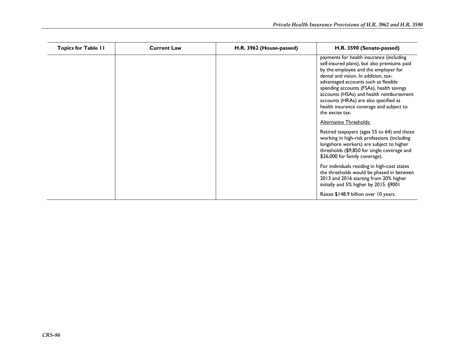| <b>Topics for Table II</b> | <b>Current Law</b> | H.R. 3962 (House-passed) | H.R. 3590 (Senate-passed)                                                                                                                                                                                                                                                                                                                                                                                       |
|----------------------------|--------------------|--------------------------|-----------------------------------------------------------------------------------------------------------------------------------------------------------------------------------------------------------------------------------------------------------------------------------------------------------------------------------------------------------------------------------------------------------------|
|                            |                    |                          | payments for health insurance (including<br>self-insured plans), but also premiums paid<br>by the employee and the employer for<br>dental and vision. In addition, tax-<br>advantaged accounts such as flexible<br>spending accounts (FSAs), health savings<br>accounts (HSAs) and health reimbursement<br>accounts (HRAs) are also specified as<br>health insurance coverage and subject to<br>the excise tax. |
|                            |                    |                          | Alternative Thresholds:                                                                                                                                                                                                                                                                                                                                                                                         |
|                            |                    |                          | Retired taxpayers (ages 55 to 64) and those<br>working in high-risk professions (including<br>longshore workers) are subject to higher<br>thresholds (\$9,850 for single coverage and<br>\$26,000 for family coverage).                                                                                                                                                                                         |
|                            |                    |                          | For individuals residing in high-cost states<br>the thresholds would be phased in between<br>2013 and 2016 starting from 20% higher<br>initially and 5% higher by 2015. §9001                                                                                                                                                                                                                                   |
|                            |                    |                          | Raises \$148.9 billion over 10 years.                                                                                                                                                                                                                                                                                                                                                                           |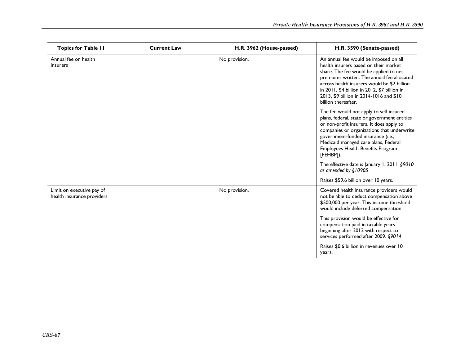| <b>Topics for Table 11</b>                              | <b>Current Law</b> | H.R. 3962 (House-passed) | H.R. 3590 (Senate-passed)                                                                                                                                                                                                                                                                                                               |
|---------------------------------------------------------|--------------------|--------------------------|-----------------------------------------------------------------------------------------------------------------------------------------------------------------------------------------------------------------------------------------------------------------------------------------------------------------------------------------|
| Annual fee on health<br>insurers                        |                    | No provision.            | An annual fee would be imposed on all<br>health insurers based on their market<br>share. The fee would be applied to net<br>premiums written. The annual fee allocated<br>across health insurers would be \$2 billion<br>in 2011, \$4 billion in 2012, \$7 billion in<br>2013, \$9 billion in 2014-1016 and \$10<br>billion thereafter. |
|                                                         |                    |                          | The fee would not apply to self-insured<br>plans, federal, state or government entities<br>or non-profit insurers. It does apply to<br>companies or organizations that underwrite<br>government-funded insurance (i.e.,<br>Medicaid managed care plans, Federal<br>Employees Health Benefits Program<br>[FEHBP]).                       |
|                                                         |                    |                          | The effective date is January 1, 2011. §9010<br>as amended by §10905                                                                                                                                                                                                                                                                    |
|                                                         |                    |                          | Raises \$59.6 billion over 10 years.                                                                                                                                                                                                                                                                                                    |
| Limit on executive pay of<br>health insurance providers |                    | No provision.            | Covered health insurance providers would<br>not be able to deduct compensation above<br>\$500,000 per year. This income threshold<br>would include deferred compensation.                                                                                                                                                               |
|                                                         |                    |                          | This provision would be effective for<br>compensation paid in taxable years<br>beginning after 2012 with respect to<br>services performed after 2009. §9014                                                                                                                                                                             |
|                                                         |                    |                          | Raises \$0.6 billion in revenues over 10<br>years.                                                                                                                                                                                                                                                                                      |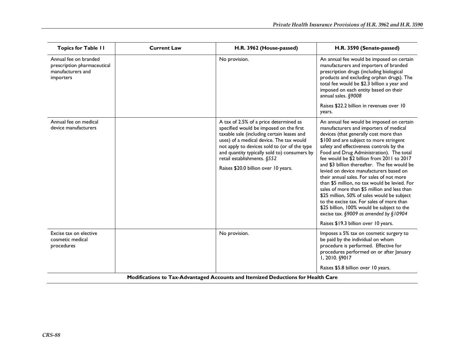| <b>Topics for Table II</b>                                                             | <b>Current Law</b> | H.R. 3962 (House-passed)                                                                                                                                                                                                                                                                                                                           | H.R. 3590 (Senate-passed)                                                                                                                                                                                                                                                                                                                                                                                                                                                                                                                                                                                                                                                                                                                                                           |
|----------------------------------------------------------------------------------------|--------------------|----------------------------------------------------------------------------------------------------------------------------------------------------------------------------------------------------------------------------------------------------------------------------------------------------------------------------------------------------|-------------------------------------------------------------------------------------------------------------------------------------------------------------------------------------------------------------------------------------------------------------------------------------------------------------------------------------------------------------------------------------------------------------------------------------------------------------------------------------------------------------------------------------------------------------------------------------------------------------------------------------------------------------------------------------------------------------------------------------------------------------------------------------|
| Annual fee on branded<br>prescription pharmaceutical<br>manufacturers and<br>importers |                    | No provision.                                                                                                                                                                                                                                                                                                                                      | An annual fee would be imposed on certain<br>manufacturers and importers of branded<br>prescription drugs (including biological<br>products and excluding orphan drugs). The<br>total fee would be \$2.3 billion a year and<br>imposed on each entity based on their<br>annual sales. §9008                                                                                                                                                                                                                                                                                                                                                                                                                                                                                         |
|                                                                                        |                    |                                                                                                                                                                                                                                                                                                                                                    | Raises \$22.2 billion in revenues over 10<br>years.                                                                                                                                                                                                                                                                                                                                                                                                                                                                                                                                                                                                                                                                                                                                 |
| Annual fee on medical<br>device manufacturers                                          |                    | A tax of 2.5% of a price determined as<br>specified would be imposed on the first<br>taxable sale (including certain leases and<br>uses) of a medical device. The tax would<br>not apply to devices sold to (or of the type<br>and quantity typically sold to) consumers by<br>retail establishments. §552<br>Raises \$20.0 billion over 10 years. | An annual fee would be imposed on certain<br>manufacturers and importers of medical<br>devices (that generally cost more than<br>\$100 and are subject to more stringent<br>safety and effectiveness controls by the<br>Food and Drug Administration). The total<br>fee would be \$2 billion from 2011 to 2017<br>and \$3 billion thereafter. The fee would be<br>levied on device manufacturers based on<br>their annual sales. For sales of not more<br>than \$5 million, no tax would be levied. For<br>sales of more than \$5 million and less than<br>\$25 million, 50% of sales would be subject<br>to the excise tax. For sales of more than<br>\$25 billion, 100% would be subject to the<br>excise tax. §9009 as amended by §10904<br>Raises \$19.3 billion over 10 years. |
| Excise tax on elective<br>cosmetic medical<br>procedures                               |                    | No provision.                                                                                                                                                                                                                                                                                                                                      | Imposes a 5% tax on cosmetic surgery to<br>be paid by the individual on whom<br>procedure is performed. Effective for<br>procedures performed on or after January<br>1, 2010. §9017                                                                                                                                                                                                                                                                                                                                                                                                                                                                                                                                                                                                 |
|                                                                                        |                    |                                                                                                                                                                                                                                                                                                                                                    | Raises \$5.8 billion over 10 years.                                                                                                                                                                                                                                                                                                                                                                                                                                                                                                                                                                                                                                                                                                                                                 |
| Modifications to Tax-Advantaged Accounts and Itemized Deductions for Health Care       |                    |                                                                                                                                                                                                                                                                                                                                                    |                                                                                                                                                                                                                                                                                                                                                                                                                                                                                                                                                                                                                                                                                                                                                                                     |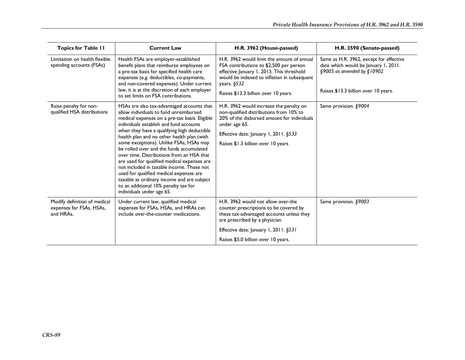| <b>Topics for Table II</b>                                            | <b>Current Law</b>                                                                                                                                                                                                                                                                                                                                                                                                                                                                                                                                                                                                                                                          | H.R. 3962 (House-passed)                                                                                                                                                                                                                    | H.R. 3590 (Senate-passed)                                                                                                                                 |
|-----------------------------------------------------------------------|-----------------------------------------------------------------------------------------------------------------------------------------------------------------------------------------------------------------------------------------------------------------------------------------------------------------------------------------------------------------------------------------------------------------------------------------------------------------------------------------------------------------------------------------------------------------------------------------------------------------------------------------------------------------------------|---------------------------------------------------------------------------------------------------------------------------------------------------------------------------------------------------------------------------------------------|-----------------------------------------------------------------------------------------------------------------------------------------------------------|
| Limitation on health flexible<br>spending accounts (FSAs)             | Health FSAs are employer-established<br>benefit plans that reimburse employees on<br>a pre-tax basis for specified health care<br>expenses (e.g. deductibles, co-payments,<br>and non-covered expenses). Under current<br>law, it is at the discretion of each employer<br>to set limits on FSA contributions.                                                                                                                                                                                                                                                                                                                                                              | H.R. 3962 would limit the amount of annual<br>FSA contributions to \$2,500 per person<br>effective January 1, 2013. This threshold<br>would be indexed to inflation in subsequent<br>years. $$532$<br>Raises \$13.3 billion over 10 years.  | Same as H.R. 3962, except for effective<br>date which would be January 1, 2011.<br>$§9005$ as amended by $§10902$<br>Raises \$13.3 billion over 10 years. |
| Raise penalty for non-<br>qualified HSA distributions                 | HSAs are also tax-advantaged accounts that<br>allow individuals to fund unreimbursed<br>medical expenses on a pre-tax basis. Eligible<br>individuals establish and fund accounts<br>when they have a qualifying high deductible<br>health plan and no other health plan (with<br>some exceptions). Unlike FSAs, HSAs may<br>be rolled over and the funds accumulated<br>over time. Distributions from an HSA that<br>are used for qualified medical expenses are<br>not included in taxable income. Those not<br>used for qualified medical expenses are<br>taxable as ordinary income and are subject<br>to an additional 10% penalty tax for<br>individuals under age 65. | H.R. 3962 would increase the penalty on<br>non-qualified distributions from 10% to<br>20% of the disbursed amount for individuals<br>under age 65.<br>Effective date: January 1, 2011. $§533$<br>Raises \$1.3 billion over 10 years         | Same provision. §9004                                                                                                                                     |
| Modify definition of medical<br>expenses for FSAs, HSAs,<br>and HRAs. | Under current law, qualified medical<br>expenses for FSAs, HSAs, and HRAs can<br>include over-the-counter medications.                                                                                                                                                                                                                                                                                                                                                                                                                                                                                                                                                      | H.R. 3962 would not allow over-the<br>counter prescriptions to be covered by<br>these tax-advantaged accounts unless they<br>are prescribed by a physician.<br>Effective date: January 1, 2011. §531<br>Raises \$5.0 billion over 10 years. | Same provision. §9003                                                                                                                                     |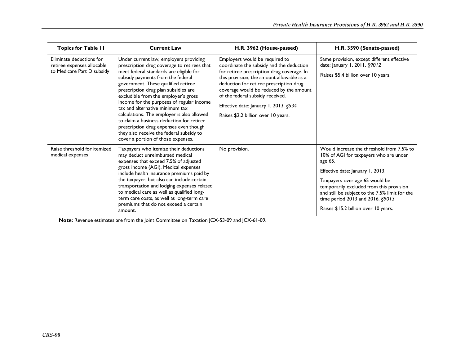| <b>Topics for Table II</b>                                                           | <b>Current Law</b>                                                                                                                                                                                                                                                                                                                                                                                                                                                                                                                                                                                  | H.R. 3962 (House-passed)                                                                                                                                                                                                                                                                                                                                                        | H.R. 3590 (Senate-passed)                                                                                                                                                                                                                                                                                                                      |
|--------------------------------------------------------------------------------------|-----------------------------------------------------------------------------------------------------------------------------------------------------------------------------------------------------------------------------------------------------------------------------------------------------------------------------------------------------------------------------------------------------------------------------------------------------------------------------------------------------------------------------------------------------------------------------------------------------|---------------------------------------------------------------------------------------------------------------------------------------------------------------------------------------------------------------------------------------------------------------------------------------------------------------------------------------------------------------------------------|------------------------------------------------------------------------------------------------------------------------------------------------------------------------------------------------------------------------------------------------------------------------------------------------------------------------------------------------|
| Eliminate deductions for<br>retiree expenses allocable<br>to Medicare Part D subsidy | Under current law, employers providing<br>prescription drug coverage to retirees that<br>meet federal standards are eligible for<br>subsidy payments from the federal<br>government. These qualified retiree<br>prescription drug plan subsidies are<br>excludible from the employer's gross<br>income for the purposes of regular income<br>tax and alternative minimum tax<br>calculations. The employer is also allowed<br>to claim a business deduction for retiree<br>prescription drug expenses even though<br>they also receive the federal subsidy to<br>cover a portion of those expenses. | Employers would be required to<br>coordinate the subsidy and the deduction<br>for retiree prescription drug coverage. In<br>this provision, the amount allowable as a<br>deduction for retiree prescription drug<br>coverage would be reduced by the amount<br>of the federal subsidy received.<br>Effective date: January 1, 2013. §534<br>Raises \$2.2 billion over 10 years. | Same provision, except different effective<br>date: January 1, 2011. §9012<br>Raises \$5.4 billion over 10 years.                                                                                                                                                                                                                              |
| Raise threshold for itemized<br>medical expenses                                     | Taxpayers who itemize their deductions<br>may deduct unreimbursed medical<br>expenses that exceed 7.5% of adjusted<br>gross income (AGI). Medical expenses<br>include health insurance premiums paid by<br>the taxpayer, but also can include certain<br>transportation and lodging expenses related<br>to medical care as well as qualified long-<br>term care costs, as well as long-term care<br>premiums that do not exceed a certain<br>amount.                                                                                                                                                | No provision.                                                                                                                                                                                                                                                                                                                                                                   | Would increase the threshold from 7.5% to<br>10% of AGI for taxpayers who are under<br>age 65.<br>Effective date: January 1, 2013.<br>Taxpayers over age 65 would be<br>temporarily excluded from this provision<br>and still be subject to the 7.5% limit for the<br>time period 2013 and 2016. §9013<br>Raises \$15.2 billion over 10 years. |

**Note:** Revenue estimates are from the Joint Committee on Taxation JCX-53-09 and JCX-61-09.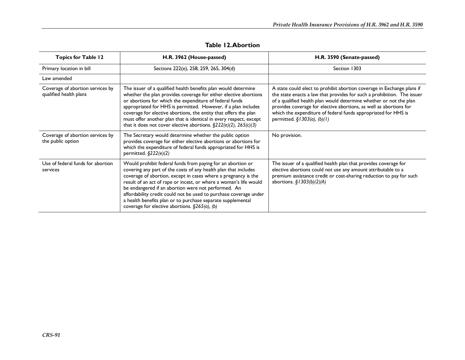| <b>Topics for Table 12</b>                                 | H.R. 3962 (House-passed)                                                                                                                                                                                                                                                                                                                                                                                                                                                                                             | H.R. 3590 (Senate-passed)                                                                                                                                                                                                                                                                                                                                                                      |
|------------------------------------------------------------|----------------------------------------------------------------------------------------------------------------------------------------------------------------------------------------------------------------------------------------------------------------------------------------------------------------------------------------------------------------------------------------------------------------------------------------------------------------------------------------------------------------------|------------------------------------------------------------------------------------------------------------------------------------------------------------------------------------------------------------------------------------------------------------------------------------------------------------------------------------------------------------------------------------------------|
| Primary location in bill                                   | Sections 222(e), 258, 259, 265, 304(d)                                                                                                                                                                                                                                                                                                                                                                                                                                                                               | Section 1303                                                                                                                                                                                                                                                                                                                                                                                   |
| Law amended                                                |                                                                                                                                                                                                                                                                                                                                                                                                                                                                                                                      |                                                                                                                                                                                                                                                                                                                                                                                                |
| Coverage of abortion services by<br>qualified health plans | The issuer of a qualified health benefits plan would determine<br>whether the plan provides coverage for either elective abortions<br>or abortions for which the expenditure of federal funds<br>appropriated for HHS is permitted. However, if a plan includes<br>coverage for elective abortions, the entity that offers the plan<br>must offer another plan that is identical in every respect, except<br>that it does not cover elective abortions. $\S222(e)(2)$ , $265(c)(3)$                                  | A state could elect to prohibit abortion coverage in Exchange plans if<br>the state enacts a law that provides for such a prohibition. The issuer<br>of a qualified health plan would determine whether or not the plan<br>provides coverage for elective abortions, as well as abortions for<br>which the expenditure of federal funds appropriated for HHS is<br>permitted. §1303(a), (b)(1) |
| Coverage of abortion services by<br>the public option      | The Secretary would determine whether the public option<br>provides coverage for either elective abortions or abortions for<br>which the expenditure of federal funds appropriated for HHS is<br>permitted. $\S222(e)(2)$                                                                                                                                                                                                                                                                                            | No provision.                                                                                                                                                                                                                                                                                                                                                                                  |
| Use of federal funds for abortion<br>services              | Would prohibit federal funds from paying for an abortion or<br>covering any part of the costs of any health plan that includes<br>coverage of abortion, except in cases where a pregnancy is the<br>result of an act of rape or incest, or where a woman's life would<br>be endangered if an abortion were not performed. An<br>affordability credit could not be used to purchase coverage under<br>a health benefits plan or to purchase separate supplemental<br>coverage for elective abortions. $§265(a)$ , (b) | The issuer of a qualified health plan that provides coverage for<br>elective abortions could not use any amount attributable to a<br>premium assistance credit or cost-sharing reduction to pay for such<br>abortions. $\S$ / 303(b)(2)(A)                                                                                                                                                     |

#### **Table 12. Abortion**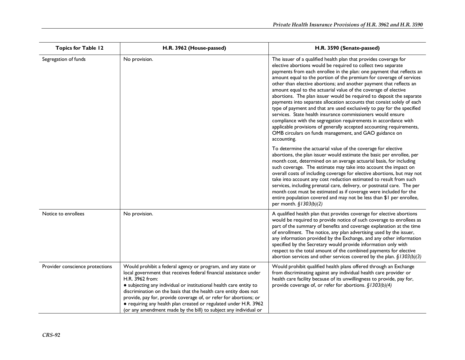| <b>Topics for Table 12</b>      | H.R. 3962 (House-passed)                                                                                                                                                                                                                                                                                                                                                                                                                                                                                    | H.R. 3590 (Senate-passed)                                                                                                                                                                                                                                                                                                                                                                                                                                                                                                                                                                                                                                                                                                                                                                                                                                                                                                                 |
|---------------------------------|-------------------------------------------------------------------------------------------------------------------------------------------------------------------------------------------------------------------------------------------------------------------------------------------------------------------------------------------------------------------------------------------------------------------------------------------------------------------------------------------------------------|-------------------------------------------------------------------------------------------------------------------------------------------------------------------------------------------------------------------------------------------------------------------------------------------------------------------------------------------------------------------------------------------------------------------------------------------------------------------------------------------------------------------------------------------------------------------------------------------------------------------------------------------------------------------------------------------------------------------------------------------------------------------------------------------------------------------------------------------------------------------------------------------------------------------------------------------|
| Segregation of funds            | No provision.                                                                                                                                                                                                                                                                                                                                                                                                                                                                                               | The issuer of a qualified health plan that provides coverage for<br>elective abortions would be required to collect two separate<br>payments from each enrollee in the plan: one payment that reflects an<br>amount equal to the portion of the premium for coverage of services<br>other than elective abortions; and another payment that reflects an<br>amount equal to the actuarial value of the coverage of elective<br>abortions. The plan issuer would be required to deposit the separate<br>payments into separate allocation accounts that consist solely of each<br>type of payment and that are used exclusively to pay for the specified<br>services. State health insurance commissioners would ensure<br>compliance with the segregation requirements in accordance with<br>applicable provisions of generally accepted accounting requirements,<br>OMB circulars on funds management, and GAO guidance on<br>accounting. |
|                                 |                                                                                                                                                                                                                                                                                                                                                                                                                                                                                                             | To determine the actuarial value of the coverage for elective<br>abortions, the plan issuer would estimate the basic per enrollee, per<br>month cost, determined on an average actuarial basis, for including<br>such coverage. The estimate may take into account the impact on<br>overall costs of including coverage for elective abortions, but may not<br>take into account any cost reduction estimated to result from such<br>services, including prenatal care, delivery, or postnatal care. The per<br>month cost must be estimated as if coverage were included for the<br>entire population covered and may not be less than \$1 per enrollee,<br>per month. $\S$ 1303(b)(2)                                                                                                                                                                                                                                                   |
| Notice to enrollees             | No provision.                                                                                                                                                                                                                                                                                                                                                                                                                                                                                               | A qualified health plan that provides coverage for elective abortions<br>would be required to provide notice of such coverage to enrollees as<br>part of the summary of benefits and coverage explanation at the time<br>of enrollment. The notice, any plan advertising used by the issuer,<br>any information provided by the Exchange, and any other information<br>specified by the Secretary would provide information only with<br>respect to the total amount of the combined payments for elective<br>abortion services and other services covered by the plan. $\S$ 1303(b)(3)                                                                                                                                                                                                                                                                                                                                                   |
| Provider conscience protections | Would prohibit a federal agency or program, and any state or<br>local government that receives federal financial assistance under<br>H.R. 3962 from:<br>• subjecting any individual or institutional health care entity to<br>discrimination on the basis that the health care entity does not<br>provide, pay for, provide coverage of, or refer for abortions; or<br>• requiring any health plan created or regulated under H.R. 3962<br>(or any amendment made by the bill) to subject any individual or | Would prohibit qualified health plans offered through an Exchange<br>from discriminating against any individual health care provider or<br>health care facility because of its unwillingness to provide, pay for,<br>provide coverage of, or refer for abortions. $\S$ 1303(b)(4)                                                                                                                                                                                                                                                                                                                                                                                                                                                                                                                                                                                                                                                         |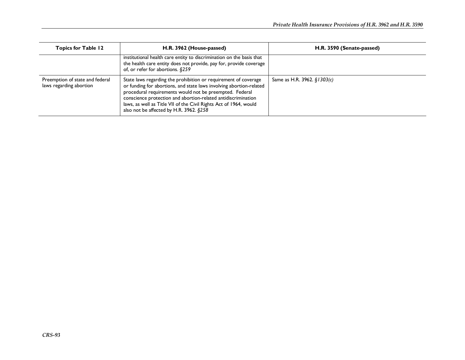| <b>Topics for Table 12</b>                                 | H.R. 3962 (House-passed)                                                                                                                                                                                                                                                                                                                                                           | H.R. 3590 (Senate-passed)   |
|------------------------------------------------------------|------------------------------------------------------------------------------------------------------------------------------------------------------------------------------------------------------------------------------------------------------------------------------------------------------------------------------------------------------------------------------------|-----------------------------|
|                                                            | institutional health care entity to discrimination on the basis that<br>the health care entity does not provide, pay for, provide coverage<br>of, or refer for abortions. §259                                                                                                                                                                                                     |                             |
| Preemption of state and federal<br>laws regarding abortion | State laws regarding the prohibition or requirement of coverage<br>or funding for abortions, and state laws involving abortion-related<br>procedural requirements would not be preempted. Federal<br>conscience protection and abortion-related antidiscrimination<br>laws, as well as Title VII of the Civil Rights Act of 1964, would<br>also not be affected by H.R. 3962. §258 | Same as H.R. 3962. §1303(c) |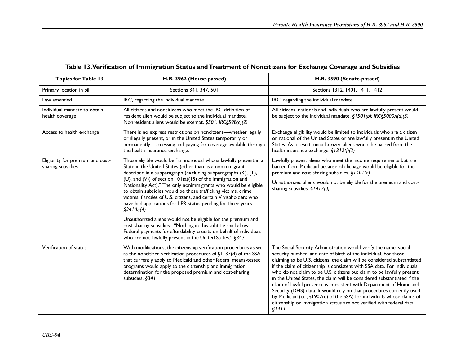| <b>Topics for Table 13</b>                             | H.R. 3962 (House-passed)                                                                                                                                                                                                                                                                                                                                                                                                                                                                                                                                                                                                                                                                                                                                                                                                        | H.R. 3590 (Senate-passed)                                                                                                                                                                                                                                                                                                                                                                                                                                                                                                                                                                                                                                                                                                                                   |
|--------------------------------------------------------|---------------------------------------------------------------------------------------------------------------------------------------------------------------------------------------------------------------------------------------------------------------------------------------------------------------------------------------------------------------------------------------------------------------------------------------------------------------------------------------------------------------------------------------------------------------------------------------------------------------------------------------------------------------------------------------------------------------------------------------------------------------------------------------------------------------------------------|-------------------------------------------------------------------------------------------------------------------------------------------------------------------------------------------------------------------------------------------------------------------------------------------------------------------------------------------------------------------------------------------------------------------------------------------------------------------------------------------------------------------------------------------------------------------------------------------------------------------------------------------------------------------------------------------------------------------------------------------------------------|
| Primary location in bill                               | Sections 341, 347, 501                                                                                                                                                                                                                                                                                                                                                                                                                                                                                                                                                                                                                                                                                                                                                                                                          | Sections 1312, 1401, 1411, 1412                                                                                                                                                                                                                                                                                                                                                                                                                                                                                                                                                                                                                                                                                                                             |
| Law amended                                            | IRC, regarding the individual mandate                                                                                                                                                                                                                                                                                                                                                                                                                                                                                                                                                                                                                                                                                                                                                                                           | IRC, regarding the individual mandate                                                                                                                                                                                                                                                                                                                                                                                                                                                                                                                                                                                                                                                                                                                       |
| Individual mandate to obtain<br>health coverage        | All citizens and noncitizens who meet the IRC definition of<br>resident alien would be subject to the individual mandate.<br>Nonresident aliens would be exempt. §501: IRC§59B(c)(2)                                                                                                                                                                                                                                                                                                                                                                                                                                                                                                                                                                                                                                            | All citizens, nationals and individuals who are lawfully present would<br>be subject to the individual mandate. $\S$ 1501(b): IRC $\S$ 5000A(d)(3)                                                                                                                                                                                                                                                                                                                                                                                                                                                                                                                                                                                                          |
| Access to health exchange                              | There is no express restrictions on noncitzens-whether legally<br>or illegally present, or in the United States temporarily or<br>permanently-accessing and paying for coverage available through<br>the health insurance exchange.                                                                                                                                                                                                                                                                                                                                                                                                                                                                                                                                                                                             | Exchange eligibility would be limited to individuals who are a citizen<br>or national of the United States or are lawfully present in the United<br>States. As a result, unauthorized aliens would be barred from the<br>health insurance exchange. $\S$ 1312(f)(3)                                                                                                                                                                                                                                                                                                                                                                                                                                                                                         |
| Eligibility for premium and cost-<br>sharing subsidies | Those eligible would be "an individual who is lawfully present in a<br>State in the United States (other than as a nonimmigrant<br>described in a subparagraph (excluding subparagraphs (K), (T),<br>(U), and (V)) of section $101(a)(15)$ of the Immigration and<br>Nationality Act)." The only nonimmigrants who would be eligible<br>to obtain subsidies would be those trafficking victims, crime<br>victims, fiancées of U.S. citizens, and certain V visaholders who<br>have had applications for LPR status pending for three years.<br>\$341(b)(4)<br>Unauthorized aliens would not be eligible for the premium and<br>cost-sharing subsidies: "Nothing in this subtitle shall allow<br>Federal payments for affordability credits on behalf of individuals<br>who are not lawfully present in the United States." §347 | Lawfully present aliens who meet the income requirements but are<br>barred from Medicaid because of alienage would be eligible for the<br>premium and cost-sharing subsidies. $§$   40   (a)<br>Unauthorized aliens would not be eligible for the premium and cost-<br>sharing subsidies. $$1412(d)$                                                                                                                                                                                                                                                                                                                                                                                                                                                        |
| Verification of status                                 | With modifications, the citizenship verification procedures as well<br>as the noncitizen verification procedures of §1137(d) of the SSA<br>that currently apply to Medicaid and other federal means-tested<br>programs would apply to the citizenship and immigration<br>determination for the proposed premium and cost-sharing<br>subsidies. §341                                                                                                                                                                                                                                                                                                                                                                                                                                                                             | The Social Security Administration would verify the name, social<br>security number, and date of birth of the individual. For those<br>claiming to be U.S. citizens, the claim will be considered substantiated<br>if the claim of citizenship is consistent with SSA data. For individuals<br>who do not claim to be U.S. citizens but claim to be lawfully present<br>in the United States, the claim will be considered substantiated if the<br>claim of lawful presence is consistent with Department of Homeland<br>Security (DHS) data. It would rely on that procedures currently used<br>by Medicaid (i.e., §1902(e) of the SSA) for individuals whose claims of<br>citizenship or immigration status are not verified with federal data.<br>\$1411 |

### **Table 13. Verification of Immigration Status and Treatment of Noncitizens for Exchange Coverage and Subsidies**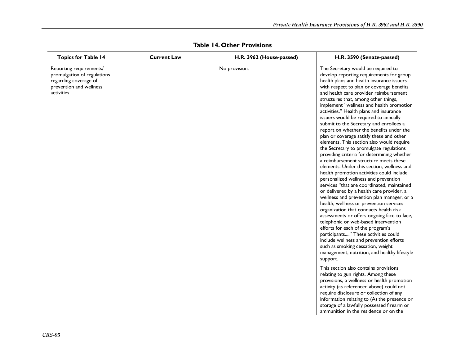| <b>Topics for Table 14</b>                                                                                               | <b>Current Law</b> | H.R. 3962 (House-passed) | H.R. 3590 (Senate-passed)                                                                                                                                                                                                                                                                                                                                                                                                                                                                                                                                                                                                                                                                                                                                                                                                                                                                                                                                                                                                                                                                                                                                                                                                                                                                                                                                                                     |
|--------------------------------------------------------------------------------------------------------------------------|--------------------|--------------------------|-----------------------------------------------------------------------------------------------------------------------------------------------------------------------------------------------------------------------------------------------------------------------------------------------------------------------------------------------------------------------------------------------------------------------------------------------------------------------------------------------------------------------------------------------------------------------------------------------------------------------------------------------------------------------------------------------------------------------------------------------------------------------------------------------------------------------------------------------------------------------------------------------------------------------------------------------------------------------------------------------------------------------------------------------------------------------------------------------------------------------------------------------------------------------------------------------------------------------------------------------------------------------------------------------------------------------------------------------------------------------------------------------|
| Reporting requirements/<br>promulgation of regulations<br>regarding coverage of<br>prevention and wellness<br>activities |                    | No provision.            | The Secretary would be required to<br>develop reporting requirements for group<br>health plans and health insurance issuers<br>with respect to plan or coverage benefits<br>and health care provider reimbursement<br>structures that, among other things,<br>implement "wellness and health promotion<br>activities." Health plans and insurance<br>issuers would be required to annually<br>submit to the Secretary and enrollees a<br>report on whether the benefits under the<br>plan or coverage satisfy these and other<br>elements. This section also would require<br>the Secretary to promulgate regulations<br>providing criteria for determining whether<br>a reimbursement structure meets these<br>elements. Under this section, wellness and<br>health promotion activities could include<br>personalized wellness and prevention<br>services "that are coordinated, maintained<br>or delivered by a health care provider, a<br>wellness and prevention plan manager, or a<br>health, wellness or prevention services<br>organization that conducts health risk<br>assessments or offers ongoing face-to-face,<br>telephonic or web-based intervention<br>efforts for each of the program's<br>participants" These activities could<br>include wellness and prevention efforts<br>such as smoking cessation, weight<br>management, nutrition, and healthy lifestyle<br>support. |
|                                                                                                                          |                    |                          | This section also contains provisions<br>relating to gun rights. Among these<br>provisions, a wellness or health promotion<br>activity (as referenced above) could not<br>require disclosure or collection of any<br>information relating to (A) the presence or<br>storage of a lawfully possessed firearm or<br>ammunition in the residence or on the                                                                                                                                                                                                                                                                                                                                                                                                                                                                                                                                                                                                                                                                                                                                                                                                                                                                                                                                                                                                                                       |

**Table 14. Other Provisions**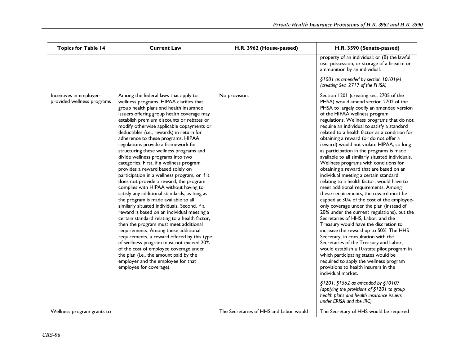| <b>Topics for Table 14</b>                            | <b>Current Law</b>                                                                                                                                                                                                                                                                                                                                                                                                                                                                                                                                                                                                                                                                                                                                                                                                                                                                                                                                                                                                                                                                                                                                                                                                                                                       | H.R. 3962 (House-passed)               | H.R. 3590 (Senate-passed)                                                                                                                                                                                                                                                                                                                                                                                                                                                                                                                                                                                                                                                                                                                                                                                                                                                                                                                                                                                                                                                                                                                                                                                                                                                                                                                                                                         |
|-------------------------------------------------------|--------------------------------------------------------------------------------------------------------------------------------------------------------------------------------------------------------------------------------------------------------------------------------------------------------------------------------------------------------------------------------------------------------------------------------------------------------------------------------------------------------------------------------------------------------------------------------------------------------------------------------------------------------------------------------------------------------------------------------------------------------------------------------------------------------------------------------------------------------------------------------------------------------------------------------------------------------------------------------------------------------------------------------------------------------------------------------------------------------------------------------------------------------------------------------------------------------------------------------------------------------------------------|----------------------------------------|---------------------------------------------------------------------------------------------------------------------------------------------------------------------------------------------------------------------------------------------------------------------------------------------------------------------------------------------------------------------------------------------------------------------------------------------------------------------------------------------------------------------------------------------------------------------------------------------------------------------------------------------------------------------------------------------------------------------------------------------------------------------------------------------------------------------------------------------------------------------------------------------------------------------------------------------------------------------------------------------------------------------------------------------------------------------------------------------------------------------------------------------------------------------------------------------------------------------------------------------------------------------------------------------------------------------------------------------------------------------------------------------------|
|                                                       |                                                                                                                                                                                                                                                                                                                                                                                                                                                                                                                                                                                                                                                                                                                                                                                                                                                                                                                                                                                                                                                                                                                                                                                                                                                                          |                                        | property of an individual; or (B) the lawful<br>use, possession, or storage of a firearm or<br>ammunition by an individual.                                                                                                                                                                                                                                                                                                                                                                                                                                                                                                                                                                                                                                                                                                                                                                                                                                                                                                                                                                                                                                                                                                                                                                                                                                                                       |
|                                                       |                                                                                                                                                                                                                                                                                                                                                                                                                                                                                                                                                                                                                                                                                                                                                                                                                                                                                                                                                                                                                                                                                                                                                                                                                                                                          |                                        | §1001 as amended by section 10101(e)<br>(creating Sec. 2717 of the PHSA)                                                                                                                                                                                                                                                                                                                                                                                                                                                                                                                                                                                                                                                                                                                                                                                                                                                                                                                                                                                                                                                                                                                                                                                                                                                                                                                          |
| Incentives in employer-<br>provided wellness programs | Among the federal laws that apply to<br>wellness programs, HIPAA clarifies that<br>group health plans and health insurance<br>issuers offering group health coverage may<br>establish premium discounts or rebates or<br>modify otherwise applicable copayments or<br>deductibles (i.e., rewards) in return for<br>adherence to these programs. HIPAA<br>regulations provide a framework for<br>structuring these wellness programs and<br>divide wellness programs into two<br>categories. First, if a wellness program<br>provides a reward based solely on<br>participation in a wellness program, or if it<br>does not provide a reward, the program<br>complies with HIPAA without having to<br>satisfy any additional standards, as long as<br>the program is made available to all<br>similarly situated individuals. Second, if a<br>reward is based on an individual meeting a<br>certain standard relating to a health factor,<br>then the program must meet additional<br>requirements. Among these additional<br>requirements, a reward offered by this type<br>of wellness program must not exceed 20%<br>of the cost of employee coverage under<br>the plan (i.e., the amount paid by the<br>employer and the employee for that<br>employee for coverage). | No provision.                          | Section 1201 (creating sec. 2705 of the<br>PHSA) would amend section 2702 of the<br>PHSA to largely codify an amended version<br>of the HIPAA wellness program<br>regulations. Wellness programs that do not<br>require an individual to satisfy a standard<br>related to a health factor as a condition for<br>obtaining a reward (or do not offer a<br>reward) would not violate HIPAA, so long<br>as participation in the programs is made<br>available to all similarly situated individuals.<br>Wellness programs with conditions for<br>obtaining a reward that are based on an<br>individual meeting a certain standard<br>relating to a health factor, would have to<br>meet additional requirements. Among<br>these requirements, the reward must be<br>capped at 30% of the cost of the employee-<br>only coverage under the plan (instead of<br>20% under the current regulations), but the<br>Secretaries of HHS, Labor, and the<br>Treasury would have the discretion to<br>increase the reward up to 50%. The HHS<br>Secretary, in consultation with the<br>Secretaries of the Treasury and Labor,<br>would establish a 10-state pilot program in<br>which participating states would be<br>required to apply the wellness program<br>provisions to health insurers in the<br>individual market.<br>§1201, §1562 as amended by §10107<br>(applying the provisions of §1201 to group |
| Wellness program grants to                            |                                                                                                                                                                                                                                                                                                                                                                                                                                                                                                                                                                                                                                                                                                                                                                                                                                                                                                                                                                                                                                                                                                                                                                                                                                                                          | The Secretaries of HHS and Labor would | health plans and health insurance issuers<br>under ERISA and the IRC)<br>The Secretary of HHS would be required                                                                                                                                                                                                                                                                                                                                                                                                                                                                                                                                                                                                                                                                                                                                                                                                                                                                                                                                                                                                                                                                                                                                                                                                                                                                                   |
|                                                       |                                                                                                                                                                                                                                                                                                                                                                                                                                                                                                                                                                                                                                                                                                                                                                                                                                                                                                                                                                                                                                                                                                                                                                                                                                                                          |                                        |                                                                                                                                                                                                                                                                                                                                                                                                                                                                                                                                                                                                                                                                                                                                                                                                                                                                                                                                                                                                                                                                                                                                                                                                                                                                                                                                                                                                   |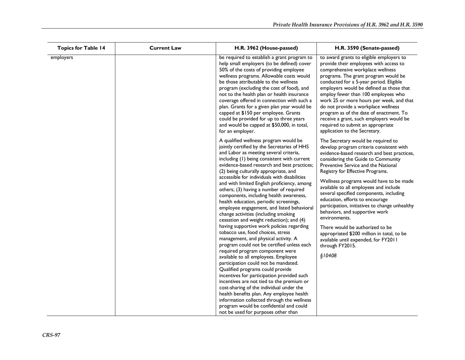| <b>Current Law</b> | H.R. 3962 (House-passed)                                                                                                                                                                                                                                                                                                                                                                                                                                                                                                                                                                                                                                                                                                                                                                                                                                                                                                                                                                                                                                                                                                                                                                                                                           | H.R. 3590 (Senate-passed)                                                                                                                                                                                                                                                                                                                                                                                                                                                                                                                                                                                                                                                     |
|--------------------|----------------------------------------------------------------------------------------------------------------------------------------------------------------------------------------------------------------------------------------------------------------------------------------------------------------------------------------------------------------------------------------------------------------------------------------------------------------------------------------------------------------------------------------------------------------------------------------------------------------------------------------------------------------------------------------------------------------------------------------------------------------------------------------------------------------------------------------------------------------------------------------------------------------------------------------------------------------------------------------------------------------------------------------------------------------------------------------------------------------------------------------------------------------------------------------------------------------------------------------------------|-------------------------------------------------------------------------------------------------------------------------------------------------------------------------------------------------------------------------------------------------------------------------------------------------------------------------------------------------------------------------------------------------------------------------------------------------------------------------------------------------------------------------------------------------------------------------------------------------------------------------------------------------------------------------------|
|                    | be required to establish a grant program to<br>help small employers (to be defined) cover<br>50% of the costs of providing employee<br>wellness programs. Allowable costs would<br>be those attributable to the wellness<br>program (excluding the cost of food), and<br>not to the health plan or health insurance<br>coverage offered in connection with such a<br>plan. Grants for a given plan year would be<br>capped at \$150 per employee. Grants<br>could be provided for up to three years<br>and would be capped at \$50,000, in total,<br>for an employer.                                                                                                                                                                                                                                                                                                                                                                                                                                                                                                                                                                                                                                                                              | to award grants to eligible employers to<br>provide their employees with access to<br>comprehensive workplace wellness<br>programs. The grant program would be<br>conducted for a 5-year period. Eligible<br>employers would be defined as those that<br>employ fewer than 100 employees who<br>work 25 or more hours per week, and that<br>do not provide a workplace wellness<br>program as of the date of enactment. To<br>receive a grant, such employers would be<br>required to submit an appropriate<br>application to the Secretary.                                                                                                                                  |
|                    | A qualified wellness program would be<br>jointly certified by the Secretaries of HHS<br>and Labor as meeting several criteria,<br>including (1) being consistent with current<br>evidence-based research and best practices;<br>(2) being culturally appropriate, and<br>accessible for individuals with disabilities<br>and with limited English proficiency, among<br>others; (3) having a number of required<br>components, including health awareness,<br>health education, periodic screenings,<br>employee engagement, and listed behavioral<br>change activities (including smoking<br>cessation and weight reduction); and (4)<br>having supportive work policies regarding<br>tobacco use, food choices, stress<br>management, and physical activity. A<br>program could not be certified unless each<br>required program component were<br>available to all employees. Employee<br>participation could not be mandated.<br>Qualified programs could provide<br>incentives for participation provided such<br>incentives are not tied to the premium or<br>cost-sharing of the individual under the<br>health benefits plan. Any employee health<br>information collected through the wellness<br>program would be confidential and could | The Secretary would be required to<br>develop program criteria consistent with<br>evidence-based research and best practices,<br>considering the Guide to Community<br>Preventive Service and the National<br>Registry for Effective Programs.<br>Wellness programs would have to be made<br>available to all employees and include<br>several specified components, including<br>education, efforts to encourage<br>participation, initiatives to change unhealthy<br>behaviors, and supportive work<br>environments.<br>There would be authorized to be<br>appropriated \$200 million in total, to be<br>available until expended, for FY2011<br>through FY2015.<br>\$10408 |
|                    |                                                                                                                                                                                                                                                                                                                                                                                                                                                                                                                                                                                                                                                                                                                                                                                                                                                                                                                                                                                                                                                                                                                                                                                                                                                    | not be used for purposes other than                                                                                                                                                                                                                                                                                                                                                                                                                                                                                                                                                                                                                                           |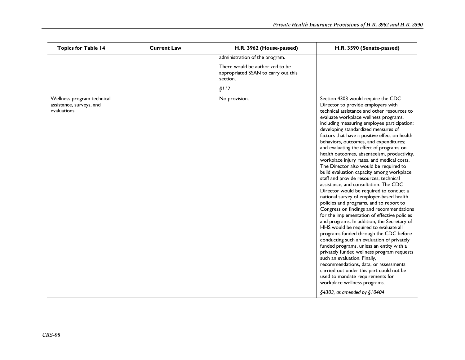| <b>Topics for Table 14</b>                                            | <b>Current Law</b> | H.R. 3962 (House-passed)                                                           | H.R. 3590 (Senate-passed)                                                                                                                                                                                                                                                                                                                                                                                                                                                                                                                                                                                                                                                                                                                                                                                                                                                                                                                                                                                                                                                                                                                                                                                                                                                                                                                                                                                    |
|-----------------------------------------------------------------------|--------------------|------------------------------------------------------------------------------------|--------------------------------------------------------------------------------------------------------------------------------------------------------------------------------------------------------------------------------------------------------------------------------------------------------------------------------------------------------------------------------------------------------------------------------------------------------------------------------------------------------------------------------------------------------------------------------------------------------------------------------------------------------------------------------------------------------------------------------------------------------------------------------------------------------------------------------------------------------------------------------------------------------------------------------------------------------------------------------------------------------------------------------------------------------------------------------------------------------------------------------------------------------------------------------------------------------------------------------------------------------------------------------------------------------------------------------------------------------------------------------------------------------------|
|                                                                       |                    | administration of the program.                                                     |                                                                                                                                                                                                                                                                                                                                                                                                                                                                                                                                                                                                                                                                                                                                                                                                                                                                                                                                                                                                                                                                                                                                                                                                                                                                                                                                                                                                              |
|                                                                       |                    | There would be authorized to be<br>appropriated SSAN to carry out this<br>section. |                                                                                                                                                                                                                                                                                                                                                                                                                                                                                                                                                                                                                                                                                                                                                                                                                                                                                                                                                                                                                                                                                                                                                                                                                                                                                                                                                                                                              |
|                                                                       |                    | \$112                                                                              |                                                                                                                                                                                                                                                                                                                                                                                                                                                                                                                                                                                                                                                                                                                                                                                                                                                                                                                                                                                                                                                                                                                                                                                                                                                                                                                                                                                                              |
| Wellness program technical<br>assistance, surveys, and<br>evaluations |                    | No provision.                                                                      | Section 4303 would require the CDC<br>Director to provide employers with<br>technical assistance and other resources to<br>evaluate workplace wellness programs,<br>including measuring employee participation;<br>developing standardized measures of<br>factors that have a positive effect on health<br>behaviors, outcomes, and expenditures;<br>and evaluating the effect of programs on<br>health outcomes, absenteeism, productivity,<br>workplace injury rates, and medical costs.<br>The Director also would be required to<br>build evaluation capacity among workplace<br>staff and provide resources, technical<br>assistance, and consultation. The CDC<br>Director would be required to conduct a<br>national survey of employer-based health<br>policies and programs, and to report to<br>Congress on findings and recommendations<br>for the implementation of effective policies<br>and programs. In addition, the Secretary of<br>HHS would be required to evaluate all<br>programs funded through the CDC before<br>conducting such an evaluation of privately<br>funded programs, unless an entity with a<br>privately funded wellness program requests<br>such an evaluation. Finally,<br>recommendations, data, or assessments<br>carried out under this part could not be<br>used to mandate requirements for<br>workplace wellness programs.<br>$\S$ 4303, as amended by $\S$ 10404 |
|                                                                       |                    |                                                                                    |                                                                                                                                                                                                                                                                                                                                                                                                                                                                                                                                                                                                                                                                                                                                                                                                                                                                                                                                                                                                                                                                                                                                                                                                                                                                                                                                                                                                              |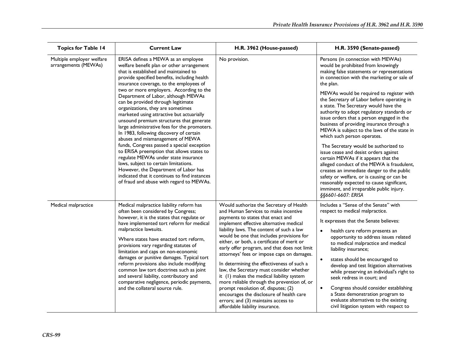| <b>Topics for Table 14</b>                        | <b>Current Law</b>                                                                                                                                                                                                                                                                                                                                                                                                                                                                                                                                                                                                                                                                                                                                                                                                                                                                                                         | H.R. 3962 (House-passed)                                                                                                                                                                                                                                                                                                                                                                                                                                                                                                                                                                                                                                                                                                                                 | H.R. 3590 (Senate-passed)                                                                                                                                                                                                                                                                                                                                                                                                                                                                                                                                                                                                                                                                                                                                                                                                                                                                                                    |
|---------------------------------------------------|----------------------------------------------------------------------------------------------------------------------------------------------------------------------------------------------------------------------------------------------------------------------------------------------------------------------------------------------------------------------------------------------------------------------------------------------------------------------------------------------------------------------------------------------------------------------------------------------------------------------------------------------------------------------------------------------------------------------------------------------------------------------------------------------------------------------------------------------------------------------------------------------------------------------------|----------------------------------------------------------------------------------------------------------------------------------------------------------------------------------------------------------------------------------------------------------------------------------------------------------------------------------------------------------------------------------------------------------------------------------------------------------------------------------------------------------------------------------------------------------------------------------------------------------------------------------------------------------------------------------------------------------------------------------------------------------|------------------------------------------------------------------------------------------------------------------------------------------------------------------------------------------------------------------------------------------------------------------------------------------------------------------------------------------------------------------------------------------------------------------------------------------------------------------------------------------------------------------------------------------------------------------------------------------------------------------------------------------------------------------------------------------------------------------------------------------------------------------------------------------------------------------------------------------------------------------------------------------------------------------------------|
| Multiple employer welfare<br>arrangements (MEWAs) | ERISA defines a MEWA as an employee<br>welfare benefit plan or other arrangement<br>that is established and maintained to<br>provide specified benefits, including health<br>insurance coverage, to the employees of<br>two or more employers. According to the<br>Department of Labor, although MEWAs<br>can be provided through legitimate<br>organizations, they are sometimes<br>marketed using attractive but actuarially<br>unsound premium structures that generate<br>large administrative fees for the promoters.<br>In 1983, following discovery of certain<br>abuses and mismanagement of MEWA<br>funds, Congress passed a special exception<br>to ERISA preemption that allows states to<br>regulate MEWAs under state insurance<br>laws, subject to certain limitations.<br>However, the Department of Labor has<br>indicated that it continues to find instances<br>of fraud and abuse with regard to MEWAs. | No provision.                                                                                                                                                                                                                                                                                                                                                                                                                                                                                                                                                                                                                                                                                                                                            | Persons (in connection with MEWAs)<br>would be prohibited from knowingly<br>making false statements or representations<br>in connection with the marketing or sale of<br>the plan.<br>MEWAs would be required to register with<br>the Secretary of Labor before operating in<br>a state. The Secretary would have the<br>authority to adopt regulatory standards or<br>issue orders that a person engaged in the<br>business of providing insurance through a<br>MEWA is subject to the laws of the state in<br>which such person operates.<br>The Secretary would be authorized to<br>issue cease and desist orders against<br>certain MEWAs if it appears that the<br>alleged conduct of the MEWA is fraudulent,<br>creates an immediate danger to the public<br>safety or welfare, or is causing or can be<br>reasonably expected to cause significant,<br>imminent, and irreparable public injury.<br>§§6601-6607: ERISA |
| Medical malpractice                               | Medical malpractice liability reform has<br>often been considered by Congress;<br>however, it is the states that regulate or<br>have implemented tort reform for medical<br>malpractice lawsuits.<br>Where states have enacted tort reform,<br>provisions vary regarding statutes of<br>limitation and caps on non-economic<br>damages or punitive damages. Typical tort<br>reform provisions also include modifying<br>common law tort doctrines such as joint<br>and several liability, contributory and<br>comparative negligence, periodic payments,<br>and the collateral source rule.                                                                                                                                                                                                                                                                                                                                | Would authorize the Secretary of Health<br>and Human Services to make incentive<br>payments to states that enact and<br>implement effective alternative medical<br>liability laws. The content of such a law<br>would be one that includes provisions for<br>either, or both, a certificate of merit or<br>early offer program, and that does not limit<br>attorneys' fees or impose caps on damages.<br>In determining the effectiveness of such a<br>law, the Secretary must consider whether<br>it (1) makes the medical liability system<br>more reliable through the prevention of, or<br>prompt resolution of, disputes; (2)<br>encourages the disclosure of health care<br>errors; and (3) maintains access to<br>affordable liability insurance. | Includes a "Sense of the Senate" with<br>respect to medical malpractice.<br>It expresses that the Senate believes:<br>health care reform presents an<br>$\bullet$<br>opportunity to address issues related<br>to medical malpractice and medical<br>liability insurance;<br>states should be encouraged to<br>$\bullet$<br>develop and test litigation alternatives<br>while preserving an individual's right to<br>seek redress in court: and<br>Congress should consider establishing<br>a State demonstration program to<br>evaluate alternatives to the existing<br>civil litigation system with respect to                                                                                                                                                                                                                                                                                                              |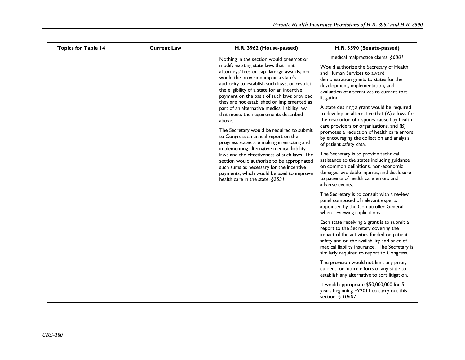| <b>Topics for Table 14</b> | <b>Current Law</b> | H.R. 3962 (House-passed)                                                                                                                                                                                                                                                                                                                                                                                                                                                                                                                                                                                                                                                                                                                                                                                                                                                      | H.R. 3590 (Senate-passed)                                                                                                                                                                                                                                                                                                                                                                                                                                                                                                                                                                                                                                                                                                                                                                                                                                      |
|----------------------------|--------------------|-------------------------------------------------------------------------------------------------------------------------------------------------------------------------------------------------------------------------------------------------------------------------------------------------------------------------------------------------------------------------------------------------------------------------------------------------------------------------------------------------------------------------------------------------------------------------------------------------------------------------------------------------------------------------------------------------------------------------------------------------------------------------------------------------------------------------------------------------------------------------------|----------------------------------------------------------------------------------------------------------------------------------------------------------------------------------------------------------------------------------------------------------------------------------------------------------------------------------------------------------------------------------------------------------------------------------------------------------------------------------------------------------------------------------------------------------------------------------------------------------------------------------------------------------------------------------------------------------------------------------------------------------------------------------------------------------------------------------------------------------------|
|                            |                    | Nothing in the section would preempt or<br>modify existing state laws that limit<br>attorneys' fees or cap damage awards; nor<br>would the provision impair a state's<br>authority to establish such laws, or restrict<br>the eligibility of a state for an incentive<br>payment on the basis of such laws provided<br>they are not established or implemented as<br>part of an alternative medical liability law<br>that meets the requirements described<br>above.<br>The Secretary would be required to submit<br>to Congress an annual report on the<br>progress states are making in enacting and<br>implementing alternative medical liability<br>laws and the effectiveness of such laws. The<br>section would authorize to be appropriated<br>such sums as necessary for the incentive<br>payments, which would be used to improve<br>health care in the state. §2531 | medical malpractice claims. §6801<br>Would authorize the Secretary of Health<br>and Human Services to award<br>demonstration grants to states for the<br>development, implementation, and<br>evaluation of alternatives to current tort<br>litigation.<br>A state desiring a grant would be required<br>to develop an alternative that (A) allows for<br>the resolution of disputes caused by health<br>care providers or organizations, and (B)<br>promotes a reduction of health care errors<br>by encouraging the collection and analysis<br>of patient safety data.<br>The Secretary is to provide technical<br>assistance to the states including guidance<br>on common definitions, non-economic<br>damages, avoidable injuries, and disclosure<br>to patients of health care errors and<br>adverse events.<br>The Secretary is to consult with a review |
|                            |                    |                                                                                                                                                                                                                                                                                                                                                                                                                                                                                                                                                                                                                                                                                                                                                                                                                                                                               | panel composed of relevant experts<br>appointed by the Comptroller General<br>when reviewing applications.                                                                                                                                                                                                                                                                                                                                                                                                                                                                                                                                                                                                                                                                                                                                                     |
|                            |                    |                                                                                                                                                                                                                                                                                                                                                                                                                                                                                                                                                                                                                                                                                                                                                                                                                                                                               | Each state receiving a grant is to submit a<br>report to the Secretary covering the<br>impact of the activities funded on patient<br>safety and on the availability and price of<br>medical liability insurance. The Secretary is<br>similarly required to report to Congress.                                                                                                                                                                                                                                                                                                                                                                                                                                                                                                                                                                                 |
|                            |                    |                                                                                                                                                                                                                                                                                                                                                                                                                                                                                                                                                                                                                                                                                                                                                                                                                                                                               | The provision would not limit any prior,<br>current, or future efforts of any state to<br>establish any alternative to tort litigation.                                                                                                                                                                                                                                                                                                                                                                                                                                                                                                                                                                                                                                                                                                                        |
|                            |                    |                                                                                                                                                                                                                                                                                                                                                                                                                                                                                                                                                                                                                                                                                                                                                                                                                                                                               | It would appropriate \$50,000,000 for 5<br>years beginning FY2011 to carry out this<br>section. § 10607.                                                                                                                                                                                                                                                                                                                                                                                                                                                                                                                                                                                                                                                                                                                                                       |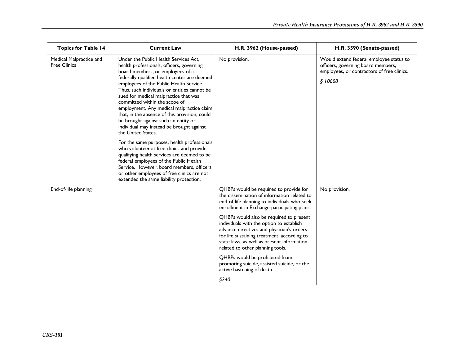| <b>Topics for Table 14</b>                     | <b>Current Law</b>                                                                                                                                                                                                                                                                                                                                                                                                                                                                                                                                                                                                                                                                                                                                                                                                                                                              | H.R. 3962 (House-passed)                                                                                                                                                                                                                                                                                                                                                                                                                                                                                                                                                         | H.R. 3590 (Senate-passed)                                                                                                              |
|------------------------------------------------|---------------------------------------------------------------------------------------------------------------------------------------------------------------------------------------------------------------------------------------------------------------------------------------------------------------------------------------------------------------------------------------------------------------------------------------------------------------------------------------------------------------------------------------------------------------------------------------------------------------------------------------------------------------------------------------------------------------------------------------------------------------------------------------------------------------------------------------------------------------------------------|----------------------------------------------------------------------------------------------------------------------------------------------------------------------------------------------------------------------------------------------------------------------------------------------------------------------------------------------------------------------------------------------------------------------------------------------------------------------------------------------------------------------------------------------------------------------------------|----------------------------------------------------------------------------------------------------------------------------------------|
| Medical Malpractice and<br><b>Free Clinics</b> | Under the Public Health Services Act,<br>health professionals, officers, governing<br>board members, or employees of a<br>federally qualified health center are deemed<br>employees of the Public Health Service.<br>Thus, such individuals or entities cannot be<br>sued for medical malpractice that was<br>committed within the scope of<br>employment. Any medical malpractice claim<br>that, in the absence of this provision, could<br>be brought against such an entity or<br>individual may instead be brought against<br>the United States.<br>For the same purposes, health professionals<br>who volunteer at free clinics and provide<br>qualifying health services are deemed to be<br>federal employees of the Public Health<br>Service. However, board members, officers<br>or other employees of free clinics are not<br>extended the same liability protection. | No provision.                                                                                                                                                                                                                                                                                                                                                                                                                                                                                                                                                                    | Would extend federal employee status to<br>officers, governing board members,<br>employees, or contractors of free clinics.<br>\$10608 |
| End-of-life planning                           |                                                                                                                                                                                                                                                                                                                                                                                                                                                                                                                                                                                                                                                                                                                                                                                                                                                                                 | QHBPs would be required to provide for<br>the dissemination of information related to<br>end-of-life planning to individuals who seek<br>enrollment in Exchange-participating plans.<br>QHBPs would also be required to present<br>individuals with the option to establish<br>advance directives and physician's orders<br>for life sustaining treatment, according to<br>state laws, as well as present information<br>related to other planning tools.<br>QHBPs would be prohibited from<br>promoting suicide, assisted suicide, or the<br>active hastening of death.<br>§240 | No provision.                                                                                                                          |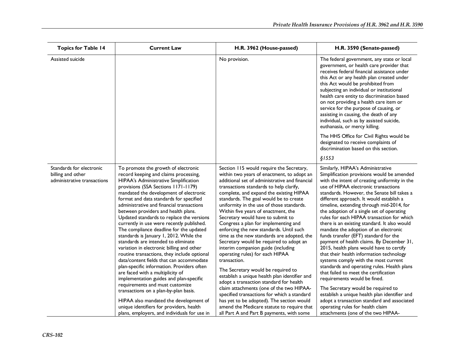| <b>Topics for Table 14</b>                                                   | <b>Current Law</b>                                                                                                                                                                                                                                                                                                                                                                                                                                                                                                                                                                                                                                                                                                                                                                                                                                                                                                                                                                                                                                  | H.R. 3962 (House-passed)                                                                                                                                                                                                                                                                                                                                                                                                                                                                                                                                                                                                                                                                                                                                                                                                                                                                                                                                                                                                                    | H.R. 3590 (Senate-passed)                                                                                                                                                                                                                                                                                                                                                                                                                                                                                                                                                                                                                                                                                                                                                                                                                                                                                                                                                                                                                                          |
|------------------------------------------------------------------------------|-----------------------------------------------------------------------------------------------------------------------------------------------------------------------------------------------------------------------------------------------------------------------------------------------------------------------------------------------------------------------------------------------------------------------------------------------------------------------------------------------------------------------------------------------------------------------------------------------------------------------------------------------------------------------------------------------------------------------------------------------------------------------------------------------------------------------------------------------------------------------------------------------------------------------------------------------------------------------------------------------------------------------------------------------------|---------------------------------------------------------------------------------------------------------------------------------------------------------------------------------------------------------------------------------------------------------------------------------------------------------------------------------------------------------------------------------------------------------------------------------------------------------------------------------------------------------------------------------------------------------------------------------------------------------------------------------------------------------------------------------------------------------------------------------------------------------------------------------------------------------------------------------------------------------------------------------------------------------------------------------------------------------------------------------------------------------------------------------------------|--------------------------------------------------------------------------------------------------------------------------------------------------------------------------------------------------------------------------------------------------------------------------------------------------------------------------------------------------------------------------------------------------------------------------------------------------------------------------------------------------------------------------------------------------------------------------------------------------------------------------------------------------------------------------------------------------------------------------------------------------------------------------------------------------------------------------------------------------------------------------------------------------------------------------------------------------------------------------------------------------------------------------------------------------------------------|
| Assisted suicide                                                             |                                                                                                                                                                                                                                                                                                                                                                                                                                                                                                                                                                                                                                                                                                                                                                                                                                                                                                                                                                                                                                                     | No provision.                                                                                                                                                                                                                                                                                                                                                                                                                                                                                                                                                                                                                                                                                                                                                                                                                                                                                                                                                                                                                               | The federal government, any state or local<br>government, or health care provider that<br>receives federal financial assistance under<br>this Act or any health plan created under<br>this Act would be prohibited from<br>subjecting an individual or institutional<br>health care entity to discrimination based<br>on not providing a health care item or<br>service for the purpose of causing, or<br>assisting in causing, the death of any<br>individual, such as by assisted suicide,<br>euthanasia, or mercy killing.                                                                                                                                                                                                                                                                                                                                                                                                                                                                                                                                      |
|                                                                              |                                                                                                                                                                                                                                                                                                                                                                                                                                                                                                                                                                                                                                                                                                                                                                                                                                                                                                                                                                                                                                                     |                                                                                                                                                                                                                                                                                                                                                                                                                                                                                                                                                                                                                                                                                                                                                                                                                                                                                                                                                                                                                                             | The HHS Office for Civil Rights would be<br>designated to receive complaints of<br>discrimination based on this section.                                                                                                                                                                                                                                                                                                                                                                                                                                                                                                                                                                                                                                                                                                                                                                                                                                                                                                                                           |
|                                                                              |                                                                                                                                                                                                                                                                                                                                                                                                                                                                                                                                                                                                                                                                                                                                                                                                                                                                                                                                                                                                                                                     |                                                                                                                                                                                                                                                                                                                                                                                                                                                                                                                                                                                                                                                                                                                                                                                                                                                                                                                                                                                                                                             | \$1553                                                                                                                                                                                                                                                                                                                                                                                                                                                                                                                                                                                                                                                                                                                                                                                                                                                                                                                                                                                                                                                             |
| Standards for electronic<br>billing and other<br>administrative transactions | To promote the growth of electronic<br>record keeping and claims processing,<br>HIPAA's Administrative Simplification<br>provisions (SSA Sections 1171-1179)<br>mandated the development of electronic<br>format and data standards for specified<br>administrative and financial transactions<br>between providers and health plans.<br>Updated standards to replace the versions<br>currently in use were recently published.<br>The compliance deadline for the updated<br>standards is January 1, 2012. While the<br>standards are intended to eliminate<br>variation in electronic billing and other<br>routine transactions, they include optional<br>data/content fields that can accommodate<br>plan-specific information. Providers often<br>are faced with a multiplicity of<br>implementation guides and plan-specific<br>requirements and must customize<br>transactions on a plan-by-plan basis.<br>HIPAA also mandated the development of<br>unique identifiers for providers, health<br>plans, employers, and individuals for use in | Section 115 would require the Secretary,<br>within two years of enactment, to adopt an<br>additional set of administrative and financial<br>transactions standards to help clarify,<br>complete, and expand the existing HIPAA<br>standards. The goal would be to create<br>uniformity in the use of those standards.<br>Within five years of enactment, the<br>Secretary would have to submit to<br>Congress a plan for implementing and<br>enforcing the new standards. Until such<br>time as the new standards are adopted, the<br>Secretary would be required to adopt an<br>interim companion guide (including<br>operating rules) for each HIPAA<br>transaction.<br>The Secretary would be required to<br>establish a unique health plan identifier and<br>adopt a transaction standard for health<br>claim attachments (one of the two HIPAA-<br>specified transactions for which a standard<br>has yet to be adopted). The section would<br>amend the Medicare statute to require that<br>all Part A and Part B payments, with some | Similarly, HIPAA's Administrative<br>Simplification provisions would be amended<br>with the intent of creating uniformity in the<br>use of HIPAA electronic transactions<br>standards. However, the Senate bill takes a<br>different approach. It would establish a<br>timeline, extending through mid-2014, for<br>the adoption of a single set of operating<br>rules for each HIPAA transaction for which<br>there is an existing standard. It also would<br>mandate the adoption of an electronic<br>funds transfer (EFT) standard for the<br>payment of health claims. By December 31,<br>2015, health plans would have to certify<br>that their health information technology<br>systems comply with the most current<br>standards and operating rules. Health plans<br>that failed to meet the certification<br>requirements would be fined.<br>The Secretary would be required to<br>establish a unique health plan identifier and<br>adopt a transaction standard and associated<br>operating rules for health claim<br>attachments (one of the two HIPAA- |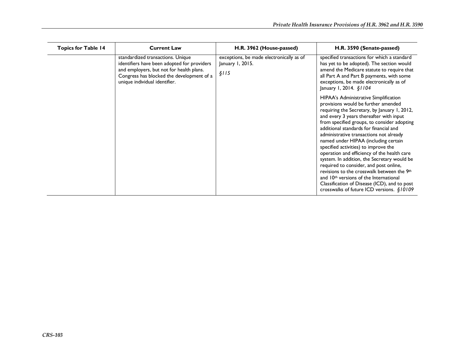| <b>Topics for Table 14</b> | <b>Current Law</b>                                                                                                                                                                                         | H.R. 3962 (House-passed)                                              | H.R. 3590 (Senate-passed)                                                                                                                                                                                                                                                                                                                                                                                                                                                                                                                                                                                                                                                                                                            |
|----------------------------|------------------------------------------------------------------------------------------------------------------------------------------------------------------------------------------------------------|-----------------------------------------------------------------------|--------------------------------------------------------------------------------------------------------------------------------------------------------------------------------------------------------------------------------------------------------------------------------------------------------------------------------------------------------------------------------------------------------------------------------------------------------------------------------------------------------------------------------------------------------------------------------------------------------------------------------------------------------------------------------------------------------------------------------------|
|                            | standardized transactions. Unique<br>identifiers have been adopted for providers<br>and employers, but not for health plans.<br>Congress has blocked the development of a<br>unique individual identifier. | exceptions, be made electronically as of<br>January 1, 2015.<br>\$115 | specified transactions for which a standard<br>has yet to be adopted). The section would<br>amend the Medicare statute to require that<br>all Part A and Part B payments, with some<br>exceptions, be made electronically as of<br>January 1, 2014. §1104                                                                                                                                                                                                                                                                                                                                                                                                                                                                            |
|                            |                                                                                                                                                                                                            |                                                                       | HIPAA's Administrative Simplification<br>provisions would be further amended<br>requiring the Secretary, by January 1, 2012,<br>and every 3 years thereafter with input<br>from specified groups, to consider adopting<br>additional standards for financial and<br>administrative transactions not already<br>named under HIPAA (including certain<br>specified activities) to improve the<br>operation and efficiency of the health care<br>system. In addition, the Secretary would be<br>required to consider, and post online,<br>revisions to the crosswalk between the 9th<br>and 10 <sup>th</sup> versions of the International<br>Classification of Disease (ICD), and to post<br>crosswalks of future ICD versions. §10109 |